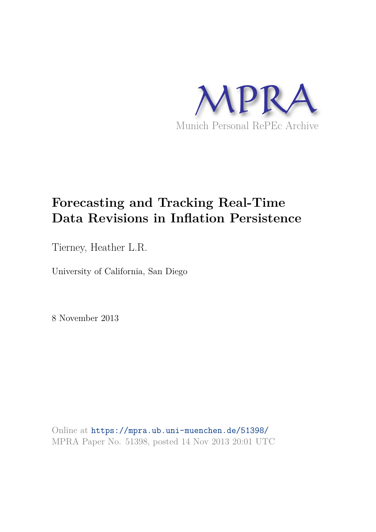

# **Forecasting and Tracking Real-Time Data Revisions in Inflation Persistence**

Tierney, Heather L.R.

University of California, San Diego

8 November 2013

Online at https://mpra.ub.uni-muenchen.de/51398/ MPRA Paper No. 51398, posted 14 Nov 2013 20:01 UTC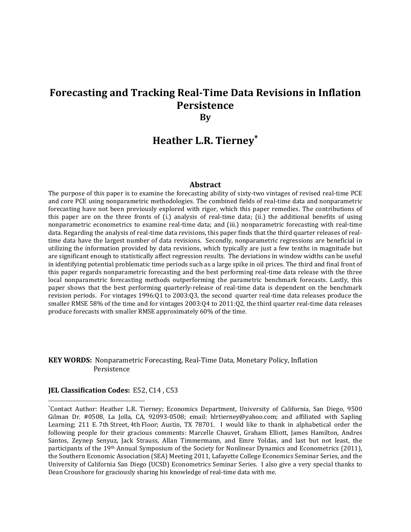# Forecasting and Tracking Real-Time Data Revisions in Inflation Persistence By

# Heather L.R. Tierney<sup>\*</sup>

#### Abstract

The purpose of this paper is to examine the forecasting ability of sixty-two vintages of revised real-time PCE and core PCE using nonparametric methodologies. The combined fields of real-time data and nonparametric forecasting have not been previously explored with rigor, which this paper remedies. The contributions of this paper are on the three fronts of (i.) analysis of real-time data; (ii.) the additional benefits of using nonparametric econometrics to examine real-time data; and (iii.) nonparametric forecasting with real-time data. Regarding the analysis of real-time data revisions, this paper finds that the third quarter releases of realtime data have the largest number of data revisions. Secondly, nonparametric regressions are beneficial in utilizing the information provided by data revisions, which typically are just a few tenths in magnitude but are significant enough to statistically affect regression results. The deviations in window widths can be useful in identifying potential problematic time periods such as a large spike in oil prices. The third and final front of this paper regards nonparametric forecasting and the best performing real-time data release with the three local nonparametric forecasting methods outperforming the parametric benchmark forecasts. Lastly, this paper shows that the best performing quarterly-release of real-time data is dependent on the benchmark revision periods. For vintages 1996:Q1 to 2003:Q3, the second quarter real-time data releases produce the smaller RMSE 58% of the time and for vintages 2003:Q4 to 2011:Q2, the third quarter real-time data releases produce forecasts with smaller RMSE approximately 60% of the time.

### KEY WORDS: Nonparametric Forecasting, Real-Time Data, Monetary Policy, Inflation Persistence

#### JEL Classification Codes: E52, C14 , C53

<sup>∗</sup> Contact Author: Heather L.R. Tierney; Economics Department, University of California, San Diego, 9500 Gilman Dr. #0508, La Jolla, CA, 92093-0508; email: hlrtierney@yahoo.com; and affiliated with Sapling Learning; 211 E. 7th Street, 4th Floor; Austin, TX 78701. I would like to thank in alphabetical order the following people for their gracious comments: Marcelle Chauvet, Graham Elliott, James Hamilton, Andres Santos, Zeynep Senyuz, Jack Strauss, Allan Timmermann, and Emre Yoldas, and last but not least, the participants of the 19th Annual Symposium of the Society for Nonlinear Dynamics and Econometrics (2011), the Southern Economic Association (SEA) Meeting 2011, Lafayette College Economics Seminar Series, and the University of California San Diego (UCSD) Econometrics Seminar Series. I also give a very special thanks to Dean Croushore for graciously sharing his knowledge of real-time data with me.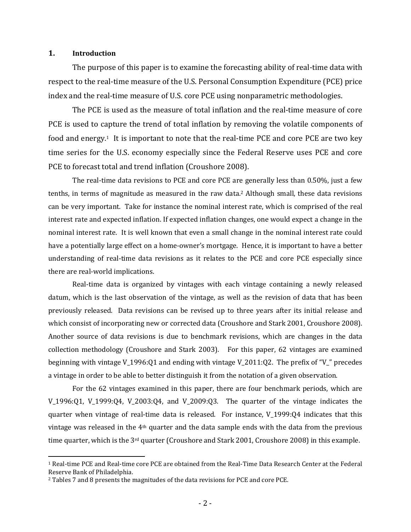### 1. Introduction

<u>.</u>

The purpose of this paper is to examine the forecasting ability of real-time data with respect to the real-time measure of the U.S. Personal Consumption Expenditure (PCE) price index and the real-time measure of U.S. core PCE using nonparametric methodologies.

 The PCE is used as the measure of total inflation and the real-time measure of core PCE is used to capture the trend of total inflation by removing the volatile components of food and energy.1 It is important to note that the real-time PCE and core PCE are two key time series for the U.S. economy especially since the Federal Reserve uses PCE and core PCE to forecast total and trend inflation (Croushore 2008).

 The real-time data revisions to PCE and core PCE are generally less than 0.50%, just a few tenths, in terms of magnitude as measured in the raw data.2 Although small, these data revisions can be very important. Take for instance the nominal interest rate, which is comprised of the real interest rate and expected inflation. If expected inflation changes, one would expect a change in the nominal interest rate. It is well known that even a small change in the nominal interest rate could have a potentially large effect on a home-owner's mortgage. Hence, it is important to have a better understanding of real-time data revisions as it relates to the PCE and core PCE especially since there are real-world implications.

 Real-time data is organized by vintages with each vintage containing a newly released datum, which is the last observation of the vintage, as well as the revision of data that has been previously released. Data revisions can be revised up to three years after its initial release and which consist of incorporating new or corrected data (Croushore and Stark 2001, Croushore 2008). Another source of data revisions is due to benchmark revisions, which are changes in the data collection methodology (Croushore and Stark 2003). For this paper, 62 vintages are examined beginning with vintage V\_1996:Q1 and ending with vintage V\_2011:Q2. The prefix of "V\_" precedes a vintage in order to be able to better distinguish it from the notation of a given observation.

 For the 62 vintages examined in this paper, there are four benchmark periods, which are V\_1996:Q1, V\_1999:Q4, V\_2003:Q4, and V\_2009:Q3. The quarter of the vintage indicates the quarter when vintage of real-time data is released. For instance, V\_1999:Q4 indicates that this vintage was released in the 4th quarter and the data sample ends with the data from the previous time quarter, which is the  $3<sup>rd</sup>$  quarter (Croushore and Stark 2001, Croushore 2008) in this example.

<sup>1</sup> Real-time PCE and Real-time core PCE are obtained from the Real-Time Data Research Center at the Federal Reserve Bank of Philadelphia.

<sup>2</sup> Tables 7 and 8 presents the magnitudes of the data revisions for PCE and core PCE.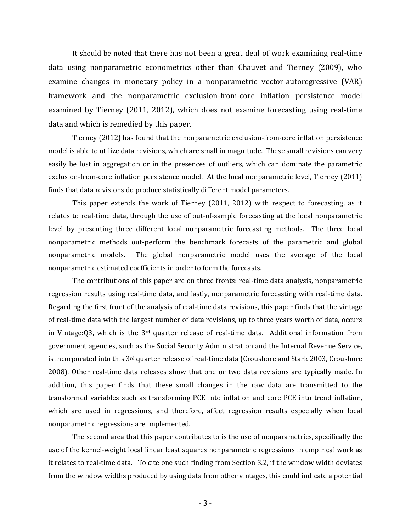It should be noted that there has not been a great deal of work examining real-time data using nonparametric econometrics other than Chauvet and Tierney (2009), who examine changes in monetary policy in a nonparametric vector-autoregressive (VAR) framework and the nonparametric exclusion-from-core inflation persistence model examined by Tierney (2011, 2012), which does not examine forecasting using real-time data and which is remedied by this paper.

 Tierney (2012) has found that the nonparametric exclusion-from-core inflation persistence model is able to utilize data revisions, which are small in magnitude. These small revisions can very easily be lost in aggregation or in the presences of outliers, which can dominate the parametric exclusion-from-core inflation persistence model. At the local nonparametric level, Tierney (2011) finds that data revisions do produce statistically different model parameters.

 This paper extends the work of Tierney (2011, 2012) with respect to forecasting, as it relates to real-time data, through the use of out-of-sample forecasting at the local nonparametric level by presenting three different local nonparametric forecasting methods. The three local nonparametric methods out-perform the benchmark forecasts of the parametric and global nonparametric models. The global nonparametric model uses the average of the local nonparametric estimated coefficients in order to form the forecasts.

 The contributions of this paper are on three fronts: real-time data analysis, nonparametric regression results using real-time data, and lastly, nonparametric forecasting with real-time data. Regarding the first front of the analysis of real-time data revisions, this paper finds that the vintage of real-time data with the largest number of data revisions, up to three years worth of data, occurs in Vintage:Q3, which is the 3rd quarter release of real-time data. Additional information from government agencies, such as the Social Security Administration and the Internal Revenue Service, is incorporated into this 3<sup>rd</sup> quarter release of real-time data (Croushore and Stark 2003, Croushore 2008). Other real-time data releases show that one or two data revisions are typically made. In addition, this paper finds that these small changes in the raw data are transmitted to the transformed variables such as transforming PCE into inflation and core PCE into trend inflation, which are used in regressions, and therefore, affect regression results especially when local nonparametric regressions are implemented.

 The second area that this paper contributes to is the use of nonparametrics, specifically the use of the kernel-weight local linear least squares nonparametric regressions in empirical work as it relates to real-time data. To cite one such finding from Section 3.2, if the window width deviates from the window widths produced by using data from other vintages, this could indicate a potential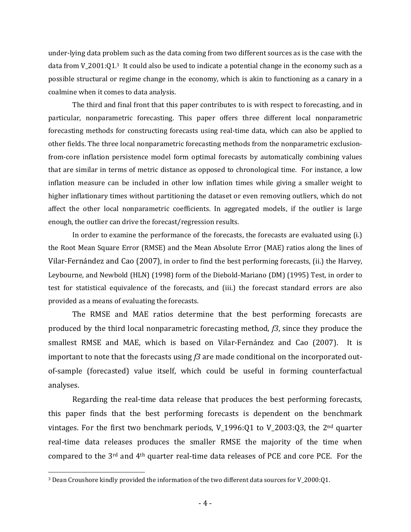under-lying data problem such as the data coming from two different sources as is the case with the data from V\_2001:Q1.3 It could also be used to indicate a potential change in the economy such as a possible structural or regime change in the economy, which is akin to functioning as a canary in a coalmine when it comes to data analysis.

 The third and final front that this paper contributes to is with respect to forecasting, and in particular, nonparametric forecasting. This paper offers three different local nonparametric forecasting methods for constructing forecasts using real-time data, which can also be applied to other fields. The three local nonparametric forecasting methods from the nonparametric exclusionfrom-core inflation persistence model form optimal forecasts by automatically combining values that are similar in terms of metric distance as opposed to chronological time. For instance, a low inflation measure can be included in other low inflation times while giving a smaller weight to higher inflationary times without partitioning the dataset or even removing outliers, which do not affect the other local nonparametric coefficients. In aggregated models, if the outlier is large enough, the outlier can drive the forecast/regression results.

 In order to examine the performance of the forecasts, the forecasts are evaluated using (i.) the Root Mean Square Error (RMSE) and the Mean Absolute Error (MAE) ratios along the lines of Vilar-Fernández and Cao (2007), in order to find the best performing forecasts, (ii.) the Harvey, Leybourne, and Newbold (HLN) (1998) form of the Diebold-Mariano (DM) (1995) Test, in order to test for statistical equivalence of the forecasts, and (iii.) the forecast standard errors are also provided as a means of evaluating the forecasts.

 The RMSE and MAE ratios determine that the best performing forecasts are produced by the third local nonparametric forecasting method,  $f_1^3$ , since they produce the smallest RMSE and MAE, which is based on Vilar-Fernández and Cao (2007). It is important to note that the forecasts using  $f_3$  are made conditional on the incorporated outof-sample (forecasted) value itself, which could be useful in forming counterfactual analyses.

 Regarding the real-time data release that produces the best performing forecasts, this paper finds that the best performing forecasts is dependent on the benchmark vintages. For the first two benchmark periods,  $V_1996:Q1$  to  $V_2003:Q3$ , the 2<sup>nd</sup> quarter real-time data releases produces the smaller RMSE the majority of the time when compared to the 3rd and 4th quarter real-time data releases of PCE and core PCE. For the

-

<sup>3</sup> Dean Croushore kindly provided the information of the two different data sources for V\_2000:Q1.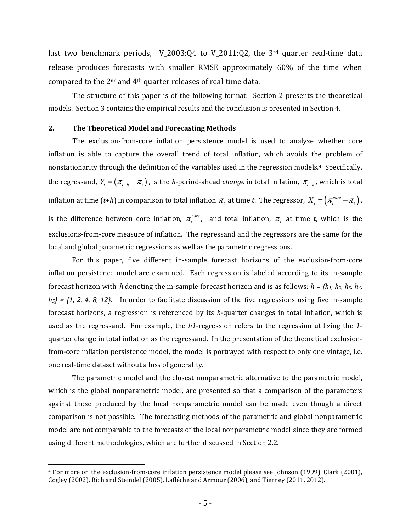last two benchmark periods,  $V_2003:Q4$  to  $V_2011:Q2$ , the 3<sup>rd</sup> quarter real-time data release produces forecasts with smaller RMSE approximately 60% of the time when compared to the 2nd and 4th quarter releases of real-time data.

 The structure of this paper is of the following format: Section 2 presents the theoretical models. Section 3 contains the empirical results and the conclusion is presented in Section 4.

#### 2. The Theoretical Model and Forecasting Methods

The exclusion-from-core inflation persistence model is used to analyze whether core inflation is able to capture the overall trend of total inflation, which avoids the problem of nonstationarity through the definition of the variables used in the regression models.4 Specifically, the regressand,  $Y_t = (\pi_{t+h} - \pi_t)$ , is the *h*-period-ahead *change* in total inflation,  $\pi_{t+h}$ , which is total inflation at time (t+h) in comparison to total inflation  $\pi$ , at time t. The regressor,  $X$ <sub>t</sub> =  $(\pi$ <sup>core</sup> -  $\pi$ <sub>t</sub>), is the difference between core inflation,  $\pi_i^{core}$ , and total inflation,  $\pi_i$  at time t, which is the exclusions-from-core measure of inflation. The regressand and the regressors are the same for the local and global parametric regressions as well as the parametric regressions.

For this paper, five different in-sample forecast horizons of the exclusion-from-core inflation persistence model are examined. Each regression is labeled according to its in-sample forecast horizon with *h* denoting the in-sample forecast horizon and is as follows:  $h = \{h_1, h_2, h_3, h_4, h_5, h_6, h_7, h_8, h_9, h_{10}\}$  $h_5$  = {1, 2, 4, 8, 12}. In order to facilitate discussion of the five regressions using five in-sample forecast horizons, a regression is referenced by its  $h$ -quarter changes in total inflation, which is used as the regressand. For example, the  $h1$ -regression refers to the regression utilizing the 1quarter change in total inflation as the regressand. In the presentation of the theoretical exclusionfrom-core inflation persistence model, the model is portrayed with respect to only one vintage, i.e. one real-time dataset without a loss of generality.

The parametric model and the closest nonparametric alternative to the parametric model, which is the global nonparametric model, are presented so that a comparison of the parameters against those produced by the local nonparametric model can be made even though a direct comparison is not possible. The forecasting methods of the parametric and global nonparametric model are not comparable to the forecasts of the local nonparametric model since they are formed using different methodologies, which are further discussed in Section 2.2.

<sup>4</sup> For more on the exclusion-from-core inflation persistence model please see Johnson (1999), Clark (2001), Cogley (2002), Rich and Steindel (2005), Lafléche and Armour (2006), and Tierney (2011, 2012).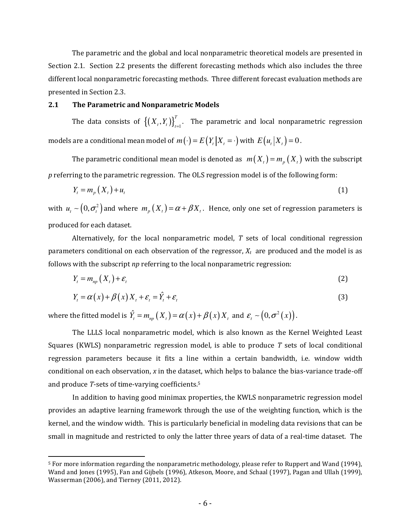The parametric and the global and local nonparametric theoretical models are presented in Section 2.1. Section 2.2 presents the different forecasting methods which also includes the three different local nonparametric forecasting methods. Three different forecast evaluation methods are presented in Section 2.3.

#### 2.1 The Parametric and Nonparametric Models

The data consists of  $\big\{\left(X_{t}, Y_{t}\right)\big\}_{t=1}^{T}$ *T*  $(X_t, Y_t) \big|_{t=1}^T$ . The parametric and local nonparametric regression models are a conditional mean model of  $m(\cdot) = E(Y_t | X_t = \cdot)$  with  $E(u_t | X_t) = 0$ .

The parametric conditional mean model is denoted as  $m(X_t) = m_n(X_t)$  with the subscript p referring to the parametric regression. The OLS regression model is of the following form:

$$
Y_t = m_p(X_t) + u_t \tag{1}
$$

with  $u_t \sim (0,\sigma_t^2)$  and where  $m_p(X_t) = \alpha + \beta X_t$ . Hence, only one set of regression parameters is produced for each dataset.

Alternatively, for the local nonparametric model,  $T$  sets of local conditional regression parameters conditional on each observation of the regressor,  $X_t$  are produced and the model is as follows with the subscript np referring to the local nonparametric regression:

$$
Y_t = m_{np}(X_t) + \varepsilon_t \tag{2}
$$

$$
Y_{t} = \alpha(x) + \beta(x) X_{t} + \varepsilon_{t} = \hat{Y}_{t} + \varepsilon_{t}
$$
\n(3)

where the fitted model is  $\hat{Y}_t = m_{np} (X_t) = \alpha(x) + \beta(x) X_t$  and  $\varepsilon_t \sim (0, \sigma^2(x))$ .

<u>.</u>

 The LLLS local nonparametric model, which is also known as the Kernel Weighted Least Squares (KWLS) nonparametric regression model, is able to produce  $T$  sets of local conditional regression parameters because it fits a line within a certain bandwidth, i.e. window width conditional on each observation, x in the dataset, which helps to balance the bias-variance trade-off and produce T-sets of time-varying coefficients.<sup>5</sup>

 In addition to having good minimax properties, the KWLS nonparametric regression model provides an adaptive learning framework through the use of the weighting function, which is the kernel, and the window width. This is particularly beneficial in modeling data revisions that can be small in magnitude and restricted to only the latter three years of data of a real-time dataset. The

<sup>5</sup> For more information regarding the nonparametric methodology, please refer to Ruppert and Wand (1994), Wand and Jones (1995), Fan and Gijbels (1996), Atkeson, Moore, and Schaal (1997), Pagan and Ullah (1999), Wasserman (2006), and Tierney (2011, 2012).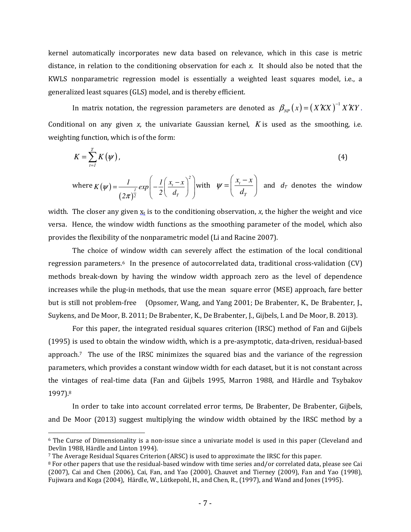kernel automatically incorporates new data based on relevance, which in this case is metric distance, in relation to the conditioning observation for each x. It should also be noted that the KWLS nonparametric regression model is essentially a weighted least squares model, i.e., a generalized least squares (GLS) model, and is thereby efficient.

In matrix notation, the regression parameters are denoted as  $\beta_{_{NP}}(x)$  =  $(X'KX)^{-1}$  *X*  $KY$  . Conditional on any given  $x$ , the univariate Gaussian kernel,  $K$  is used as the smoothing, i.e. weighting function, which is of the form:

$$
K=\sum_{i=1}^{T}K(\psi),\tag{4}
$$

where 
$$
K(\psi) = \frac{1}{(2\pi)^{\frac{1}{2}}} exp\left(-\frac{1}{2}\left(\frac{x_i - x}{d_T}\right)^2\right)
$$
 with  $\psi = \left(\frac{x_i - x}{d_T}\right)$  and  $d_T$  denotes the window

width. The closer any given  $x_t$  is to the conditioning observation, x, the higher the weight and vice versa. Hence, the window width functions as the smoothing parameter of the model, which also provides the flexibility of the nonparametric model (Li and Racine 2007).

 The choice of window width can severely affect the estimation of the local conditional regression parameters.6 In the presence of autocorrelated data, traditional cross-validation (CV) methods break-down by having the window width approach zero as the level of dependence increases while the plug-in methods, that use the mean square error (MSE) approach, fare better but is still not problem-free (Opsomer, Wang, and Yang 2001; De Brabenter, K., De Brabenter, J., Suykens, and De Moor, B. 2011; De Brabenter, K., De Brabenter, J., Gijbels, I. and De Moor, B. 2013).

 For this paper, the integrated residual squares criterion (IRSC) method of Fan and Gijbels (1995) is used to obtain the window width, which is a pre-asymptotic, data-driven, residual-based approach.7 The use of the IRSC minimizes the squared bias and the variance of the regression parameters, which provides a constant window width for each dataset, but it is not constant across the vintages of real-time data (Fan and Gijbels 1995, Marron 1988, and Härdle and Tsybakov 1997).<sup>8</sup>

 In order to take into account correlated error terms, De Brabenter, De Brabenter, Gijbels, and De Moor (2013) suggest multiplying the window width obtained by the IRSC method by a

-

<sup>6</sup> The Curse of Dimensionality is a non-issue since a univariate model is used in this paper (Cleveland and Devlin 1988, Härdle and Linton 1994).

<sup>7</sup> The Average Residual Squares Criterion (ARSC) is used to approximate the IRSC for this paper.

<sup>8</sup> For other papers that use the residual-based window with time series and/or correlated data, please see Cai (2007), Cai and Chen (2006), Cai, Fan, and Yao (2000), Chauvet and Tierney (2009), Fan and Yao (1998), Fujiwara and Koga (2004), Härdle, W., Lütkepohl, H., and Chen, R., (1997), and Wand and Jones (1995).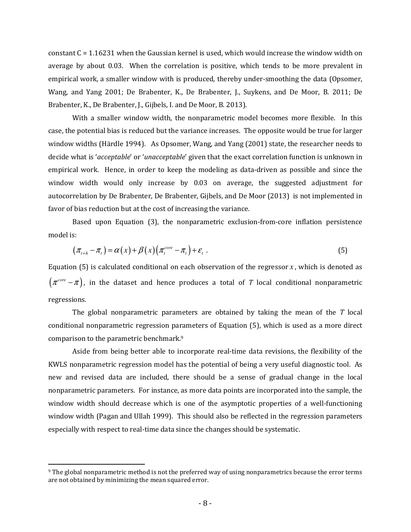constant C = 1.16231 when the Gaussian kernel is used, which would increase the window width on average by about 0.03. When the correlation is positive, which tends to be more prevalent in empirical work, a smaller window with is produced, thereby under-smoothing the data (Opsomer, Wang, and Yang 2001; De Brabenter, K., De Brabenter, J., Suykens, and De Moor, B. 2011; De Brabenter, K., De Brabenter, J., Gijbels, I. and De Moor, B. 2013).

 With a smaller window width, the nonparametric model becomes more flexible. In this case, the potential bias is reduced but the variance increases. The opposite would be true for larger window widths (Härdle 1994). As Opsomer, Wang, and Yang (2001) state, the researcher needs to decide what is 'acceptable' or 'unacceptable' given that the exact correlation function is unknown in empirical work. Hence, in order to keep the modeling as data-driven as possible and since the window width would only increase by 0.03 on average, the suggested adjustment for autocorrelation by De Brabenter, De Brabenter, Gijbels, and De Moor (2013) is not implemented in favor of bias reduction but at the cost of increasing the variance.

 Based upon Equation (3), the nonparametric exclusion-from-core inflation persistence model is:

$$
(\pi_{t+h} - \pi_t) = \alpha(x) + \beta(x) (\pi_t^{core} - \pi_t) + \varepsilon_t \tag{5}
$$

Equation  $(5)$  is calculated conditional on each observation of the regressor *x*, which is denoted as  $\big( \pi^{core} - \pi \big)$  , in the dataset and hence produces a total of  $T$  local conditional nonparametric regressions.

The global nonparametric parameters are obtained by taking the mean of the  $T$  local conditional nonparametric regression parameters of Equation (5), which is used as a more direct comparison to the parametric benchmark.<sup>9</sup>

 Aside from being better able to incorporate real-time data revisions, the flexibility of the KWLS nonparametric regression model has the potential of being a very useful diagnostic tool. As new and revised data are included, there should be a sense of gradual change in the local nonparametric parameters. For instance, as more data points are incorporated into the sample, the window width should decrease which is one of the asymptotic properties of a well-functioning window width (Pagan and Ullah 1999). This should also be reflected in the regression parameters especially with respect to real-time data since the changes should be systematic.

<sup>9</sup> The global nonparametric method is not the preferred way of using nonparametrics because the error terms are not obtained by minimizing the mean squared error.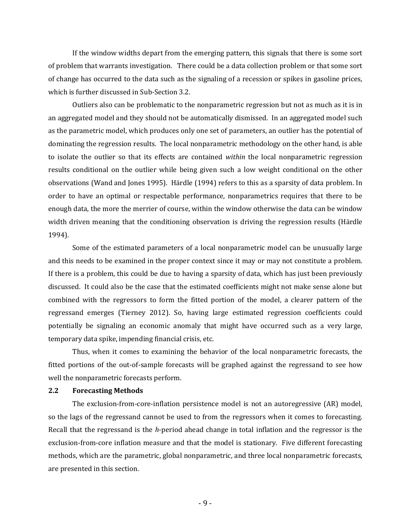If the window widths depart from the emerging pattern, this signals that there is some sort of problem that warrants investigation. There could be a data collection problem or that some sort of change has occurred to the data such as the signaling of a recession or spikes in gasoline prices, which is further discussed in Sub-Section 3.2.

Outliers also can be problematic to the nonparametric regression but not as much as it is in an aggregated model and they should not be automatically dismissed. In an aggregated model such as the parametric model, which produces only one set of parameters, an outlier has the potential of dominating the regression results. The local nonparametric methodology on the other hand, is able to isolate the outlier so that its effects are contained within the local nonparametric regression results conditional on the outlier while being given such a low weight conditional on the other observations (Wand and Jones 1995). Härdle (1994) refers to this as a sparsity of data problem. In order to have an optimal or respectable performance, nonparametrics requires that there to be enough data, the more the merrier of course, within the window otherwise the data can be window width driven meaning that the conditioning observation is driving the regression results (Härdle 1994).

 Some of the estimated parameters of a local nonparametric model can be unusually large and this needs to be examined in the proper context since it may or may not constitute a problem. If there is a problem, this could be due to having a sparsity of data, which has just been previously discussed. It could also be the case that the estimated coefficients might not make sense alone but combined with the regressors to form the fitted portion of the model, a clearer pattern of the regressand emerges (Tierney 2012). So, having large estimated regression coefficients could potentially be signaling an economic anomaly that might have occurred such as a very large, temporary data spike, impending financial crisis, etc.

Thus, when it comes to examining the behavior of the local nonparametric forecasts, the fitted portions of the out-of-sample forecasts will be graphed against the regressand to see how well the nonparametric forecasts perform.

#### 2.2 Forecasting Methods

 The exclusion-from-core-inflation persistence model is not an autoregressive (AR) model, so the lags of the regressand cannot be used to from the regressors when it comes to forecasting. Recall that the regressand is the h-period ahead change in total inflation and the regressor is the exclusion-from-core inflation measure and that the model is stationary. Five different forecasting methods, which are the parametric, global nonparametric, and three local nonparametric forecasts, are presented in this section.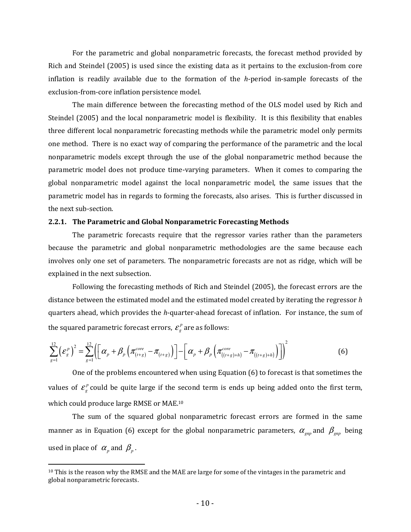For the parametric and global nonparametric forecasts, the forecast method provided by Rich and Steindel (2005) is used since the existing data as it pertains to the exclusion-from core inflation is readily available due to the formation of the  $h$ -period in-sample forecasts of the exclusion-from-core inflation persistence model.

 The main difference between the forecasting method of the OLS model used by Rich and Steindel (2005) and the local nonparametric model is flexibility. It is this flexibility that enables three different local nonparametric forecasting methods while the parametric model only permits one method. There is no exact way of comparing the performance of the parametric and the local nonparametric models except through the use of the global nonparametric method because the parametric model does not produce time-varying parameters. When it comes to comparing the global nonparametric model against the local nonparametric model, the same issues that the parametric model has in regards to forming the forecasts, also arises. This is further discussed in the next sub-section.

#### 2.2.1. The Parametric and Global Nonparametric Forecasting Methods

 The parametric forecasts require that the regressor varies rather than the parameters because the parametric and global nonparametric methodologies are the same because each involves only one set of parameters. The nonparametric forecasts are not as ridge, which will be explained in the next subsection.

 Following the forecasting methods of Rich and Steindel (2005), the forecast errors are the distance between the estimated model and the estimated model created by iterating the regressor  $h$ quarters ahead, which provides the h-quarter-ahead forecast of inflation. For instance, the sum of the squared parametric forecast errors,  $\mathcal{E}^p_g$  are as follows:

$$
\sum_{g=1}^{12} \left(\mathcal{E}_g^p\right)^2 = \sum_{g=1}^{12} \left( \left[ \alpha_p + \beta_p \left( \pi_{(t+g)}^{core} - \pi_{(t+g)} \right) \right] - \left[ \alpha_p + \beta_p \left( \pi_{((t+g)+h)}^{core} - \pi_{((t+g)+h)} \right) \right] \right)^2 \tag{6}
$$

 One of the problems encountered when using Equation (6) to forecast is that sometimes the values of  $\varepsilon_{g}^{p}$  could be quite large if the second term is ends up being added onto the first term, which could produce large RMSE or MAE.<sup>10</sup>

 The sum of the squared global nonparametric forecast errors are formed in the same manner as in Equation (6) except for the global nonparametric parameters,  $\alpha_{_{gap}}$  and  $\beta_{_{gap}}$  being used in place of  $\alpha_p$  and  $\beta_p$ .

 $10$  This is the reason why the RMSE and the MAE are large for some of the vintages in the parametric and global nonparametric forecasts.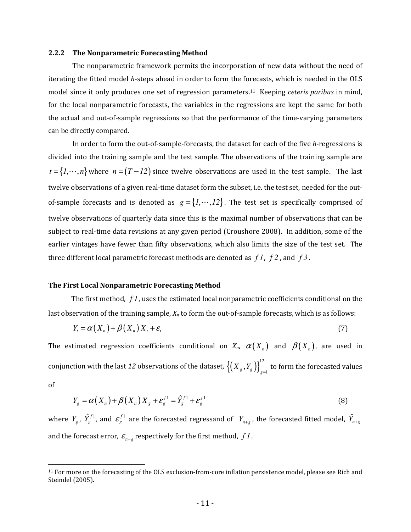#### 2.2.2 The Nonparametric Forecasting Method

 The nonparametric framework permits the incorporation of new data without the need of iterating the fitted model h-steps ahead in order to form the forecasts, which is needed in the OLS model since it only produces one set of regression parameters.<sup>11</sup> Keeping *ceteris paribus* in mind, for the local nonparametric forecasts, the variables in the regressions are kept the same for both the actual and out-of-sample regressions so that the performance of the time-varying parameters can be directly compared.

 In order to form the out-of-sample-forecasts, the dataset for each of the five h-regressions is divided into the training sample and the test sample. The observations of the training sample are  $t = \{1, \dots, n\}$  where  $n = (T - 12)$  since twelve observations are used in the test sample. The last twelve observations of a given real-time dataset form the subset, i.e. the test set, needed for the outof-sample forecasts and is denoted as  $g = \{1, \cdots, 12\}$ . The test set is specifically comprised of twelve observations of quarterly data since this is the maximal number of observations that can be subject to real-time data revisions at any given period (Croushore 2008). In addition, some of the earlier vintages have fewer than fifty observations, which also limits the size of the test set. The three different local parametric forecast methods are denoted as *f 1*, *f 2* , and *f 3* .

#### The First Local Nonparametric Forecasting Method

<u>.</u>

 The first method, *f 1*, uses the estimated local nonparametric coefficients conditional on the last observation of the training sample,  $X_n$  to form the out-of-sample forecasts, which is as follows:

$$
Y_t = \alpha(X_n) + \beta(X_n) X_t + \varepsilon_t
$$
\n<sup>(7)</sup>

The estimated regression coefficients conditional on  $X_n$ ,  $\alpha(X_n)$  and  $\beta(X_n)$ , are used in conjunction with the last 12 observations of the dataset,  $\left\{\left(X_{_S},Y_{_S}\right)\right\}_{=1}^{12}$  $\left\{X_{g}, Y_{g}\right\}_{g=1}^{N}$  to form the forecasted values of

$$
Y_g = \alpha(X_n) + \beta(X_n)X_g + \varepsilon_g^{f_1} = \hat{Y}_g^{f_1} + \varepsilon_g^{f_1}
$$
\n(8)

where  $Y_g$ ,  $\hat{Y}_g^{f1}$ , and  $\mathcal{E}_g^{f1}$  $g^{f1}_g$  are the forecasted regressand of  $\ Y_{n+g}$  , the forecasted fitted model,  $\hat{Y}_{n+g}$ and the forecast error,  $\varepsilon_{n+g}$  respectively for the first method,  $f$ *l*.

<sup>11</sup> For more on the forecasting of the OLS exclusion-from-core inflation persistence model, please see Rich and Steindel (2005).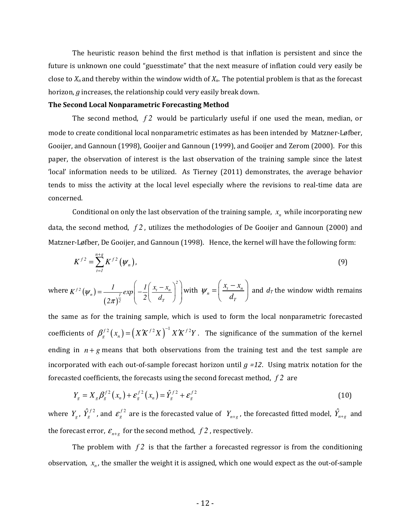The heuristic reason behind the first method is that inflation is persistent and since the future is unknown one could "guesstimate" that the next measure of inflation could very easily be close to  $X_n$  and thereby within the window width of  $X_n$ . The potential problem is that as the forecast horizon, g increases, the relationship could very easily break down.

#### The Second Local Nonparametric Forecasting Method

 The second method, *f 2* would be particularly useful if one used the mean, median, or mode to create conditional local nonparametric estimates as has been intended by Matzner-Løfber, Gooijer, and Gannoun (1998), Gooijer and Gannoun (1999), and Gooijer and Zerom (2000). For this paper, the observation of interest is the last observation of the training sample since the latest 'local' information needs to be utilized. As Tierney (2011) demonstrates, the average behavior tends to miss the activity at the local level especially where the revisions to real-time data are concerned.

Conditional on only the last observation of the training sample,  $x_n$  while incorporating new data, the second method, *f 2* , utilizes the methodologies of De Gooijer and Gannoun (2000) and Matzner-Løfber, De Gooijer, and Gannoun (1998). Hence, the kernel will have the following form:

$$
K^{f2} = \sum_{t=1}^{n+g} K^{f2} (\psi_n), \tag{9}
$$

where  $K^{f2}\left( \mathbf{\boldsymbol{\psi}}_{n}\right)$  $(2\pi)$ *2*  $f^{2}(V_{n}) = \frac{1}{I} exp \left(-\frac{1}{2}\right) \frac{x_{t} - x_{n}}{I}$ 2  $\left(2\right)$   $\left(2\right)$   $u_T$  $K^{f2}(\psi_n) = \frac{1}{\sqrt{\frac{1}{\epsilon}}} exp\left(-\frac{1}{2}\frac{x_t - x_t}{x_t}\right)$  $(\psi_n) = \frac{1}{(2\pi)^{\frac{1}{2}}} exp\left(-\frac{1}{2}\right)$ π  $=\frac{1}{(2\pi)^{\frac{1}{2}}}exp\left(-\frac{1}{2}\left(\frac{x_{i}-x_{n}}{d_{T}}\right)^{2}\right)$  with  $\psi_{n}=\left(\frac{x_{i}-x_{n}}{d_{T}}\right)$ *T*  $x_{i} - x$  $\mathcal{W}_n = \frac{1}{d}$  $\left( x_{t} - x_{n} \right)$  $=\left(\frac{x_t - x_n}{d_T}\right)$  and  $d_T$  the window width remains

the same as for the training sample, which is used to form the local nonparametric forecasted coefficients of  $\beta^{f 2}_s(x_n) = (X' K^{f 2} X)^{-1} X' K^{f 2} Y$ . The significance of the summation of the kernel ending in  $n + g$  means that both observations from the training test and the test sample are incorporated with each out-of-sample forecast horizon until  $g = 12$ . Using matrix notation for the forecasted coefficients, the forecasts using the second forecast method, *f 2* are

$$
Y_g = X_g \beta_g^{f^2}(x_n) + \varepsilon_g^{f^2}(x_n) = \hat{Y}_g^{f^2} + \varepsilon_g^{f^2}
$$
\n(10)

where  $Y_g$ ,  $\hat{Y}_g^{f2}$ , and  $\varepsilon_g^{f2}$  $g^{f2}$  are is the forecasted value of  $Y_{n+g}$  , the forecasted fitted model,  $\hat{Y}_{n+g}$  and the forecast error,  $\varepsilon_{n+g}$  for the second method,  $f2$ , respectively.

The problem with  $f2$  is that the farther a forecasted regressor is from the conditioning observation,  $x_n$ , the smaller the weight it is assigned, which one would expect as the out-of-sample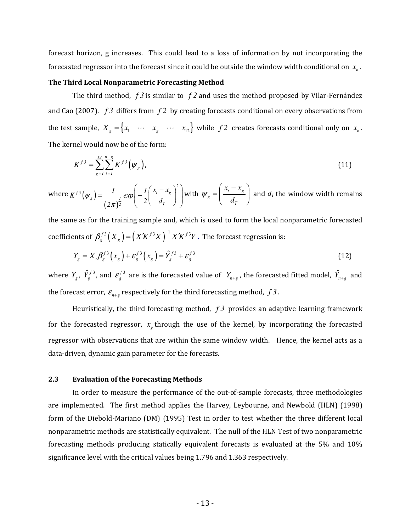forecast horizon, g increases. This could lead to a loss of information by not incorporating the forecasted regressor into the forecast since it could be outside the window width conditional on  $x_n$ .

#### The Third Local Nonparametric Forecasting Method

 The third method, *f 3* is similar to *f 2* and uses the method proposed by Vilar-Fernández and Cao (2007). *f 3* differs from *f 2* by creating forecasts conditional on every observations from the test sample,  $X_g = \begin{cases} x_1 & \cdots & x_g \cdots & x_{12} \end{cases}$  while  $f2$  creates forecasts conditional only on  $x_n$ . The kernel would now be of the form:

$$
K^{f^3} = \sum_{g=1}^{12} \sum_{t=1}^{n+g} K^{f^3} \left( \psi_g \right), \tag{11}
$$

where  $K^{f \beta}\big(\pmb{\psi}_g\big)$  $(2\pi)$ *2*  $f_3(y) = \frac{1}{2} \sin \left| \frac{1}{y} \right| \frac{\lambda_t}{\lambda_g}$  $g$   $J$   $1$ 2  $\left( \begin{array}{c} 2 \\ 1 \end{array} \right)$  $K^{f3}(\psi_{\varphi}) = \frac{1}{\psi_{\varphi}}exp\left(-\frac{1}{2}\right)\frac{x_{\varphi}-x_{\varphi}}{x_{\varphi}}$  $(\psi_{g}) = \frac{1}{(2\pi)^{\frac{1}{2}}} exp\left(-\frac{1}{2}\right)$ π  $=\frac{1}{(2\pi)^{\frac{1}{2}}}exp\left(-\frac{1}{2}\left(\frac{x_{t}-x_{g}}{d_{T}}\right)^{2}\right)$  with  $\psi_{g}=\left(\frac{x_{t}-x_{g}}{d_{T}}\right)$ *T*  $x<sub>t</sub> - x$  $\mathcal{W}_g = \begin{pmatrix} -b & c \end{pmatrix}$  $\left( x_{t}-x_{\sigma }\right)$  $=\left(\frac{a_r-a_g}{d_r}\right)$  and  $d_r$  the window width remains

the same as for the training sample and, which is used to form the local nonparametric forecasted coefficients of  $\beta _{g}^{f3}\left( X_{g}\right) =\left( XK^{f3}X\right) ^{-1}X'K^{f3}Y$  . The forecast regression is:

$$
Y_g = X_t \beta_s^{f^3}(x_g) + \varepsilon_s^{f^3}(x_g) = \hat{Y}_g^{f^3} + \varepsilon_s^{f^3}
$$
 (12)

where  $Y_g$ ,  $\hat{Y}_g^{f3}$ , and  $\varepsilon_g^{f3}$  $g^{f3}$  are is the forecasted value of  $Y_{n+g}$  , the forecasted fitted model,  $\hat{Y}_{n+g}$  and the forecast error,  $\mathcal{E}_{n+g}$  respectively for the third forecasting method,  $f \mathcal{S}$ .

 Heuristically, the third forecasting method, *f 3* provides an adaptive learning framework for the forecasted regressor,  $x_g$  through the use of the kernel, by incorporating the forecasted regressor with observations that are within the same window width. Hence, the kernel acts as a data-driven, dynamic gain parameter for the forecasts.

#### 2.3 Evaluation of the Forecasting Methods

 In order to measure the performance of the out-of-sample forecasts, three methodologies are implemented. The first method applies the Harvey, Leybourne, and Newbold (HLN) (1998) form of the Diebold-Mariano (DM) (1995) Test in order to test whether the three different local nonparametric methods are statistically equivalent. The null of the HLN Test of two nonparametric forecasting methods producing statically equivalent forecasts is evaluated at the 5% and 10% significance level with the critical values being 1.796 and 1.363 respectively.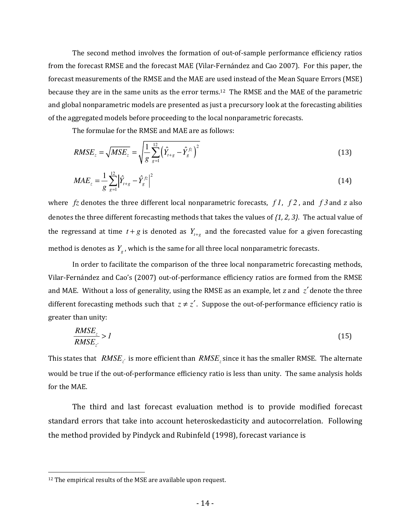The second method involves the formation of out-of-sample performance efficiency ratios from the forecast RMSE and the forecast MAE (Vilar-Fernández and Cao 2007). For this paper, the forecast measurements of the RMSE and the MAE are used instead of the Mean Square Errors (MSE) because they are in the same units as the error terms.12 The RMSE and the MAE of the parametric and global nonparametric models are presented as just a precursory look at the forecasting abilities of the aggregated models before proceeding to the local nonparametric forecasts.

The formulae for the RMSE and MAE are as follows:

$$
RMSE_z = \sqrt{MSE_z} = \sqrt{\frac{1}{g} \sum_{g=1}^{12} (\hat{Y}_{t+g} - \hat{Y}_{g}^{fz})^2}
$$
(13)

$$
MAE_z = \frac{1}{g} \sum_{g=1}^{12} \left| \hat{Y}_{t+g} - \hat{Y}_{g}^{fz} \right|^2 \tag{14}
$$

where  $f\mathbf{z}$  denotes the three different local nonparametric forecasts,  $f\mathbf{1}$ ,  $f\mathbf{2}$ , and  $f\mathbf{3}$  and  $z$  also denotes the three different forecasting methods that takes the values of {1, 2, 3}. The actual value of the regressand at time  $t + g$  is denoted as  $Y_{t+g}$  and the forecasted value for a given forecasting method is denotes as *Y<sup>g</sup>* , which is the same for all three local nonparametric forecasts.

 In order to facilitate the comparison of the three local nonparametric forecasting methods, Vilar-Fernández and Cao's (2007) out-of-performance efficiency ratios are formed from the RMSE and MAE. Without a loss of generality, using the RMSE as an example, let z and *z*′ denote the three different forecasting methods such that  $z \neq z'$ . Suppose the out-of-performance efficiency ratio is greater than unity:

$$
\frac{RMSE_z}{RMSE_{z'}} > l \tag{15}
$$

This states that *RMSEz*′ is more efficient than *RMSE<sup>z</sup>* since it has the smaller RMSE. The alternate would be true if the out-of-performance efficiency ratio is less than unity. The same analysis holds for the MAE.

 The third and last forecast evaluation method is to provide modified forecast standard errors that take into account heteroskedasticity and autocorrelation. Following the method provided by Pindyck and Rubinfeld (1998), forecast variance is

-

<sup>&</sup>lt;sup>12</sup> The empirical results of the MSE are available upon request.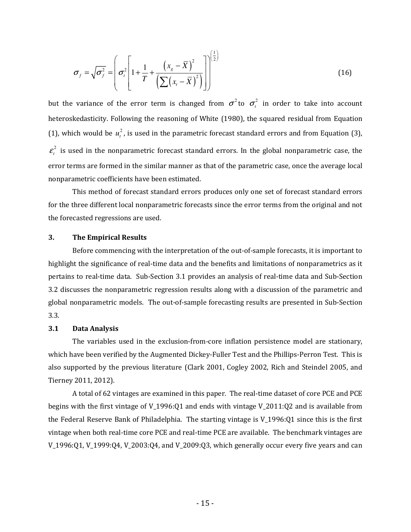$$
\sigma_f = \sqrt{\sigma_f^2} = \left(\sigma_t^2 \left[1 + \frac{1}{T} + \frac{\left(x_s - \overline{X}\right)^2}{\left(\sum (x_t - \overline{X})^2\right)}\right]\right)^{\left(\frac{1}{2}\right)}
$$
(16)

but the variance of the error term is changed from  $\sigma^2$  to  $\sigma_t^2$  in order to take into account heteroskedasticity. Following the reasoning of White (1980), the squared residual from Equation (1), which would be  $u_t^2$ , is used in the parametric forecast standard errors and from Equation (3), 2  $\varepsilon_t^2$  is used in the nonparametric forecast standard errors. In the global nonparametric case, the error terms are formed in the similar manner as that of the parametric case, once the average local nonparametric coefficients have been estimated.

 This method of forecast standard errors produces only one set of forecast standard errors for the three different local nonparametric forecasts since the error terms from the original and not the forecasted regressions are used.

#### 3. The Empirical Results

Before commencing with the interpretation of the out-of-sample forecasts, it is important to highlight the significance of real-time data and the benefits and limitations of nonparametrics as it pertains to real-time data. Sub-Section 3.1 provides an analysis of real-time data and Sub-Section 3.2 discusses the nonparametric regression results along with a discussion of the parametric and global nonparametric models. The out-of-sample forecasting results are presented in Sub-Section 3.3.

#### 3.1 Data Analysis

The variables used in the exclusion-from-core inflation persistence model are stationary, which have been verified by the Augmented Dickey-Fuller Test and the Phillips-Perron Test. This is also supported by the previous literature (Clark 2001, Cogley 2002, Rich and Steindel 2005, and Tierney 2011, 2012).

A total of 62 vintages are examined in this paper. The real-time dataset of core PCE and PCE begins with the first vintage of V\_1996:Q1 and ends with vintage V\_2011:Q2 and is available from the Federal Reserve Bank of Philadelphia. The starting vintage is V\_1996:Q1 since this is the first vintage when both real-time core PCE and real-time PCE are available. The benchmark vintages are V\_1996:Q1, V\_1999:Q4, V\_2003:Q4, and V\_2009:Q3, which generally occur every five years and can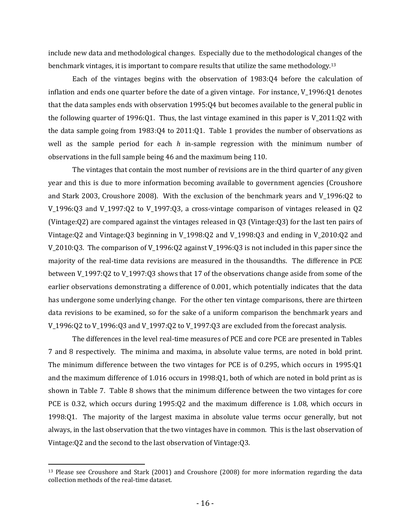include new data and methodological changes. Especially due to the methodological changes of the benchmark vintages, it is important to compare results that utilize the same methodology.<sup>13</sup>

Each of the vintages begins with the observation of 1983:Q4 before the calculation of inflation and ends one quarter before the date of a given vintage. For instance, V\_1996:Q1 denotes that the data samples ends with observation 1995:Q4 but becomes available to the general public in the following quarter of 1996:Q1. Thus, the last vintage examined in this paper is V\_2011:Q2 with the data sample going from 1983:Q4 to 2011:Q1. Table 1 provides the number of observations as well as the sample period for each  $h$  in-sample regression with the minimum number of observations in the full sample being 46 and the maximum being 110.

The vintages that contain the most number of revisions are in the third quarter of any given year and this is due to more information becoming available to government agencies (Croushore and Stark 2003, Croushore 2008). With the exclusion of the benchmark years and V\_1996:Q2 to V\_1996:Q3 and V\_1997:Q2 to V\_1997:Q3, a cross-vintage comparison of vintages released in Q2 (Vintage:Q2) are compared against the vintages released in Q3 (Vintage:Q3) for the last ten pairs of Vintage:Q2 and Vintage:Q3 beginning in V\_1998:Q2 and V\_1998:Q3 and ending in V\_2010:Q2 and V\_2010:Q3. The comparison of V\_1996:Q2 against V\_1996:Q3 is not included in this paper since the majority of the real-time data revisions are measured in the thousandths. The difference in PCE between V\_1997:Q2 to V\_1997:Q3 shows that 17 of the observations change aside from some of the earlier observations demonstrating a difference of 0.001, which potentially indicates that the data has undergone some underlying change. For the other ten vintage comparisons, there are thirteen data revisions to be examined, so for the sake of a uniform comparison the benchmark years and V\_1996:Q2 to V\_1996:Q3 and V\_1997:Q2 to V\_1997:Q3 are excluded from the forecast analysis.

The differences in the level real-time measures of PCE and core PCE are presented in Tables 7 and 8 respectively. The minima and maxima, in absolute value terms, are noted in bold print. The minimum difference between the two vintages for PCE is of 0.295, which occurs in 1995:Q1 and the maximum difference of 1.016 occurs in 1998:Q1, both of which are noted in bold print as is shown in Table 7. Table 8 shows that the minimum difference between the two vintages for core PCE is 0.32, which occurs during 1995:Q2 and the maximum difference is 1.08, which occurs in 1998:Q1. The majority of the largest maxima in absolute value terms occur generally, but not always, in the last observation that the two vintages have in common. This is the last observation of Vintage:Q2 and the second to the last observation of Vintage:Q3.

<sup>&</sup>lt;sup>13</sup> Please see Croushore and Stark (2001) and Croushore (2008) for more information regarding the data collection methods of the real-time dataset.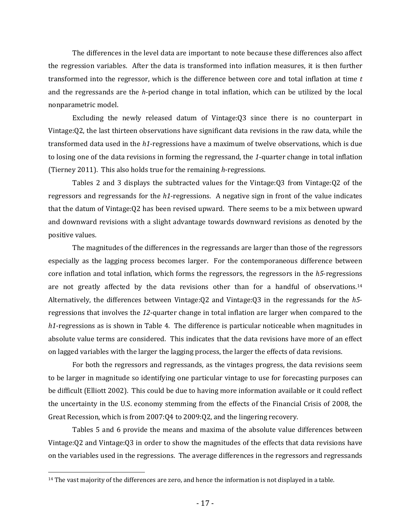The differences in the level data are important to note because these differences also affect the regression variables. After the data is transformed into inflation measures, it is then further transformed into the regressor, which is the difference between core and total inflation at time  $t$ and the regressands are the h-period change in total inflation, which can be utilized by the local nonparametric model.

Excluding the newly released datum of Vintage:Q3 since there is no counterpart in Vintage:Q2, the last thirteen observations have significant data revisions in the raw data, while the transformed data used in the h1-regressions have a maximum of twelve observations, which is due to losing one of the data revisions in forming the regressand, the 1-quarter change in total inflation (Tierney 2011). This also holds true for the remaining h-regressions.

Tables 2 and 3 displays the subtracted values for the Vintage:Q3 from Vintage:Q2 of the regressors and regressands for the h1-regressions. A negative sign in front of the value indicates that the datum of Vintage:Q2 has been revised upward. There seems to be a mix between upward and downward revisions with a slight advantage towards downward revisions as denoted by the positive values.

The magnitudes of the differences in the regressands are larger than those of the regressors especially as the lagging process becomes larger. For the contemporaneous difference between core inflation and total inflation, which forms the regressors, the regressors in the  $h5$ -regressions are not greatly affected by the data revisions other than for a handful of observations.<sup>14</sup> Alternatively, the differences between Vintage:  $Q2$  and Vintage:  $Q3$  in the regressands for the h5regressions that involves the 12-quarter change in total inflation are larger when compared to the h1-regressions as is shown in Table 4. The difference is particular noticeable when magnitudes in absolute value terms are considered. This indicates that the data revisions have more of an effect on lagged variables with the larger the lagging process, the larger the effects of data revisions.

For both the regressors and regressands, as the vintages progress, the data revisions seem to be larger in magnitude so identifying one particular vintage to use for forecasting purposes can be difficult (Elliott 2002). This could be due to having more information available or it could reflect the uncertainty in the U.S. economy stemming from the effects of the Financial Crisis of 2008, the Great Recession, which is from 2007:Q4 to 2009:Q2, and the lingering recovery.

Tables 5 and 6 provide the means and maxima of the absolute value differences between Vintage:Q2 and Vintage:Q3 in order to show the magnitudes of the effects that data revisions have on the variables used in the regressions. The average differences in the regressors and regressands

-

<sup>&</sup>lt;sup>14</sup> The vast majority of the differences are zero, and hence the information is not displayed in a table.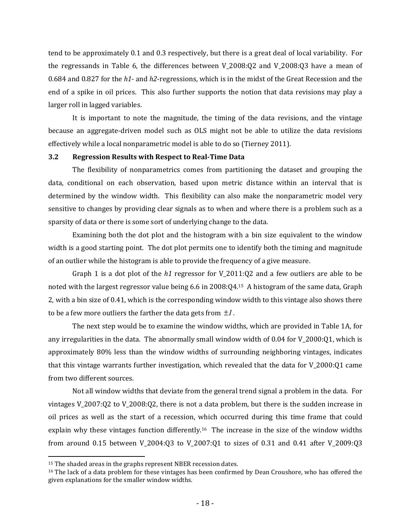tend to be approximately 0.1 and 0.3 respectively, but there is a great deal of local variability. For the regressands in Table 6, the differences between V\_2008:Q2 and V\_2008:Q3 have a mean of 0.684 and 0.827 for the  $h1$ - and  $h2$ -regressions, which is in the midst of the Great Recession and the end of a spike in oil prices. This also further supports the notion that data revisions may play a larger roll in lagged variables.

It is important to note the magnitude, the timing of the data revisions, and the vintage because an aggregate-driven model such as OLS might not be able to utilize the data revisions effectively while a local nonparametric model is able to do so (Tierney 2011).

## 3.2 Regression Results with Respect to Real-Time Data

The flexibility of nonparametrics comes from partitioning the dataset and grouping the data, conditional on each observation, based upon metric distance within an interval that is determined by the window width. This flexibility can also make the nonparametric model very sensitive to changes by providing clear signals as to when and where there is a problem such as a sparsity of data or there is some sort of underlying change to the data.

Examining both the dot plot and the histogram with a bin size equivalent to the window width is a good starting point. The dot plot permits one to identify both the timing and magnitude of an outlier while the histogram is able to provide the frequency of a give measure.

Graph 1 is a dot plot of the  $h1$  regressor for V\_2011:Q2 and a few outliers are able to be noted with the largest regressor value being 6.6 in 2008:Q4.15 A histogram of the same data, Graph 2, with a bin size of 0.41, which is the corresponding window width to this vintage also shows there to be a few more outliers the farther the data gets from  $\pm 1$ .

The next step would be to examine the window widths, which are provided in Table 1A, for any irregularities in the data. The abnormally small window width of 0.04 for V\_2000:Q1, which is approximately 80% less than the window widths of surrounding neighboring vintages, indicates that this vintage warrants further investigation, which revealed that the data for V\_2000:Q1 came from two different sources.

Not all window widths that deviate from the general trend signal a problem in the data. For vintages V\_2007:Q2 to V\_2008:Q2, there is not a data problem, but there is the sudden increase in oil prices as well as the start of a recession, which occurred during this time frame that could explain why these vintages function differently.16 The increase in the size of the window widths from around 0.15 between V\_2004:Q3 to V\_2007:Q1 to sizes of 0.31 and 0.41 after V\_2009:Q3

<sup>&</sup>lt;sup>15</sup> The shaded areas in the graphs represent NBER recession dates.

<sup>&</sup>lt;sup>16</sup> The lack of a data problem for these vintages has been confirmed by Dean Croushore, who has offered the given explanations for the smaller window widths.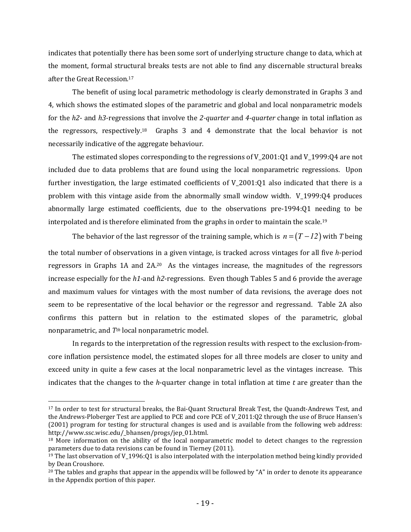indicates that potentially there has been some sort of underlying structure change to data, which at the moment, formal structural breaks tests are not able to find any discernable structural breaks after the Great Recession.<sup>17</sup>

The benefit of using local parametric methodology is clearly demonstrated in Graphs 3 and 4, which shows the estimated slopes of the parametric and global and local nonparametric models for the  $h2$ - and  $h3$ -regressions that involve the 2-quarter and 4-quarter change in total inflation as the regressors, respectively.18 Graphs 3 and 4 demonstrate that the local behavior is not necessarily indicative of the aggregate behaviour.

The estimated slopes corresponding to the regressions of V\_2001:Q1 and V\_1999:Q4 are not included due to data problems that are found using the local nonparametric regressions. Upon further investigation, the large estimated coefficients of V 2001:Q1 also indicated that there is a problem with this vintage aside from the abnormally small window width. V\_1999:Q4 produces abnormally large estimated coefficients, due to the observations pre-1994:Q1 needing to be interpolated and is therefore eliminated from the graphs in order to maintain the scale.<sup>19</sup>

The behavior of the last regressor of the training sample, which is  $n = (T - 12)$  with T being the total number of observations in a given vintage, is tracked across vintages for all five h-period regressors in Graphs 1A and 2A.20 As the vintages increase, the magnitudes of the regressors increase especially for the  $h1$ -and  $h2$ -regressions. Even though Tables 5 and 6 provide the average and maximum values for vintages with the most number of data revisions, the average does not seem to be representative of the local behavior or the regressor and regressand. Table 2A also confirms this pattern but in relation to the estimated slopes of the parametric, global nonparametric, and  $T<sup>th</sup>$  local nonparametric model.

In regards to the interpretation of the regression results with respect to the exclusion-fromcore inflation persistence model, the estimated slopes for all three models are closer to unity and exceed unity in quite a few cases at the local nonparametric level as the vintages increase. This indicates that the changes to the h-quarter change in total inflation at time  $t$  are greater than the

<sup>17</sup> In order to test for structural breaks, the Bai-Quant Structural Break Test, the Quandt-Andrews Test, and the Andrews-Ploberger Test are applied to PCE and core PCE of V\_2011:Q2 through the use of Bruce Hansen's (2001) program for testing for structural changes is used and is available from the following web address: http://www.ssc.wisc.edu/\_bhansen/progs/jep\_01.html.

<sup>&</sup>lt;sup>18</sup> More information on the ability of the local nonparametric model to detect changes to the regression parameters due to data revisions can be found in Tierney (2011).

<sup>&</sup>lt;sup>19</sup> The last observation of V<sub>\_1996</sub>:Q1 is also interpolated with the interpolation method being kindly provided by Dean Croushore.

 $20$  The tables and graphs that appear in the appendix will be followed by "A" in order to denote its appearance in the Appendix portion of this paper.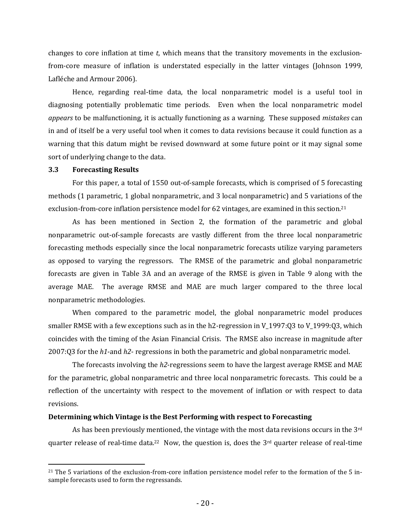changes to core inflation at time  $t$ , which means that the transitory movements in the exclusionfrom-core measure of inflation is understated especially in the latter vintages (Johnson 1999, Lafléche and Armour 2006).

Hence, regarding real-time data, the local nonparametric model is a useful tool in diagnosing potentially problematic time periods. Even when the local nonparametric model appears to be malfunctioning, it is actually functioning as a warning. These supposed mistakes can in and of itself be a very useful tool when it comes to data revisions because it could function as a warning that this datum might be revised downward at some future point or it may signal some sort of underlying change to the data.

#### 3.3 Forecasting Results

<u>.</u>

 For this paper, a total of 1550 out-of-sample forecasts, which is comprised of 5 forecasting methods (1 parametric, 1 global nonparametric, and 3 local nonparametric) and 5 variations of the exclusion-from-core inflation persistence model for 62 vintages, are examined in this section.<sup>21</sup>

 As has been mentioned in Section 2, the formation of the parametric and global nonparametric out-of-sample forecasts are vastly different from the three local nonparametric forecasting methods especially since the local nonparametric forecasts utilize varying parameters as opposed to varying the regressors. The RMSE of the parametric and global nonparametric forecasts are given in Table 3A and an average of the RMSE is given in Table 9 along with the average MAE. The average RMSE and MAE are much larger compared to the three local nonparametric methodologies.

 When compared to the parametric model, the global nonparametric model produces smaller RMSE with a few exceptions such as in the h2-regression in V\_1997:Q3 to V\_1999:Q3, which coincides with the timing of the Asian Financial Crisis. The RMSE also increase in magnitude after 2007:Q3 for the  $h1$ -and  $h2$ - regressions in both the parametric and global nonparametric model.

 The forecasts involving the h2-regressions seem to have the largest average RMSE and MAE for the parametric, global nonparametric and three local nonparametric forecasts. This could be a reflection of the uncertainty with respect to the movement of inflation or with respect to data revisions.

#### Determining which Vintage is the Best Performing with respect to Forecasting

 As has been previously mentioned, the vintage with the most data revisions occurs in the 3rd quarter release of real-time data.<sup>22</sup> Now, the question is, does the 3<sup>rd</sup> quarter release of real-time

<sup>&</sup>lt;sup>21</sup> The 5 variations of the exclusion-from-core inflation persistence model refer to the formation of the 5 insample forecasts used to form the regressands.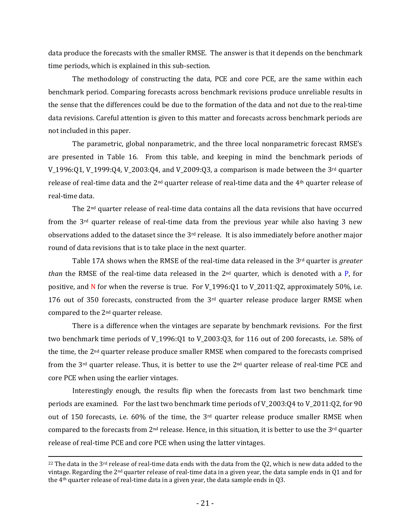data produce the forecasts with the smaller RMSE. The answer is that it depends on the benchmark time periods, which is explained in this sub-section.

 The methodology of constructing the data, PCE and core PCE, are the same within each benchmark period. Comparing forecasts across benchmark revisions produce unreliable results in the sense that the differences could be due to the formation of the data and not due to the real-time data revisions. Careful attention is given to this matter and forecasts across benchmark periods are not included in this paper.

 The parametric, global nonparametric, and the three local nonparametric forecast RMSE's are presented in Table 16. From this table, and keeping in mind the benchmark periods of V\_1996:Q1, V\_1999:Q4, V\_2003:Q4, and V\_2009:Q3, a comparison is made between the 3<sup>rd</sup> quarter release of real-time data and the  $2<sup>nd</sup>$  quarter release of real-time data and the 4<sup>th</sup> quarter release of real-time data.

 The 2nd quarter release of real-time data contains all the data revisions that have occurred from the 3rd quarter release of real-time data from the previous year while also having 3 new observations added to the dataset since the  $3<sup>rd</sup>$  release. It is also immediately before another major round of data revisions that is to take place in the next quarter.

Table 17A shows when the RMSE of the real-time data released in the  $3<sup>rd</sup>$  quarter is *greater* than the RMSE of the real-time data released in the  $2<sup>nd</sup>$  quarter, which is denoted with a P, for positive, and N for when the reverse is true. For  $V_1996:Q1$  to  $V_2011:Q2$ , approximately 50%, i.e. 176 out of 350 forecasts, constructed from the  $3<sup>rd</sup>$  quarter release produce larger RMSE when compared to the 2nd quarter release.

 There is a difference when the vintages are separate by benchmark revisions. For the first two benchmark time periods of V\_1996:Q1 to V\_2003:Q3, for 116 out of 200 forecasts, i.e. 58% of the time, the 2nd quarter release produce smaller RMSE when compared to the forecasts comprised from the 3rd quarter release. Thus, it is better to use the 2nd quarter release of real-time PCE and core PCE when using the earlier vintages.

 Interestingly enough, the results flip when the forecasts from last two benchmark time periods are examined. For the last two benchmark time periods of V\_2003:Q4 to V\_2011:Q2, for 90 out of 150 forecasts, i.e. 60% of the time, the  $3<sup>rd</sup>$  quarter release produce smaller RMSE when compared to the forecasts from 2<sup>nd</sup> release. Hence, in this situation, it is better to use the 3<sup>rd</sup> quarter release of real-time PCE and core PCE when using the latter vintages.

 $\overline{a}$ 

 $^{22}$  The data in the 3<sup>rd</sup> release of real-time data ends with the data from the Q2, which is new data added to the vintage. Regarding the 2nd quarter release of real-time data in a given year, the data sample ends in Q1 and for the  $4<sup>th</sup>$  quarter release of real-time data in a given year, the data sample ends in Q3.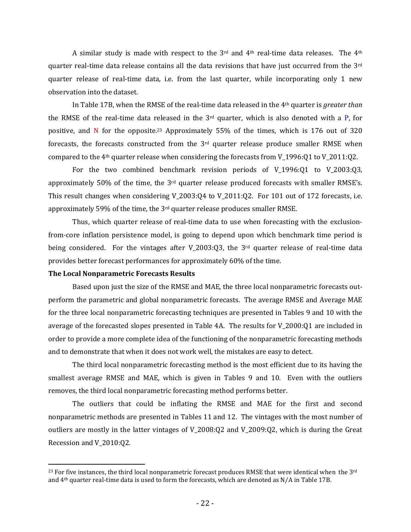A similar study is made with respect to the  $3<sup>rd</sup>$  and  $4<sup>th</sup>$  real-time data releases. The  $4<sup>th</sup>$ quarter real-time data release contains all the data revisions that have just occurred from the 3rd quarter release of real-time data, i.e. from the last quarter, while incorporating only 1 new observation into the dataset.

In Table 17B, when the RMSE of the real-time data released in the  $4<sup>th</sup>$  quarter is *greater than* the RMSE of the real-time data released in the  $3<sup>rd</sup>$  quarter, which is also denoted with a P, for positive, and N for the opposite.23 Approximately 55% of the times, which is 176 out of 320 forecasts, the forecasts constructed from the 3rd quarter release produce smaller RMSE when compared to the 4th quarter release when considering the forecasts from V\_1996:Q1 to V\_2011:Q2.

 For the two combined benchmark revision periods of V\_1996:Q1 to V\_2003:Q3, approximately 50% of the time, the  $3<sup>rd</sup>$  quarter release produced forecasts with smaller RMSE's. This result changes when considering V\_2003:Q4 to V\_2011:Q2. For 101 out of 172 forecasts, i.e. approximately 59% of the time, the 3rd quarter release produces smaller RMSE.

 Thus, which quarter release of real-time data to use when forecasting with the exclusionfrom-core inflation persistence model, is going to depend upon which benchmark time period is being considered. For the vintages after V 2003:Q3, the  $3<sup>rd</sup>$  quarter release of real-time data provides better forecast performances for approximately 60% of the time.

## The Local Nonparametric Forecasts Results

<u>.</u>

 Based upon just the size of the RMSE and MAE, the three local nonparametric forecasts outperform the parametric and global nonparametric forecasts. The average RMSE and Average MAE for the three local nonparametric forecasting techniques are presented in Tables 9 and 10 with the average of the forecasted slopes presented in Table 4A. The results for V\_2000:Q1 are included in order to provide a more complete idea of the functioning of the nonparametric forecasting methods and to demonstrate that when it does not work well, the mistakes are easy to detect.

 The third local nonparametric forecasting method is the most efficient due to its having the smallest average RMSE and MAE, which is given in Tables 9 and 10. Even with the outliers removes, the third local nonparametric forecasting method performs better.

 The outliers that could be inflating the RMSE and MAE for the first and second nonparametric methods are presented in Tables 11 and 12. The vintages with the most number of outliers are mostly in the latter vintages of V\_2008:Q2 and V\_2009:Q2, which is during the Great Recession and V\_2010:Q2.

<sup>&</sup>lt;sup>23</sup> For five instances, the third local nonparametric forecast produces RMSE that were identical when the  $3<sup>rd</sup>$ and 4th quarter real-time data is used to form the forecasts, which are denoted as N/A in Table 17B.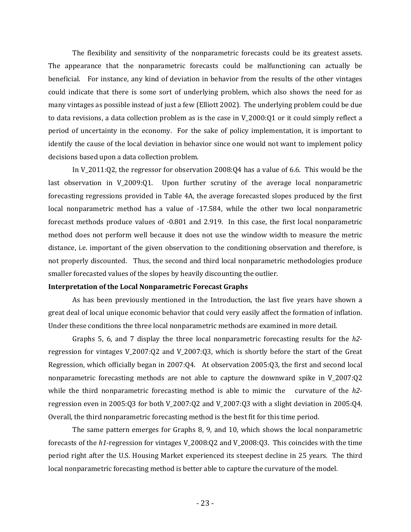The flexibility and sensitivity of the nonparametric forecasts could be its greatest assets. The appearance that the nonparametric forecasts could be malfunctioning can actually be beneficial. For instance, any kind of deviation in behavior from the results of the other vintages could indicate that there is some sort of underlying problem, which also shows the need for as many vintages as possible instead of just a few (Elliott 2002). The underlying problem could be due to data revisions, a data collection problem as is the case in V\_2000:Q1 or it could simply reflect a period of uncertainty in the economy. For the sake of policy implementation, it is important to identify the cause of the local deviation in behavior since one would not want to implement policy decisions based upon a data collection problem.

 In V\_2011:Q2, the regressor for observation 2008:Q4 has a value of 6.6. This would be the last observation in V<sub>2009</sub>:Q1. Upon further scrutiny of the average local nonparametric forecasting regressions provided in Table 4A, the average forecasted slopes produced by the first local nonparametric method has a value of -17.584, while the other two local nonparametric forecast methods produce values of -0.801 and 2.919. In this case, the first local nonparametric method does not perform well because it does not use the window width to measure the metric distance, i.e. important of the given observation to the conditioning observation and therefore, is not properly discounted. Thus, the second and third local nonparametric methodologies produce smaller forecasted values of the slopes by heavily discounting the outlier.

#### Interpretation of the Local Nonparametric Forecast Graphs

As has been previously mentioned in the Introduction, the last five years have shown a great deal of local unique economic behavior that could very easily affect the formation of inflation. Under these conditions the three local nonparametric methods are examined in more detail.

Graphs 5, 6, and 7 display the three local nonparametric forecasting results for the  $h2$ regression for vintages V\_2007:Q2 and V\_2007:Q3, which is shortly before the start of the Great Regression, which officially began in 2007:Q4. At observation 2005:Q3, the first and second local nonparametric forecasting methods are not able to capture the downward spike in V\_2007:Q2 while the third nonparametric forecasting method is able to mimic the curvature of the  $h2$ regression even in 2005:Q3 for both V\_2007:Q2 and V\_2007:Q3 with a slight deviation in 2005:Q4. Overall, the third nonparametric forecasting method is the best fit for this time period.

 The same pattern emerges for Graphs 8, 9, and 10, which shows the local nonparametric forecasts of the  $h1$ -regression for vintages V\_2008:Q2 and V\_2008:Q3. This coincides with the time period right after the U.S. Housing Market experienced its steepest decline in 25 years. The third local nonparametric forecasting method is better able to capture the curvature of the model.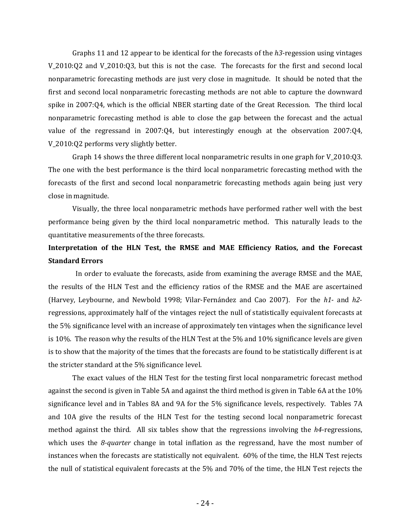Graphs 11 and 12 appear to be identical for the forecasts of the  $h3$ -regession using vintages V\_2010:Q2 and V\_2010:Q3, but this is not the case. The forecasts for the first and second local nonparametric forecasting methods are just very close in magnitude. It should be noted that the first and second local nonparametric forecasting methods are not able to capture the downward spike in 2007:Q4, which is the official NBER starting date of the Great Recession. The third local nonparametric forecasting method is able to close the gap between the forecast and the actual value of the regressand in 2007:Q4, but interestingly enough at the observation 2007:Q4, V\_2010:Q2 performs very slightly better.

 Graph 14 shows the three different local nonparametric results in one graph for V\_2010:Q3. The one with the best performance is the third local nonparametric forecasting method with the forecasts of the first and second local nonparametric forecasting methods again being just very close in magnitude.

 Visually, the three local nonparametric methods have performed rather well with the best performance being given by the third local nonparametric method. This naturally leads to the quantitative measurements of the three forecasts.

# Interpretation of the HLN Test, the RMSE and MAE Efficiency Ratios, and the Forecast Standard Errors

 In order to evaluate the forecasts, aside from examining the average RMSE and the MAE, the results of the HLN Test and the efficiency ratios of the RMSE and the MAE are ascertained (Harvey, Leybourne, and Newbold 1998; Vilar-Fernández and Cao 2007). For the h1- and h2 regressions, approximately half of the vintages reject the null of statistically equivalent forecasts at the 5% significance level with an increase of approximately ten vintages when the significance level is 10%. The reason why the results of the HLN Test at the 5% and 10% significance levels are given is to show that the majority of the times that the forecasts are found to be statistically different is at the stricter standard at the 5% significance level.

 The exact values of the HLN Test for the testing first local nonparametric forecast method against the second is given in Table 5A and against the third method is given in Table 6A at the 10% significance level and in Tables 8A and 9A for the 5% significance levels, respectively. Tables 7A and 10A give the results of the HLN Test for the testing second local nonparametric forecast method against the third. All six tables show that the regressions involving the  $h4$ -regressions, which uses the 8-quarter change in total inflation as the regressand, have the most number of instances when the forecasts are statistically not equivalent. 60% of the time, the HLN Test rejects the null of statistical equivalent forecasts at the 5% and 70% of the time, the HLN Test rejects the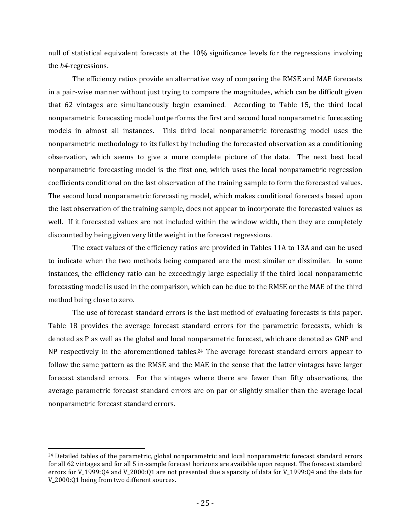null of statistical equivalent forecasts at the 10% significance levels for the regressions involving the h4-regressions.

 The efficiency ratios provide an alternative way of comparing the RMSE and MAE forecasts in a pair-wise manner without just trying to compare the magnitudes, which can be difficult given that 62 vintages are simultaneously begin examined. According to Table 15, the third local nonparametric forecasting model outperforms the first and second local nonparametric forecasting models in almost all instances. This third local nonparametric forecasting model uses the nonparametric methodology to its fullest by including the forecasted observation as a conditioning observation, which seems to give a more complete picture of the data. The next best local nonparametric forecasting model is the first one, which uses the local nonparametric regression coefficients conditional on the last observation of the training sample to form the forecasted values. The second local nonparametric forecasting model, which makes conditional forecasts based upon the last observation of the training sample, does not appear to incorporate the forecasted values as well. If it forecasted values are not included within the window width, then they are completely discounted by being given very little weight in the forecast regressions.

 The exact values of the efficiency ratios are provided in Tables 11A to 13A and can be used to indicate when the two methods being compared are the most similar or dissimilar. In some instances, the efficiency ratio can be exceedingly large especially if the third local nonparametric forecasting model is used in the comparison, which can be due to the RMSE or the MAE of the third method being close to zero.

 The use of forecast standard errors is the last method of evaluating forecasts is this paper. Table 18 provides the average forecast standard errors for the parametric forecasts, which is denoted as P as well as the global and local nonparametric forecast, which are denoted as GNP and NP respectively in the aforementioned tables.<sup>24</sup> The average forecast standard errors appear to follow the same pattern as the RMSE and the MAE in the sense that the latter vintages have larger forecast standard errors. For the vintages where there are fewer than fifty observations, the average parametric forecast standard errors are on par or slightly smaller than the average local nonparametric forecast standard errors.

<sup>&</sup>lt;sup>24</sup> Detailed tables of the parametric, global nonparametric and local nonparametric forecast standard errors for all 62 vintages and for all 5 in-sample forecast horizons are available upon request. The forecast standard errors for V\_1999:Q4 and V\_2000:O1 are not presented due a sparsity of data for V\_1999:Q4 and the data for V\_2000:Q1 being from two different sources.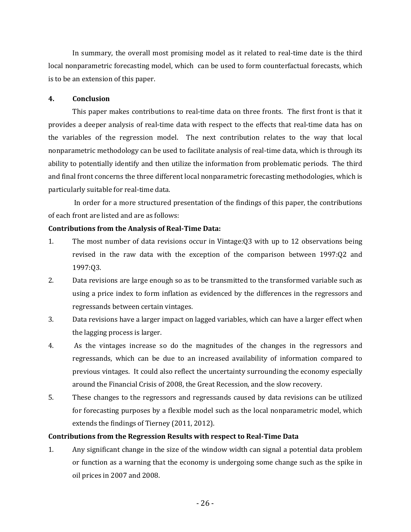In summary, the overall most promising model as it related to real-time date is the third local nonparametric forecasting model, which can be used to form counterfactual forecasts, which is to be an extension of this paper.

# 4. Conclusion

 This paper makes contributions to real-time data on three fronts. The first front is that it provides a deeper analysis of real-time data with respect to the effects that real-time data has on the variables of the regression model. The next contribution relates to the way that local nonparametric methodology can be used to facilitate analysis of real-time data, which is through its ability to potentially identify and then utilize the information from problematic periods. The third and final front concerns the three different local nonparametric forecasting methodologies, which is particularly suitable for real-time data.

 In order for a more structured presentation of the findings of this paper, the contributions of each front are listed and are as follows:

# Contributions from the Analysis of Real-Time Data:

- 1. The most number of data revisions occur in Vintage:Q3 with up to 12 observations being revised in the raw data with the exception of the comparison between 1997:Q2 and 1997:Q3.
- 2. Data revisions are large enough so as to be transmitted to the transformed variable such as using a price index to form inflation as evidenced by the differences in the regressors and regressands between certain vintages.
- 3. Data revisions have a larger impact on lagged variables, which can have a larger effect when the lagging process is larger.
- 4. As the vintages increase so do the magnitudes of the changes in the regressors and regressands, which can be due to an increased availability of information compared to previous vintages. It could also reflect the uncertainty surrounding the economy especially around the Financial Crisis of 2008, the Great Recession, and the slow recovery.
- 5. These changes to the regressors and regressands caused by data revisions can be utilized for forecasting purposes by a flexible model such as the local nonparametric model, which extends the findings of Tierney (2011, 2012).

# Contributions from the Regression Results with respect to Real-Time Data

1. Any significant change in the size of the window width can signal a potential data problem or function as a warning that the economy is undergoing some change such as the spike in oil prices in 2007 and 2008.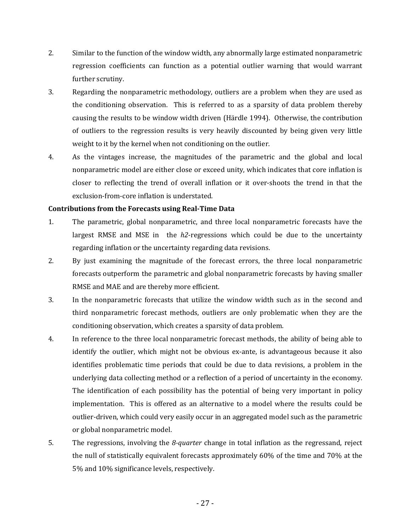- 2. Similar to the function of the window width, any abnormally large estimated nonparametric regression coefficients can function as a potential outlier warning that would warrant further scrutiny.
- 3. Regarding the nonparametric methodology, outliers are a problem when they are used as the conditioning observation. This is referred to as a sparsity of data problem thereby causing the results to be window width driven (Härdle 1994). Otherwise, the contribution of outliers to the regression results is very heavily discounted by being given very little weight to it by the kernel when not conditioning on the outlier.
- 4. As the vintages increase, the magnitudes of the parametric and the global and local nonparametric model are either close or exceed unity, which indicates that core inflation is closer to reflecting the trend of overall inflation or it over-shoots the trend in that the exclusion-from-core inflation is understated.

# Contributions from the Forecasts using Real-Time Data

- 1. The parametric, global nonparametric, and three local nonparametric forecasts have the largest RMSE and MSE in the  $h2$ -regressions which could be due to the uncertainty regarding inflation or the uncertainty regarding data revisions.
- 2. By just examining the magnitude of the forecast errors, the three local nonparametric forecasts outperform the parametric and global nonparametric forecasts by having smaller RMSE and MAE and are thereby more efficient.
- 3. In the nonparametric forecasts that utilize the window width such as in the second and third nonparametric forecast methods, outliers are only problematic when they are the conditioning observation, which creates a sparsity of data problem.
- 4. In reference to the three local nonparametric forecast methods, the ability of being able to identify the outlier, which might not be obvious ex-ante, is advantageous because it also identifies problematic time periods that could be due to data revisions, a problem in the underlying data collecting method or a reflection of a period of uncertainty in the economy. The identification of each possibility has the potential of being very important in policy implementation. This is offered as an alternative to a model where the results could be outlier-driven, which could very easily occur in an aggregated model such as the parametric or global nonparametric model.
- 5. The regressions, involving the 8-quarter change in total inflation as the regressand, reject the null of statistically equivalent forecasts approximately 60% of the time and 70% at the 5% and 10% significance levels, respectively.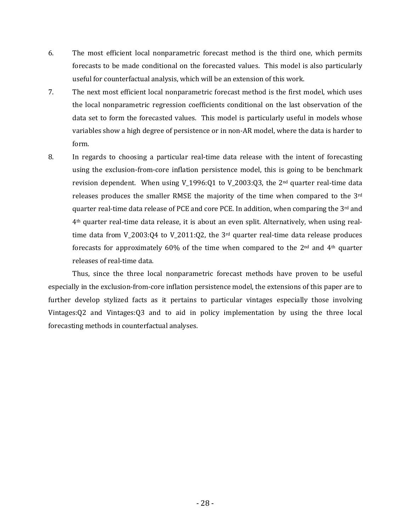- 6. The most efficient local nonparametric forecast method is the third one, which permits forecasts to be made conditional on the forecasted values. This model is also particularly useful for counterfactual analysis, which will be an extension of this work.
- 7. The next most efficient local nonparametric forecast method is the first model, which uses the local nonparametric regression coefficients conditional on the last observation of the data set to form the forecasted values. This model is particularly useful in models whose variables show a high degree of persistence or in non-AR model, where the data is harder to form.
- 8. In regards to choosing a particular real-time data release with the intent of forecasting using the exclusion-from-core inflation persistence model, this is going to be benchmark revision dependent. When using V 1996:Q1 to V 2003:Q3, the 2<sup>nd</sup> quarter real-time data releases produces the smaller RMSE the majority of the time when compared to the 3rd quarter real-time data release of PCE and core PCE. In addition, when comparing the 3<sup>rd</sup> and 4th quarter real-time data release, it is about an even split. Alternatively, when using realtime data from  $V_2003:Q4$  to  $V_2011:Q2$ , the  $3<sup>rd</sup>$  quarter real-time data release produces forecasts for approximately 60% of the time when compared to the  $2<sup>nd</sup>$  and  $4<sup>th</sup>$  quarter releases of real-time data.

 Thus, since the three local nonparametric forecast methods have proven to be useful especially in the exclusion-from-core inflation persistence model, the extensions of this paper are to further develop stylized facts as it pertains to particular vintages especially those involving Vintages:Q2 and Vintages:Q3 and to aid in policy implementation by using the three local forecasting methods in counterfactual analyses.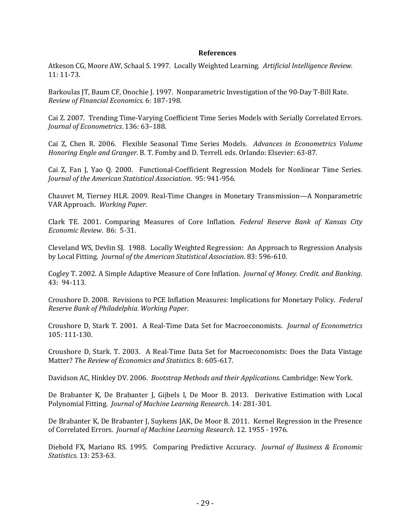#### References

Atkeson CG, Moore AW, Schaal S. 1997. Locally Weighted Learning. Artificial Intelligence Review. 11: 11-73.

Barkoulas JT, Baum CF, Onochie J. 1997. Nonparametric Investigation of the 90-Day T-Bill Rate. Review of Financial Economics. 6: 187-198.

Cai Z. 2007. Trending Time-Varying Coefficient Time Series Models with Serially Correlated Errors. Journal of Econometrics. 136: 63–188.

Cai Z, Chen R. 2006. Flexible Seasonal Time Series Models. Advances in Econometrics Volume Honoring Engle and Granger. B. T. Fomby and D. Terrell. eds. Orlando: Elsevier: 63-87.

Cai Z, Fan J, Yao Q. 2000. Functional-Coefficient Regression Models for Nonlinear Time Series. Journal of the American Statistical Association. 95: 941-956.

Chauvet M, Tierney HLR. 2009. Real-Time Changes in Monetary Transmission—A Nonparametric VAR Approach. Working Paper.

Clark TE. 2001. Comparing Measures of Core Inflation. Federal Reserve Bank of Kansas City Economic Review. 86: 5-31.

Cleveland WS, Devlin SJ. 1988. Locally Weighted Regression: An Approach to Regression Analysis by Local Fitting. Journal of the American Statistical Association. 83: 596-610.

Cogley T. 2002. A Simple Adaptive Measure of Core Inflation. Journal of Money. Credit. and Banking. 43: 94-113.

Croushore D. 2008. Revisions to PCE Inflation Measures: Implications for Monetary Policy. Federal Reserve Bank of Philadelphia. Working Paper.

Croushore D, Stark T. 2001. A Real-Time Data Set for Macroeconomists. Journal of Econometrics 105: 111-130.

Croushore D, Stark. T. 2003. A Real-Time Data Set for Macroeconomists: Does the Data Vintage Matter? The Review of Economics and Statistics. 8: 605-617.

Davidson AC, Hinkley DV. 2006. Bootstrap Methods and their Applications. Cambridge: New York.

De Brabanter K, De Brabanter J, Gijbels I, De Moor B. 2013. Derivative Estimation with Local Polynomial Fitting. Journal of Machine Learning Research. 14: 281-301.

De Brabanter K, De Brabanter J, Suykens JAK, De Moor B. 2011. Kernel Regression in the Presence of Correlated Errors. Journal of Machine Learning Research. 12. 1955 - 1976.

Diebold FX, Mariano RS. 1995. Comparing Predictive Accuracy. Journal of Business & Economic Statistics. 13: 253-63.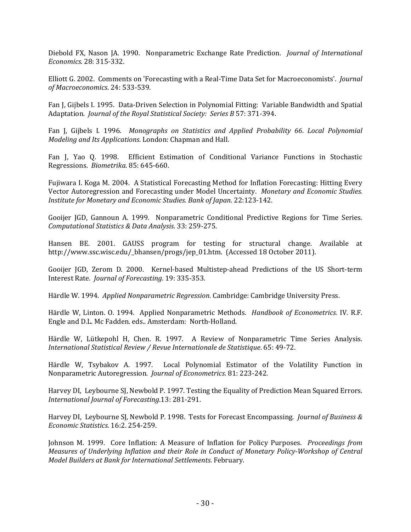Diebold FX, Nason JA. 1990. Nonparametric Exchange Rate Prediction. Journal of International Economics. 28: 315-332.

Elliott G. 2002. Comments on 'Forecasting with a Real-Time Data Set for Macroeconomists'. Journal of Macroeconomics. 24: 533-539.

Fan J, Gijbels I. 1995. Data-Driven Selection in Polynomial Fitting: Variable Bandwidth and Spatial Adaptation. Journal of the Royal Statistical Society: Series B 57: 371-394.

Fan J, Gijbels I. 1996. Monographs on Statistics and Applied Probability 66. Local Polynomial Modeling and Its Applications. London: Chapman and Hall.

Fan J, Yao Q. 1998. Efficient Estimation of Conditional Variance Functions in Stochastic Regressions. Biometrika. 85: 645-660.

Fujiwara I. Koga M. 2004. A Statistical Forecasting Method for Inflation Forecasting: Hitting Every Vector Autoregression and Forecasting under Model Uncertainty. Monetary and Economic Studies. Institute for Monetary and Economic Studies. Bank of Japan. 22:123-142.

Gooijer JGD, Gannoun A. 1999. Nonparametric Conditional Predictive Regions for Time Series. Computational Statistics & Data Analysis. 33: 259-275.

Hansen BE. 2001. GAUSS program for testing for structural change. Available at http://www.ssc.wisc.edu/\_bhansen/progs/jep\_01.htm. (Accessed 18 October 2011).

Gooijer JGD, Zerom D. 2000. Kernel-based Multistep-ahead Predictions of the US Short-term Interest Rate. Journal of Forecasting. 19: 335-353.

Härdle W. 1994. Applied Nonparametric Regression. Cambridge: Cambridge University Press.

Härdle W, Linton. O. 1994. Applied Nonparametric Methods. Handbook of Econometrics. IV. R.F. Engle and D.L. Mc Fadden. eds.. Amsterdam: North-Holland.

Härdle W, Lütkepohl H, Chen. R. 1997. A Review of Nonparametric Time Series Analysis. International Statistical Review / Revue Internationale de Statistique. 65: 49-72.

Härdle W, Tsybakov A. 1997. Local Polynomial Estimator of the Volatility Function in Nonparametric Autoregression. Journal of Econometrics. 81: 223-242.

Harvey DI, Leybourne SJ, Newbold P. 1997. Testing the Equality of Prediction Mean Squared Errors. International Journal of Forecasting.13: 281-291.

Harvey DI, Leybourne SJ, Newbold P. 1998. Tests for Forecast Encompassing. Journal of Business & Economic Statistics. 16:2. 254-259.

Johnson M. 1999. Core Inflation: A Measure of Inflation for Policy Purposes. Proceedings from Measures of Underlying Inflation and their Role in Conduct of Monetary Policy-Workshop of Central Model Builders at Bank for International Settlements. February.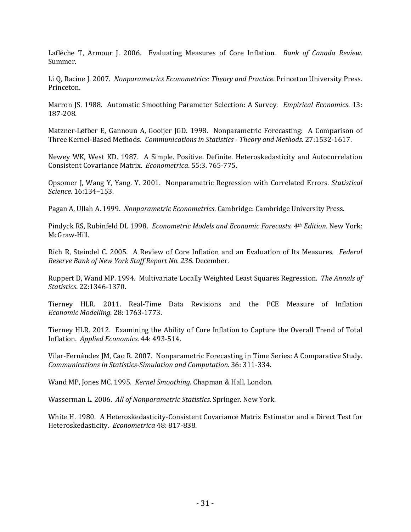Lafléche T, Armour J. 2006. Evaluating Measures of Core Inflation. Bank of Canada Review. Summer.

Li Q, Racine J. 2007. Nonparametrics Econometrics: Theory and Practice. Princeton University Press. Princeton.

Marron JS. 1988. Automatic Smoothing Parameter Selection: A Survey. *Empirical Economics*. 13: 187-208.

Matzner-Løfber E, Gannoun A, Gooijer JGD. 1998. Nonparametric Forecasting: A Comparison of Three Kernel-Based Methods. Communications in Statistics - Theory and Methods. 27:1532-1617.

Newey WK, West KD. 1987. A Simple. Positive. Definite. Heteroskedasticity and Autocorrelation Consistent Covariance Matrix. Econometrica. 55:3. 765-775.

Opsomer J, Wang Y, Yang. Y. 2001. Nonparametric Regression with Correlated Errors. Statistical Science. 16:134–153.

Pagan A, Ullah A. 1999. Nonparametric Econometrics. Cambridge: Cambridge University Press.

Pindyck RS, Rubinfeld DL 1998. Econometric Models and Economic Forecasts. 4th Edition. New York: McGraw-Hill.

Rich R, Steindel C. 2005. A Review of Core Inflation and an Evaluation of Its Measures. Federal Reserve Bank of New York Staff Report No. 236. December.

Ruppert D, Wand MP. 1994. Multivariate Locally Weighted Least Squares Regression. The Annals of Statistics. 22:1346-1370.

Tierney HLR. 2011. Real-Time Data Revisions and the PCE Measure of Inflation Economic Modelling. 28: 1763-1773.

Tierney HLR. 2012. Examining the Ability of Core Inflation to Capture the Overall Trend of Total Inflation. Applied Economics. 44: 493-514.

Vilar-Fernández JM, Cao R. 2007. Nonparametric Forecasting in Time Series: A Comparative Study. Communications in Statistics-Simulation and Computation. 36: 311-334.

Wand MP, Jones MC. 1995. Kernel Smoothing. Chapman & Hall. London.

Wasserman L. 2006. All of Nonparametric Statistics. Springer. New York.

White H. 1980. A Heteroskedasticity-Consistent Covariance Matrix Estimator and a Direct Test for Heteroskedasticity. Econometrica 48: 817-838.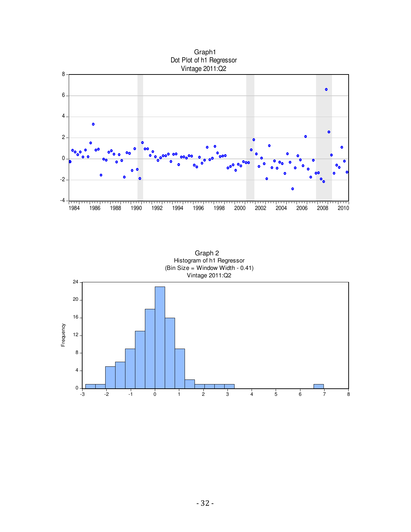

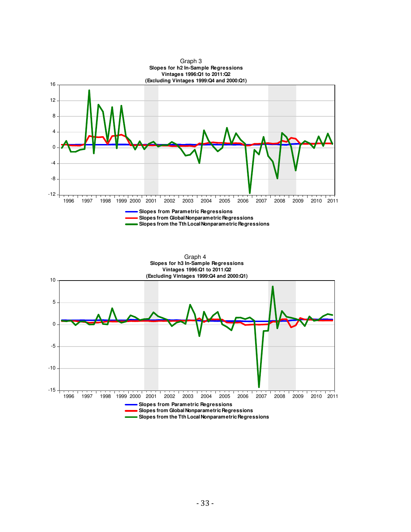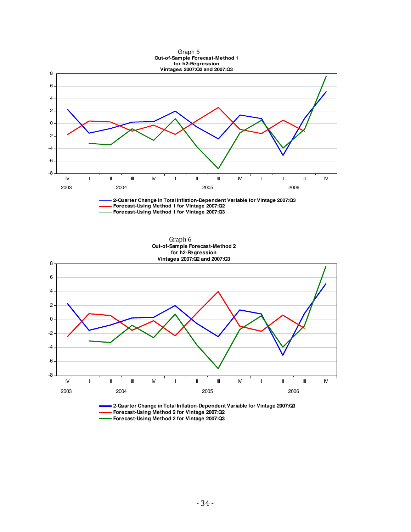

**Forecast-Using Method 2 for Vintage 2007:Q3**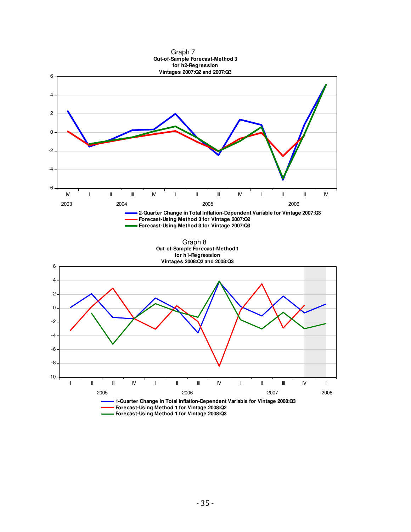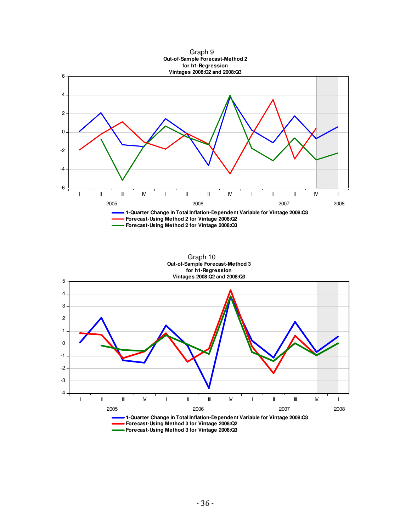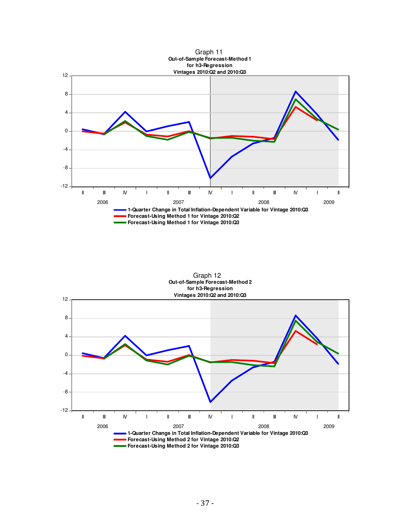



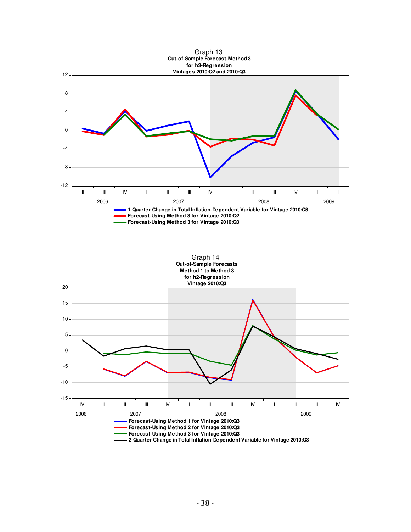



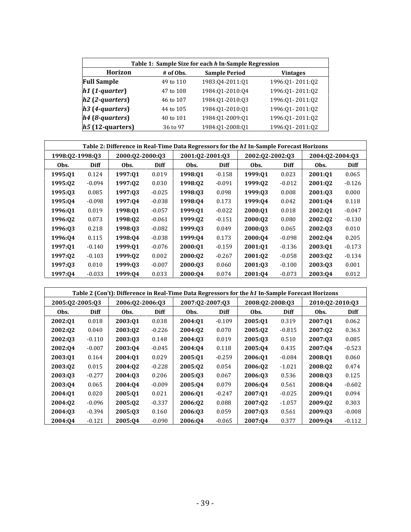| Table 1: Sample Size for each h In-Sample Regression |           |                      |                 |  |  |  |  |  |  |  |  |
|------------------------------------------------------|-----------|----------------------|-----------------|--|--|--|--|--|--|--|--|
| Horizon                                              | # of Obs. | <b>Sample Period</b> | <b>Vintages</b> |  |  |  |  |  |  |  |  |
| <b>Full Sample</b>                                   | 49 to 110 | 1983:04-2011:01      | 1996:Q1-2011:Q2 |  |  |  |  |  |  |  |  |
| $h1$ (1-quarter)                                     | 47 to 108 | 1984:01-2010:04      | 1996:Q1-2011:Q2 |  |  |  |  |  |  |  |  |
| $h2$ (2-quarters)                                    | 46 to 107 | 1984:01-2010:03      | 1996:Q1-2011:Q2 |  |  |  |  |  |  |  |  |
| $h3$ (4-quarters)                                    | 44 to 105 | 1984:01-2010:01      | 1996:Q1-2011:Q2 |  |  |  |  |  |  |  |  |
| $h4$ (8-quarters)                                    | 40 to 101 | 1984:01-2009:01      | 1996:Q1-2011:Q2 |  |  |  |  |  |  |  |  |
| $h5(12-quarters)$                                    | 36 to 97  | 1984:Q1-2008:Q1      | 1996:Q1-2011:Q2 |  |  |  |  |  |  |  |  |

|                 |             | Table 2: Difference in Real-Time Data Regressors for the h1 In-Sample Forecast Horizons |             |                 |          |                 |             |                 |          |  |  |
|-----------------|-------------|-----------------------------------------------------------------------------------------|-------------|-----------------|----------|-----------------|-------------|-----------------|----------|--|--|
| 1998:Q2-1998:Q3 |             | 2000:02-2000:03                                                                         |             | 2001:Q2-2001:Q3 |          | 2002:02-2002:03 |             | 2004:Q2-2004:Q3 |          |  |  |
| Obs.            | <b>Diff</b> | Obs.                                                                                    | <b>Diff</b> | Obs.            | Diff     | Obs.            | <b>Diff</b> | Obs.            | Diff     |  |  |
| 1995:Q1         | 0.124       | 1997:01                                                                                 | 0.019       | 1998:01         | $-0.158$ | 1999:01         | 0.023       | 2001:01         | 0.065    |  |  |
| 1995:02         | $-0.094$    | 1997:02                                                                                 | 0.030       | 1998:02         | $-0.091$ | 1999:02         | $-0.012$    | 2001:02         | $-0.126$ |  |  |
| 1995:03         | 0.085       | 1997:03                                                                                 | $-0.025$    | 1998:03         | 0.098    | 1999:03         | 0.008       | 2001:03         | 0.000    |  |  |
| 1995:04         | $-0.098$    | 1997:04                                                                                 | $-0.038$    | 1998:04         | 0.173    | 1999:04         | 0.042       | 2001:04         | 0.118    |  |  |
| 1996:01         | 0.019       | 1998:Q1                                                                                 | $-0.057$    | 1999:01         | $-0.022$ | 2000:01         | 0.018       | 2002:01         | $-0.047$ |  |  |
| 1996:02         | 0.073       | 1998:02                                                                                 | $-0.061$    | 1999:Q2         | $-0.151$ | 2000:02         | 0.080       | 2002:02         | $-0.130$ |  |  |
| 1996:03         | 0.218       | 1998:03                                                                                 | $-0.082$    | 1999:03         | 0.049    | 2000:03         | 0.065       | 2002:03         | 0.010    |  |  |
| 1996:04         | 0.115       | 1998:04                                                                                 | $-0.038$    | 1999:04         | 0.173    | 2000:04         | $-0.098$    | 2002:04         | 0.205    |  |  |
| 1997:01         | $-0.140$    | 1999:01                                                                                 | $-0.076$    | 2000:01         | $-0.159$ | 2001:01         | $-0.136$    | 2003:01         | $-0.173$ |  |  |
| 1997:02         | $-0.103$    | 1999:Q2                                                                                 | 0.002       | 2000:02         | $-0.267$ | 2001:Q2         | $-0.058$    | 2003:02         | $-0.134$ |  |  |
| 1997:03         | 0.010       | 1999:03                                                                                 | $-0.007$    | 2000:03         | 0.060    | 2001:03         | $-0.100$    | 2003:03         | 0.001    |  |  |
| 1997:04         | $-0.033$    | 1999:04                                                                                 | 0.033       | 2000:04         | 0.074    | 2001:04         | $-0.073$    | 2003:04         | 0.012    |  |  |

| Table 2 (Con't): Difference in Real-Time Data Regressors for the h1 In-Sample Forecast Horizons |             |                 |             |                 |             |                 |             |                 |             |  |
|-------------------------------------------------------------------------------------------------|-------------|-----------------|-------------|-----------------|-------------|-----------------|-------------|-----------------|-------------|--|
| 2005:02-2005:03                                                                                 |             | 2006:Q2-2006:Q3 |             | 2007:02-2007:03 |             | 2008:Q2-2008:Q3 |             | 2010:02-2010:03 |             |  |
| Obs.                                                                                            | <b>Diff</b> | Obs.            | <b>Diff</b> | Obs.            | <b>Diff</b> | Obs.            | <b>Diff</b> | Obs.            | <b>Diff</b> |  |
| 2002:01                                                                                         | 0.018       | 2003:01         | 0.038       | 2004:01         | $-0.109$    | 2005:01         | 0.319       | 2007:01         | 0.062       |  |
| 2002:02                                                                                         | 0.040       | 2003:02         | $-0.226$    | 2004:02         | 0.070       | 2005:02         | $-0.815$    | 2007:02         | 0.363       |  |
| 2002:03                                                                                         | $-0.110$    | 2003:03         | 0.148       | 2004:03         | 0.019       | 2005:03         | 0.510       | 2007:03         | 0.085       |  |
| 2002:04                                                                                         | $-0.007$    | 2003:04         | $-0.045$    | 2004:04         | 0.118       | 2005:04         | 0.435       | 2007:04         | $-0.523$    |  |
| 2003:Q1                                                                                         | 0.164       | 2004:01         | 0.029       | 2005:Q1         | $-0.259$    | 2006:01         | $-0.084$    | 2008:01         | 0.060       |  |
| 2003:02                                                                                         | 0.015       | 2004:02         | $-0.228$    | 2005:02         | 0.054       | 2006:02         | $-1.021$    | 2008:02         | 0.474       |  |
| 2003:03                                                                                         | $-0.277$    | 2004:03         | 0.206       | 2005:03         | 0.067       | 2006:03         | 0.536       | 2008:03         | 0.125       |  |
| 2003:04                                                                                         | 0.065       | 2004:04         | $-0.009$    | 2005:04         | 0.079       | 2006:04         | 0.561       | 2008:04         | $-0.602$    |  |
| 2004:01                                                                                         | 0.020       | 2005:01         | 0.021       | 2006:01         | $-0.247$    | 2007:01         | $-0.025$    | 2009:01         | 0.094       |  |
| 2004:02                                                                                         | $-0.096$    | 2005:02         | $-0.337$    | 2006:02         | 0.088       | 2007:02         | $-1.057$    | 2009:02         | 0.303       |  |
| 2004:03                                                                                         | $-0.394$    | 2005:03         | 0.160       | 2006:03         | 0.059       | 2007:03         | 0.561       | 2009:03         | $-0.008$    |  |
| 2004:04                                                                                         | $-0.121$    | 2005:04         | $-0.090$    | 2006:04         | $-0.065$    | 2007:04         | 0.377       | 2009:04         | $-0.112$    |  |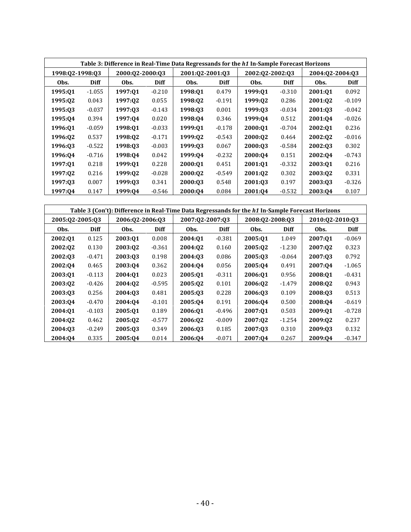|                 | Table 3: Difference in Real-Time Data Regressands for the h1 In-Sample Forecast Horizons |                 |          |                 |             |                 |             |                 |          |  |  |
|-----------------|------------------------------------------------------------------------------------------|-----------------|----------|-----------------|-------------|-----------------|-------------|-----------------|----------|--|--|
| 1998:Q2-1998:Q3 |                                                                                          | 2000:02-2000:03 |          | 2001:02-2001:03 |             | 2002:02-2002:03 |             | 2004:02-2004:03 |          |  |  |
| Obs.            | Diff                                                                                     | Obs.            | Diff     | Obs.            | <b>Diff</b> | Obs.            | <b>Diff</b> | Obs.            | Diff     |  |  |
| 1995:01         | $-1.055$                                                                                 | 1997:01         | $-0.210$ | 1998:01         | 0.479       | 1999:01         | $-0.310$    | 2001:01         | 0.092    |  |  |
| 1995:02         | 0.043                                                                                    | 1997:02         | 0.055    | 1998:02         | $-0.191$    | 1999:02         | 0.286       | 2001:02         | $-0.109$ |  |  |
| 1995:03         | $-0.037$                                                                                 | 1997:03         | $-0.143$ | 1998:03         | 0.001       | 1999:03         | $-0.034$    | 2001:03         | $-0.042$ |  |  |
| 1995:04         | 0.394                                                                                    | 1997:04         | 0.020    | 1998:04         | 0.346       | 1999:04         | 0.512       | 2001:04         | $-0.026$ |  |  |
| 1996:01         | $-0.059$                                                                                 | 1998:01         | $-0.033$ | 1999:01         | $-0.178$    | 2000:01         | $-0.704$    | 2002:01         | 0.236    |  |  |
| 1996:Q2         | 0.537                                                                                    | 1998:02         | $-0.171$ | 1999:02         | $-0.543$    | 2000:02         | 0.464       | 2002:Q2         | $-0.016$ |  |  |
| 1996:03         | $-0.522$                                                                                 | 1998:03         | $-0.003$ | 1999:03         | 0.067       | 2000:03         | $-0.584$    | 2002:03         | 0.302    |  |  |
| 1996:04         | $-0.716$                                                                                 | 1998:04         | 0.042    | 1999:04         | $-0.232$    | 2000:Q4         | 0.151       | 2002:04         | $-0.743$ |  |  |
| 1997:01         | 0.218                                                                                    | 1999:01         | 0.228    | 2000:01         | 0.451       | 2001:01         | $-0.332$    | 2003:01         | 0.216    |  |  |
| 1997:02         | 0.216                                                                                    | 1999:02         | $-0.028$ | 2000:02         | $-0.549$    | 2001:02         | 0.302       | 2003:02         | 0.331    |  |  |
| 1997:03         | 0.007                                                                                    | 1999:03         | 0.341    | 2000:03         | 0.548       | 2001:03         | 0.197       | 2003:03         | $-0.326$ |  |  |
| 1997:04         | 0.147                                                                                    | 1999:04         | $-0.546$ | 2000:04         | 0.084       | 2001:04         | $-0.532$    | 2003:04         | 0.107    |  |  |

| Table 3 (Con't): Difference in Real-Time Data Regressands for the h1 In-Sample Forecast Horizons |             |                 |             |                 |             |                 |             |                 |          |
|--------------------------------------------------------------------------------------------------|-------------|-----------------|-------------|-----------------|-------------|-----------------|-------------|-----------------|----------|
| 2005:02-2005:03                                                                                  |             | 2006:02-2006:03 |             | 2007:02-2007:03 |             | 2008:02-2008:03 |             | 2010:02-2010:03 |          |
| Obs.                                                                                             | <b>Diff</b> | Obs.            | <b>Diff</b> | Obs.            | <b>Diff</b> | Obs.            | <b>Diff</b> | Obs.            | Diff     |
| 2002:01                                                                                          | 0.125       | 2003:01         | 0.008       | 2004:01         | $-0.381$    | 2005:01         | 1.049       | 2007:01         | $-0.069$ |
| 2002:02                                                                                          | 0.130       | 2003:02         | $-0.361$    | 2004:02         | 0.160       | 2005:02         | $-1.230$    | 2007:02         | 0.323    |
| 2002:03                                                                                          | $-0.471$    | 2003:Q3         | 0.198       | 2004:03         | 0.086       | 2005:03         | $-0.064$    | 2007:03         | 0.792    |
| 2002:04                                                                                          | 0.465       | 2003:04         | 0.362       | 2004:04         | 0.056       | 2005:04         | 0.491       | 2007:04         | $-1.065$ |
| 2003:01                                                                                          | $-0.113$    | 2004:01         | 0.023       | 2005:01         | $-0.311$    | 2006:01         | 0.956       | 2008:01         | $-0.431$ |
| 2003:02                                                                                          | $-0.426$    | 2004:Q2         | $-0.595$    | 2005:02         | 0.101       | 2006:02         | $-1.479$    | 2008:Q2         | 0.943    |
| 2003:03                                                                                          | 0.256       | 2004:03         | 0.481       | 2005:03         | 0.228       | 2006:03         | 0.109       | 2008:03         | 0.513    |
| 2003:04                                                                                          | $-0.470$    | 2004:04         | $-0.101$    | 2005:04         | 0.191       | 2006:04         | 0.500       | 2008:04         | $-0.619$ |
| 2004:01                                                                                          | $-0.103$    | 2005:01         | 0.189       | 2006:01         | $-0.496$    | 2007:01         | 0.503       | 2009:01         | $-0.728$ |
| 2004:02                                                                                          | 0.462       | 2005:02         | $-0.577$    | 2006:02         | $-0.009$    | 2007:02         | $-1.254$    | 2009:Q2         | 0.237    |
| 2004:03                                                                                          | $-0.249$    | 2005:03         | 0.349       | 2006:03         | 0.185       | 2007:03         | 0.310       | 2009:03         | 0.132    |
| 2004:04                                                                                          | 0.335       | 2005:04         | 0.014       | 2006:04         | $-0.071$    | 2007:04         | 0.267       | 2009:04         | $-0.347$ |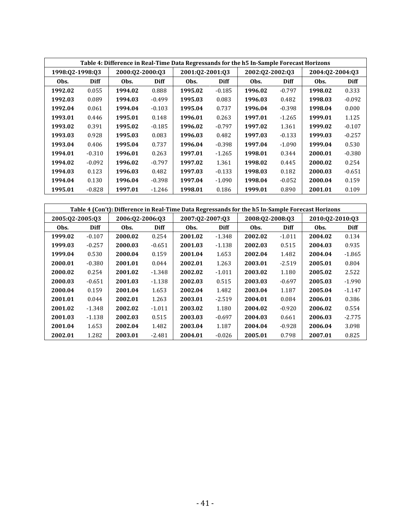|                 |          |                 |             |                 |          | Table 4: Difference in Real-Time Data Regressands for the h5 In-Sample Forecast Horizons |          |                 |          |
|-----------------|----------|-----------------|-------------|-----------------|----------|------------------------------------------------------------------------------------------|----------|-----------------|----------|
| 1998:Q2-1998:Q3 |          | 2000:02-2000:03 |             | 2001:02-2001:03 |          | 2002:02-2002:03                                                                          |          | 2004:02-2004:03 |          |
| Obs.            | Diff     | Obs.            | <b>Diff</b> | Obs.            | Diff     | Obs.                                                                                     | Diff     | Obs.            | Diff     |
| 1992.02         | 0.055    | 1994.02         | 0.888       | 1995.02         | $-0.185$ | 1996.02                                                                                  | $-0.797$ | 1998.02         | 0.333    |
| 1992.03         | 0.089    | 1994.03         | $-0.499$    | 1995.03         | 0.083    | 1996.03                                                                                  | 0.482    | 1998.03         | $-0.092$ |
| 1992.04         | 0.061    | 1994.04         | $-0.103$    | 1995.04         | 0.737    | 1996.04                                                                                  | $-0.398$ | 1998.04         | 0.000    |
| 1993.01         | 0.446    | 1995.01         | 0.148       | 1996.01         | 0.263    | 1997.01                                                                                  | $-1.265$ | 1999.01         | 1.125    |
| 1993.02         | 0.391    | 1995.02         | $-0.185$    | 1996.02         | $-0.797$ | 1997.02                                                                                  | 1.361    | 1999.02         | $-0.107$ |
| 1993.03         | 0.928    | 1995.03         | 0.083       | 1996.03         | 0.482    | 1997.03                                                                                  | $-0.133$ | 1999.03         | $-0.257$ |
| 1993.04         | 0.406    | 1995.04         | 0.737       | 1996.04         | $-0.398$ | 1997.04                                                                                  | $-1.090$ | 1999.04         | 0.530    |
| 1994.01         | $-0.310$ | 1996.01         | 0.263       | 1997.01         | $-1.265$ | 1998.01                                                                                  | 0.344    | 2000.01         | $-0.380$ |
| 1994.02         | $-0.092$ | 1996.02         | $-0.797$    | 1997.02         | 1.361    | 1998.02                                                                                  | 0.445    | 2000.02         | 0.254    |
| 1994.03         | 0.123    | 1996.03         | 0.482       | 1997.03         | $-0.133$ | 1998.03                                                                                  | 0.182    | 2000.03         | $-0.651$ |
| 1994.04         | 0.130    | 1996.04         | $-0.398$    | 1997.04         | $-1.090$ | 1998.04                                                                                  | $-0.052$ | 2000.04         | 0.159    |
| 1995.01         | $-0.828$ | 1997.01         | $-1.246$    | 1998.01         | 0.186    | 1999.01                                                                                  | 0.890    | 2001.01         | 0.109    |

|                 |          |                 |          |                 |          |                 |          | Table 4 (Con't): Difference in Real-Time Data Regressands for the h5 In-Sample Forecast Horizons |             |
|-----------------|----------|-----------------|----------|-----------------|----------|-----------------|----------|--------------------------------------------------------------------------------------------------|-------------|
| 2005:02-2005:03 |          | 2006:02-2006:03 |          | 2007:02-2007:03 |          | 2008:02-2008:03 |          | 2010:02-2010:03                                                                                  |             |
| Obs.            | Diff     | Obs.            | Diff     | Obs.            | Diff     | Obs.            | Diff     | Obs.                                                                                             | <b>Diff</b> |
| 1999.02         | $-0.107$ | 2000.02         | 0.254    | 2001.02         | $-1.348$ | 2002.02         | $-1.011$ | 2004.02                                                                                          | 0.134       |
| 1999.03         | $-0.257$ | 2000.03         | $-0.651$ | 2001.03         | $-1.138$ | 2002.03         | 0.515    | 2004.03                                                                                          | 0.935       |
| 1999.04         | 0.530    | 2000.04         | 0.159    | 2001.04         | 1.653    | 2002.04         | 1.482    | 2004.04                                                                                          | $-1.865$    |
| 2000.01         | $-0.380$ | 2001.01         | 0.044    | 2002.01         | 1.263    | 2003.01         | $-2.519$ | 2005.01                                                                                          | 0.804       |
| 2000.02         | 0.254    | 2001.02         | $-1.348$ | 2002.02         | $-1.011$ | 2003.02         | 1.180    | 2005.02                                                                                          | 2.522       |
| 2000.03         | $-0.651$ | 2001.03         | $-1.138$ | 2002.03         | 0.515    | 2003.03         | $-0.697$ | 2005.03                                                                                          | $-1.990$    |
| 2000.04         | 0.159    | 2001.04         | 1.653    | 2002.04         | 1.482    | 2003.04         | 1.187    | 2005.04                                                                                          | $-1.147$    |
| 2001.01         | 0.044    | 2002.01         | 1.263    | 2003.01         | $-2.519$ | 2004.01         | 0.084    | 2006.01                                                                                          | 0.386       |
| 2001.02         | $-1.348$ | 2002.02         | $-1.011$ | 2003.02         | 1.180    | 2004.02         | $-0.920$ | 2006.02                                                                                          | 0.554       |
| 2001.03         | $-1.138$ | 2002.03         | 0.515    | 2003.03         | $-0.697$ | 2004.03         | 0.661    | 2006.03                                                                                          | $-2.775$    |
| 2001.04         | 1.653    | 2002.04         | 1.482    | 2003.04         | 1.187    | 2004.04         | $-0.928$ | 2006.04                                                                                          | 3.098       |
| 2002.01         | 1.282    | 2003.01         | $-2.481$ | 2004.01         | $-0.026$ | 2005.01         | 0.798    | 2007.01                                                                                          | 0.825       |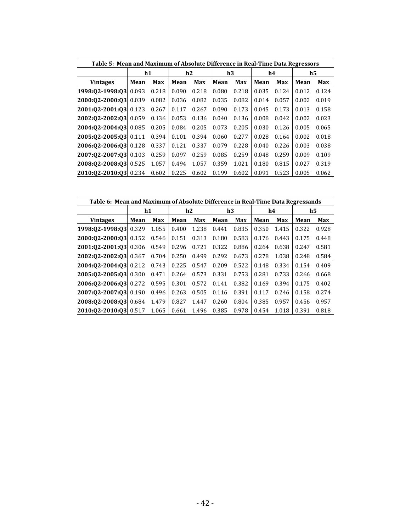| Table 5: Mean and Maximum of Absolute Difference in Real-Time Data Regressors |             |       |       |       |       |       |       |       |       |       |
|-------------------------------------------------------------------------------|-------------|-------|-------|-------|-------|-------|-------|-------|-------|-------|
|                                                                               | h1          |       | h2    |       | h3    |       |       | h4    | h5    |       |
| <b>Vintages</b>                                                               | Max<br>Mean |       | Mean  | Max   | Mean  | Max   | Mean  | Max   | Mean  | Max   |
| 1998:02-1998:03 0.093                                                         |             | 0.218 | 0.090 | 0.218 | 0.080 | 0.218 | 0.035 | 0.124 | 0.012 | 0.124 |
| 2000:02-2000:03 0.039                                                         |             | 0.082 | 0.036 | 0.082 | 0.035 | 0.082 | 0.014 | 0.057 | 0.002 | 0.019 |
| 2001:02-2001:03 0.123                                                         |             | 0.267 | 0.117 | 0.267 | 0.090 | 0.173 | 0.045 | 0.173 | 0.013 | 0.158 |
| 2002:02-2002:03 0.059                                                         |             | 0.136 | 0.053 | 0.136 | 0.040 | 0.136 | 0.008 | 0.042 | 0.002 | 0.023 |
| 2004:02-2004:03 0.085                                                         |             | 0.205 | 0.084 | 0.205 | 0.073 | 0.205 | 0.030 | 0.126 | 0.005 | 0.065 |
| 2005:02-2005:03 0.111                                                         |             | 0.394 | 0.101 | 0.394 | 0.060 | 0.277 | 0.028 | 0.164 | 0.002 | 0.018 |
| 2006:02-2006:03 0.128                                                         |             | 0.337 | 0.121 | 0.337 | 0.079 | 0.228 | 0.040 | 0.226 | 0.003 | 0.038 |
| 2007:02-2007:03 0.103                                                         |             | 0.259 | 0.097 | 0.259 | 0.085 | 0.259 | 0.048 | 0.259 | 0.009 | 0.109 |
| 2008:02-2008:03 0.525                                                         |             | 1.057 | 0.494 | 1.057 | 0.359 | 1.021 | 0.180 | 0.815 | 0.027 | 0.319 |
| 2010:02-2010:03 0.234                                                         |             | 0.602 | 0.225 | 0.602 | 0.199 | 0.602 | 0.091 | 0.523 | 0.005 | 0.062 |

| Table 6: Mean and Maximum of Absolute Difference in Real-Time Data Regressands |             |       |       |       |       |       |       |       |                |       |  |  |
|--------------------------------------------------------------------------------|-------------|-------|-------|-------|-------|-------|-------|-------|----------------|-------|--|--|
|                                                                                | h1          |       | h2    |       |       | h3    |       | h4    | $\mathbf{h}$ 5 |       |  |  |
| <b>Vintages</b>                                                                | Mean<br>Max |       | Mean  | Max   | Mean  | Max   | Mean  | Max   | Mean           | Max   |  |  |
| 1998:02-1998:03 0.329                                                          |             | 1.055 | 0.400 | 1.238 | 0.441 | 0.835 | 0.350 | 1.415 | 0.322          | 0.928 |  |  |
| 2000:02-2000:03 0.152                                                          |             | 0.546 | 0.151 | 0.313 | 0.180 | 0.583 | 0.176 | 0.443 | 0.175          | 0.448 |  |  |
| 2001:02-2001:03 0.306                                                          |             | 0.549 | 0.296 | 0.721 | 0.322 | 0.886 | 0.264 | 0.638 | 0.247          | 0.581 |  |  |
| 2002:02-2002:03 0.367                                                          |             | 0.704 | 0.250 | 0.499 | 0.292 | 0.673 | 0.278 | 1.038 | 0.248          | 0.584 |  |  |
| $[2004:02-2004:03]$ 0.212                                                      |             | 0.743 | 0.225 | 0.547 | 0.209 | 0.522 | 0.148 | 0.334 | 0.154          | 0.409 |  |  |
| 2005:02-2005:03 0.300                                                          |             | 0.471 | 0.264 | 0.573 | 0.331 | 0.753 | 0.281 | 0.733 | 0.266          | 0.668 |  |  |
| 2006:02-2006:03 0.272                                                          |             | 0.595 | 0.301 | 0.572 | 0.141 | 0.382 | 0.169 | 0.394 | 0.175          | 0.402 |  |  |
| 2007:02-2007:03 0.190                                                          |             | 0.496 | 0.263 | 0.505 | 0.116 | 0.391 | 0.117 | 0.246 | 0.158          | 0.274 |  |  |
| 2008:02-2008:03                                                                | 0.684       | 1.479 | 0.827 | 1.447 | 0.260 | 0.804 | 0.385 | 0.957 | 0.456          | 0.957 |  |  |
| 2010:02-2010:03 0.517                                                          |             | 1.065 | 0.661 | 1.496 | 0.385 | 0.978 | 0.454 | 1.018 | 0.391          | 0.818 |  |  |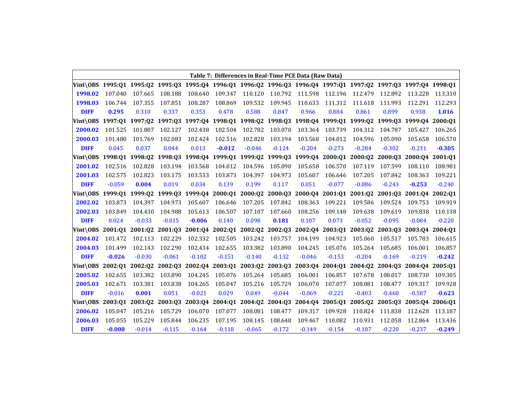|                                                                                                                  |          |                 |                                         |                 |          |                         |          | Table 7: Differences in Real-Time PCE Data (Raw Data) |                         |                 |                                                                         |          |                 |
|------------------------------------------------------------------------------------------------------------------|----------|-----------------|-----------------------------------------|-----------------|----------|-------------------------|----------|-------------------------------------------------------|-------------------------|-----------------|-------------------------------------------------------------------------|----------|-----------------|
| Vint\0BS 1995:Q1 1995:Q2 1995:Q3 1995:Q4 1996:Q1 1996:Q2 1996:Q3 1996:Q4 1997:Q1 1997:Q2 1997:Q3 1997:Q4 1998:Q1 |          |                 |                                         |                 |          |                         |          |                                                       |                         |                 |                                                                         |          |                 |
| 1998.02                                                                                                          | 107.040  | 107.665         | 108.188                                 | 108.640         | 109.347  | 110.120                 | 110.792  | 111.598                                               | 112.196                 | 112.479         | 112.892                                                                 | 113.228  | 113.310         |
| 1998.03                                                                                                          | 106.744  | 107.355         | 107.851                                 | 108.287         | 108.869  | 109.532                 | 109.945  | 110.633                                               | 111.312                 | 111.618         | 111.993                                                                 | 112.291  | 112.293         |
| <b>DIFF</b>                                                                                                      | 0.295    | 0.310           | 0.337                                   | 0.353           | 0.478    | 0.588                   | 0.847    | 0.966                                                 | 0.884                   | 0.861           | 0.899                                                                   | 0.938    | 1.016           |
| Vint\OBS                                                                                                         |          | 1997:01 1997:02 |                                         |                 |          |                         |          |                                                       |                         |                 | 1997:Q3 1997:Q4 1998:Q1 1998:Q2 1998:Q3 1998:Q4 1999:Q1 1999:Q2 1999:Q3 |          | 1999:Q4 2000:Q1 |
| 2000.02                                                                                                          | 101.525  | 101.807         | 102.127                                 | 102.438         | 102.504  | 102.782                 | 103.070  | 103.364                                               | 103.739                 | 104.312         | 104.787                                                                 | 105.427  | 106.265         |
| 2000.03                                                                                                          | 101.480  | 101.769         | 102.083                                 | 102.424         | 102.516  | 102.828                 | 103.194  | 103.568                                               | 104.012                 | 104.596         | 105.090                                                                 | 105.658  | 106.570         |
| <b>DIFF</b>                                                                                                      | 0.045    | 0.037           | 0.044                                   | 0.013           | $-0.012$ | $-0.046$                | $-0.124$ | $-0.204$                                              | $-0.273$                | $-0.284$        | $-0.302$                                                                | $-0.231$ | $-0.305$        |
| Vint\OBS 1998:01 1998:02                                                                                         |          |                 |                                         |                 |          |                         |          | 1998: Q3 1998: Q4 1999: Q1 1999: Q2 1999: Q3 1999: Q4 | 2000:Q1                 | 2000:02 2000:03 |                                                                         |          | 2000:04 2001:01 |
| 2001.02                                                                                                          | 102.516  | 102.828         | 103.194                                 | 103.568         | 104.012  | 104.596                 | 105.090  | 105.658                                               | 106.570                 | 107.119         | 107.599                                                                 | 108.110  | 108.981         |
| 2001.03                                                                                                          | 102.575  | 102.823         | 103.175                                 | 103.533         | 103.873  | 104.397                 | 104.973  | 105.607                                               | 106.646                 | 107.205         | 107.842                                                                 | 108.363  | 109.221         |
| <b>DIFF</b>                                                                                                      | $-0.059$ | 0.004           | 0.019                                   | 0.034           | 0.139    | 0.199                   | 0.117    | 0.051                                                 | $-0.077$                | $-0.086$        | $-0.243$                                                                | $-0.253$ | $-0.240$        |
| Vint\0BS                                                                                                         |          | 1999:01 1999:02 |                                         | 1999:Q3 1999:Q4 |          | 2000:01 2000:02 2000:03 |          | 2000:04                                               | 2001:01 2001:02 2001:03 |                 |                                                                         |          | 2001:04 2002:01 |
| 2002.02                                                                                                          | 103.873  | 104.397         | 104.973                                 | 105.607         | 106.646  | 107.205                 | 107.842  | 108.363                                               | 109.221                 | 109.586         | 109.524                                                                 | 109.753  | 109.919         |
| 2002.03                                                                                                          | 103.849  | 104.430         | 104.988                                 | 105.613         | 106.507  | 107.107                 | 107.660  | 108.256                                               | 109.148                 | 109.638         | 109.619                                                                 | 109.838  | 110.138         |
| <b>DIFF</b>                                                                                                      | 0.024    | $-0.033$        | $-0.015$                                | $-0.006$        | 0.140    | 0.098                   | 0.181    | 0.107                                                 | 0.073                   | $-0.052$        | $-0.095$                                                                | $-0.084$ | $-0.220$        |
| Vint\0BS 2001:01 2001:02                                                                                         |          |                 | 2001:03 2001:04 2002:01 2002:02 2002:03 |                 |          |                         |          |                                                       | 2002:04 2003:01         |                 | 2003:02 2003:03                                                         |          | 2003:04 2004:01 |
| 2004.02                                                                                                          | 101.472  | 102.113         | 102.229                                 | 102.332         | 102.505  | 103.242                 | 103.757  | 104.199                                               | 104.923                 | 105.060         | 105.517                                                                 | 105.783  | 106.615         |
| 2004.03                                                                                                          | 101.499  | 102.143         | 102.290                                 | 102.434         | 102.655  | 103.382                 | 103.890  | 104.245                                               | 105.076                 | 105.264         | 105.685                                                                 | 106.001  | 106.857         |
| <b>DIFF</b>                                                                                                      | $-0.026$ | $-0.030$        | $-0.061$                                | $-0.102$        | $-0.151$ | $-0.140$                | $-0.132$ | $-0.046$                                              | $-0.153$                | $-0.204$        | $-0.169$                                                                | $-0.219$ | $-0.242$        |
| Vint\OBS                                                                                                         | 2002:01  | 2002:02         |                                         | 2002:Q3 2002:Q4 |          | 2003:01 2003:02         | 2003:Q3  | 2003:04                                               | 2004:01                 | 2004:02 2004:03 |                                                                         | 2004:04  | 2005:Q1         |
| 2005.02                                                                                                          | 102.655  | 103.382         | 103.890                                 | 104.245         | 105.076  | 105.264                 | 105.685  | 106.001                                               | 106.857                 | 107.678         | 108.017                                                                 | 108.730  | 109.305         |
| 2005.03                                                                                                          | 102.671  | 103.381         | 103.838                                 | 104.265         | 105.047  | 105.216                 | 105.729  | 106.070                                               | 107.077                 | 108.081         | 108.477                                                                 | 109.317  | 109.928         |
| <b>DIFF</b>                                                                                                      | $-0.016$ | 0.001           | 0.051                                   | $-0.021$        | 0.029    | 0.049                   | $-0.044$ | $-0.069$                                              | $-0.221$                | $-0.403$        | $-0.460$                                                                | $-0.587$ | $-0.623$        |
| Vint\OBS                                                                                                         | 2003:01  | 2003:Q2         |                                         | 2003:Q3 2003:Q4 | 2004:Q1  | 2004:Q2                 | 2004:Q3  | 2004:Q4                                               | 2005:Q1                 |                 | 2005:Q2 2005:Q3                                                         | 2005:04  | 2006:01         |
| 2006.02                                                                                                          | 105.047  | 105.216         | 105.729                                 | 106.070         | 107.077  | 108.081                 | 108.477  | 109.317                                               | 109.928                 | 110.824         | 111.838                                                                 | 112.628  | 113.187         |
| 2006.03                                                                                                          | 105.055  | 105.229         | 105.844                                 | 106.235         | 107.195  | 108.145                 | 108.648  | 109.467                                               | 110.082                 | 110.931         | 112.058                                                                 | 112.864  | 113.436         |
| <b>DIFF</b>                                                                                                      | $-0.008$ | $-0.014$        | $-0.115$                                | $-0.164$        | $-0.118$ | $-0.065$                | $-0.172$ | $-0.149$                                              | $-0.154$                | $-0.107$        | $-0.220$                                                                | $-0.237$ | $-0.249$        |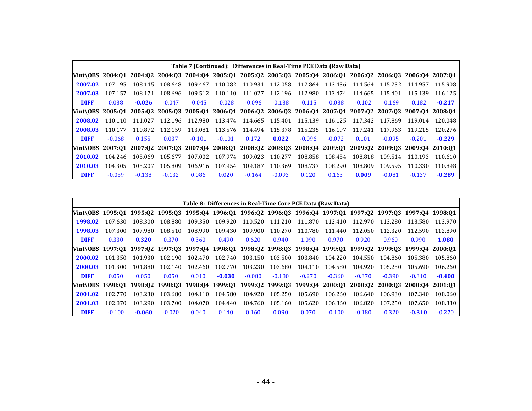|                                                                                                                  |          |          |          |          | Table 7 (Continued): Differences in Real-Time PCE Data (Raw Data) |          |                                 |          |          |                         |          |          |          |
|------------------------------------------------------------------------------------------------------------------|----------|----------|----------|----------|-------------------------------------------------------------------|----------|---------------------------------|----------|----------|-------------------------|----------|----------|----------|
| Vint\0BS 2004:Q1 2004:Q2 2004:Q3 2004:Q4 2005:Q1 2005:Q2 2005:Q3 2005:Q4 2006:Q1 2006:Q2 2006:Q3 2006:Q4 2007:Q1 |          |          |          |          |                                                                   |          |                                 |          |          |                         |          |          |          |
| 2007.02                                                                                                          | 107.195  | 108.145  | 108.648  | 109.467  |                                                                   |          | 110.082 110.931 112.058 112.864 |          |          | 113.436 114.564 115.232 |          | 114.957  | 115.908  |
| 2007.03                                                                                                          | 107.157  | 108.171  | 108.696  | 109.512  | 110.110                                                           | 111.027  | 112.196                         | 112.980  |          | 113.474 114.665         | 115.401  | 115.139  | 116.125  |
| <b>DIFF</b>                                                                                                      | 0.038    | $-0.026$ | $-0.047$ | $-0.045$ | $-0.028$                                                          | $-0.096$ | $-0.138$                        | $-0.115$ | $-0.038$ | $-0.102$                | $-0.169$ | $-0.182$ | $-0.217$ |
| Vint\0BS 2005:Q1 2005:Q2 2005:Q3 2005:Q4 2006:Q1 2006:Q2 2006:Q3 2006:Q4 2007:Q1 2007:Q2 2007:Q3 2007:Q4 2008:Q1 |          |          |          |          |                                                                   |          |                                 |          |          |                         |          |          |          |
| 2008.02                                                                                                          | 110.110  | 111.027  | 112.196  | 112.980  |                                                                   |          | 113.474 114.665 115.401 115.139 |          |          | 116.125 117.342         | 117.869  | 119.014  | 120.048  |
| 2008.03                                                                                                          | 110.177  | 110.872  | 112.159  | 113.081  |                                                                   |          | 113.576 114.494 115.378         | 115.235  | 116.197  | 117.241                 | 117.963  | 119.215  | 120.276  |
| <b>DIFF</b>                                                                                                      | $-0.068$ | 0.155    | 0.037    | $-0.101$ | $-0.101$                                                          | 0.172    | 0.022                           | $-0.096$ | $-0.072$ | 0.101                   | $-0.095$ | $-0.201$ | $-0.229$ |
| Vint\0BS 2007:01 2007:02 2007:03 2007:04 2008:01 2008:02 2008:03 2008:04 2009:01 2009:02 2009:03 2009:04 2010:01 |          |          |          |          |                                                                   |          |                                 |          |          |                         |          |          |          |
| 2010.02                                                                                                          | 104.246  | 105.069  | 105.677  | 107.002  | 107.974                                                           | 109.023  | 110.277                         | 108.858  | 108.454  | 108.818                 | 109.514  | 110.193  | 110.610  |
| 2010.03                                                                                                          | 104.305  | 105.207  | 105.809  | 106.916  | 107.954                                                           | 109.187  | 110.369                         | 108.737  | 108.290  | 108.809                 | 109.595  | 110.330  | 110.898  |
| <b>DIFF</b>                                                                                                      | $-0.059$ | $-0.138$ | $-0.132$ | 0.086    | 0.020                                                             | $-0.164$ | $-0.093$                        | 0.120    | 0.163    | 0.009                   | $-0.081$ | $-0.137$ | $-0.289$ |

|                                                                                                                  |          |          |          |         | Table 8: Differences in Real-Time Core PCE Data (Raw Data) |          |          |          |          |          |          |          |          |
|------------------------------------------------------------------------------------------------------------------|----------|----------|----------|---------|------------------------------------------------------------|----------|----------|----------|----------|----------|----------|----------|----------|
| Vint\0BS 1995:Q1 1995:Q2 1995:Q3 1995:Q4 1996:Q1 1996:Q2 1996:Q3 1996:Q4 1997:Q1 1997:Q2 1997:Q3 1997:Q4 1998:Q1 |          |          |          |         |                                                            |          |          |          |          |          |          |          |          |
| 1998.02                                                                                                          | 107.630  | 108.300  | 108.880  | 109.350 | 109.920                                                    | 110.520  | 111.210  | 111.870  | 112.410  | 112.970  | 113.280  | 113.580  | 113.970  |
| 1998.03                                                                                                          | 107.300  | 107.980  | 108.510  | 108.990 | 109.430                                                    | 109.900  | 110.270  | 110.780  | 111.440  | 112.050  | 112.320  | 112.590  | 112.890  |
| <b>DIFF</b>                                                                                                      | 0.330    | 0.320    | 0.370    | 0.360   | 0.490                                                      | 0.620    | 0.940    | 1.090    | 0.970    | 0.920    | 0.960    | 0.990    | 1.080    |
| Vint\0BS 1997:01 1997:02 1997:03 1997:04 1998:01 1998:02 1998:03 1998:04 1999:01 1999:02 1999:03 1999:04 2000:01 |          |          |          |         |                                                            |          |          |          |          |          |          |          |          |
| 2000.02                                                                                                          | 101.350  | 101.930  | 102.190  | 102.470 | 102.740                                                    | 103.150  | 103.500  | 103.840  | 104.220  | 104.550  | 104.860  | 105.380  | 105.860  |
| 2000.03                                                                                                          | 101.300  | 101.880  | 102.140  | 102.460 | 102.770                                                    | 103.230  | 103.680  | 104.110  | 104.580  | 104.920  | 105.250  | 105.690  | 106.260  |
| <b>DIFF</b>                                                                                                      | 0.050    | 0.050    | 0.050    | 0.010   | $-0.030$                                                   | $-0.080$ | $-0.180$ | $-0.270$ | $-0.360$ | $-0.370$ | $-0.390$ | $-0.310$ | $-0.400$ |
| Vint\0BS 1998:Q1 1998:Q2 1998:Q3 1998:Q4 1999:Q1 1999:Q2 1999:Q3 1999:Q4 2000:Q1 2000:Q2 2000:Q3 2000:Q4 2001:Q1 |          |          |          |         |                                                            |          |          |          |          |          |          |          |          |
| 2001.02                                                                                                          | 102.770  | 103.230  | 103.680  | 104.110 | 104.580                                                    | 104.920  | 105.250  | 105.690  | 106.260  | 106.640  | 106.930  | 107.340  | 108.060  |
| 2001.03                                                                                                          | 102.870  | 103.290  | 103.700  | 104.070 | 104.440                                                    | 104.760  | 105.160  | 105.620  | 106.360  | 106.820  | 107.250  | 107.650  | 108.330  |
| <b>DIFF</b>                                                                                                      | $-0.100$ | $-0.060$ | $-0.020$ | 0.040   | 0.140                                                      | 0.160    | 0.090    | 0.070    | $-0.100$ | $-0.180$ | $-0.320$ | $-0.310$ | $-0.270$ |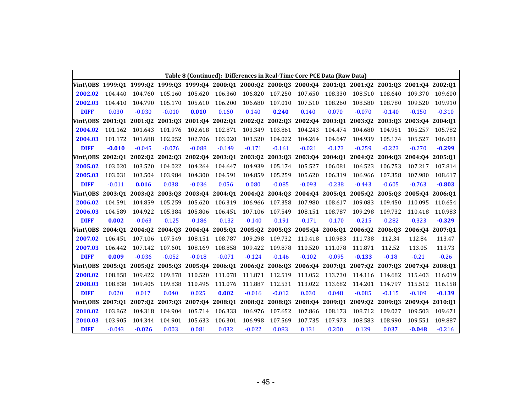|                                                                                                                  |          |                 |                         |          |                                         |          |                 |          | Table 8 (Continued): Differences in Real-Time Core PCE Data (Raw Data) |          |                                                                                         |                 |          |
|------------------------------------------------------------------------------------------------------------------|----------|-----------------|-------------------------|----------|-----------------------------------------|----------|-----------------|----------|------------------------------------------------------------------------|----------|-----------------------------------------------------------------------------------------|-----------------|----------|
| Vint\0BS 1999:01 1999:02 1999:03 1999:04 2000:01 2000:02 2000:03 2000:04 2001:01 2001:02 2001:03 2001:04 2002:01 |          |                 |                         |          |                                         |          |                 |          |                                                                        |          |                                                                                         |                 |          |
| 2002.02                                                                                                          | 104.440  | 104.760         | 105.160                 | 105.620  | 106.360                                 | 106.820  | 107.250         | 107.650  | 108.330                                                                | 108.510  | 108.640                                                                                 | 109.370         | 109.600  |
| 2002.03                                                                                                          | 104.410  | 104.790         | 105.170                 | 105.610  | 106.200                                 | 106.680  | 107.010         | 107.510  | 108.260                                                                | 108.580  | 108.780                                                                                 | 109.520         | 109.910  |
| <b>DIFF</b>                                                                                                      | 0.030    | $-0.030$        | $-0.010$                | 0.010    | 0.160                                   | 0.140    | 0.240           | 0.140    | 0.070                                                                  | $-0.070$ | $-0.140$                                                                                | $-0.150$        | $-0.310$ |
| Vint\0BS                                                                                                         | 2001:01  | 2001:02         | 2001:Q3 2001:Q4 2002:Q1 |          |                                         |          | 2002:Q2 2002:Q3 |          | 2002:Q4 2003:Q1 2003:Q2 2003:Q3                                        |          |                                                                                         | 2003:Q4         | 2004:01  |
| 2004.02                                                                                                          | 101.162  | 101.643         | 101.976                 | 102.618  | 102.871                                 | 103.349  | 103.861         | 104.243  | 104.474                                                                | 104.680  | 104.951                                                                                 | 105.257         | 105.782  |
| 2004.03                                                                                                          | 101.172  | 101.688         | 102.052                 | 102.706  | 103.020                                 | 103.520  | 104.022         | 104.264  | 104.647                                                                | 104.939  | 105.174                                                                                 | 105.527         | 106.081  |
| <b>DIFF</b>                                                                                                      | $-0.010$ | $-0.045$        | $-0.076$                | $-0.088$ | $-0.149$                                | $-0.171$ | $-0.161$        | $-0.021$ | $-0.173$                                                               | $-0.259$ | $-0.223$                                                                                | $-0.270$        | $-0.299$ |
| Vint\OBS                                                                                                         |          | 2002:01 2002:02 |                         |          | 2002:03 2002:04 2003:01                 |          | 2003:Q2 2003:Q3 |          | 2003:04 2004:01 2004:02 2004:03                                        |          |                                                                                         | 2004:04         | 2005:01  |
| 2005.02                                                                                                          | 103.020  | 103.520         | 104.022                 | 104.264  | 104.647                                 | 104.939  | 105.174         | 105.527  | 106.081                                                                | 106.523  | 106.753                                                                                 | 107.217         | 107.814  |
| 2005.03                                                                                                          | 103.031  | 103.504         | 103.984                 | 104.300  | 104.591                                 | 104.859  | 105.259         | 105.620  | 106.319                                                                | 106.966  | 107.358                                                                                 | 107.980         | 108.617  |
| <b>DIFF</b>                                                                                                      | $-0.011$ | 0.016           | 0.038                   | $-0.036$ | 0.056                                   | 0.080    | $-0.085$        | $-0.093$ | $-0.238$                                                               | $-0.443$ | $-0.605$                                                                                | $-0.763$        | $-0.803$ |
| Vint\OBS                                                                                                         | 2003:01  | 2003:02         | 2003:03                 | 2003:04  | 2004:01                                 |          | 2004:02 2004:03 |          | 2004:04 2005:01                                                        | 2005:02  | 2005:03                                                                                 | 2005:04         | 2006:01  |
| 2006.02                                                                                                          | 104.591  | 104.859         | 105.259                 | 105.620  | 106.319                                 | 106.966  | 107.358         | 107.980  | 108.617                                                                | 109.083  | 109.450                                                                                 | 110.095         | 110.654  |
| 2006.03                                                                                                          | 104.589  | 104.922         | 105.384                 | 105.806  | 106.451                                 | 107.106  | 107.549         | 108.151  | 108.787                                                                | 109.298  | 109.732                                                                                 | 110.418         | 110.983  |
| <b>DIFF</b>                                                                                                      | 0.002    | $-0.063$        | $-0.125$                | $-0.186$ | $-0.132$                                | $-0.140$ | $-0.191$        | $-0.171$ | $-0.170$                                                               | $-0.215$ | $-0.282$                                                                                | $-0.323$        | $-0.329$ |
| Vint\0BS                                                                                                         |          |                 |                         |          |                                         |          |                 |          |                                                                        |          | 2004:01 2004:02 2004:03 2004:04 2005:01 2005:02 2005:03 2005:04 2006:01 2006:02 2006:03 | 2006:04 2007:01 |          |
| 2007.02                                                                                                          | 106.451  | 107.106         | 107.549                 | 108.151  | 108.787                                 | 109.298  | 109.732         | 110.418  | 110.983                                                                | 111.738  | 112.34                                                                                  | 112.84          | 113.47   |
| 2007.03                                                                                                          | 106.442  | 107.142         | 107.601                 | 108.169  | 108.858                                 | 109.422  | 109.878         | 110.520  | 111.078                                                                | 111.871  | 112.52                                                                                  | 113.05          | 113.73   |
| <b>DIFF</b>                                                                                                      | 0.009    | $-0.036$        | $-0.052$                | $-0.018$ | $-0.071$                                | $-0.124$ | $-0.146$        | $-0.102$ | $-0.095$                                                               | $-0.133$ | $-0.18$                                                                                 | $-0.21$         | $-0.26$  |
| Vint\0BS                                                                                                         | 2005:01  | 2005:02         |                         |          | 2005:Q3 2005:Q4 2006:Q1 2006:Q2 2006:Q3 |          |                 |          |                                                                        |          | 2006:04 2007:01 2007:02 2007:03                                                         | 2007:04         | 2008:01  |
| 2008.02                                                                                                          | 108.858  | 109.422         | 109.878                 | 110.520  | 111.078                                 | 111.871  | 112.519         | 113.052  | 113.730                                                                | 114.116  | 114.682                                                                                 | 115.403         | 116.019  |
| 2008.03                                                                                                          | 108.838  | 109.405         | 109.838                 | 110.495  | 111.076                                 | 111.887  | 112.531         | 113.022  | 113.682                                                                | 114.201  | 114.797                                                                                 | 115.512         | 116.158  |
| <b>DIFF</b>                                                                                                      | 0.020    | 0.017           | 0.040                   | 0.025    | 0.002                                   | $-0.016$ | $-0.012$        | 0.030    | 0.048                                                                  | $-0.085$ | $-0.115$                                                                                | $-0.109$        | $-0.139$ |
| Vint\0BS                                                                                                         | 2007:01  | 2007:02         |                         |          | 2007:Q3 2007:Q4 2008:Q1                 |          | 2008:Q2 2008:Q3 |          | 2008:Q4 2009:Q1                                                        | 2009:Q2  | 2009:03                                                                                 | 2009:04         | 2010:01  |
| 2010.02                                                                                                          | 103.862  | 104.318         | 104.904                 | 105.714  | 106.333                                 | 106.976  | 107.652         | 107.866  | 108.173                                                                | 108.712  | 109.027                                                                                 | 109.503         | 109.671  |
| 2010.03                                                                                                          | 103.905  | 104.344         | 104.901                 | 105.633  | 106.301                                 | 106.998  | 107.569         | 107.735  | 107.973                                                                | 108.583  | 108.990                                                                                 | 109.551         | 109.887  |
| <b>DIFF</b>                                                                                                      | $-0.043$ | $-0.026$        | 0.003                   | 0.081    | 0.032                                   | $-0.022$ | 0.083           | 0.131    | 0.200                                                                  | 0.129    | 0.037                                                                                   | $-0.048$        | $-0.216$ |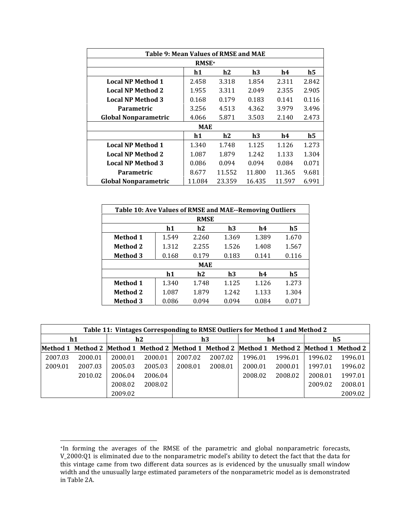| Table 9: Mean Values of RMSE and MAE |              |        |        |        |                |  |  |  |  |  |  |
|--------------------------------------|--------------|--------|--------|--------|----------------|--|--|--|--|--|--|
|                                      | <b>RMSE+</b> |        |        |        |                |  |  |  |  |  |  |
|                                      | h1           | h2     | h3     | h4     | $\mathbf{h}$ 5 |  |  |  |  |  |  |
| <b>Local NP Method 1</b>             | 2.458        | 3.318  | 1.854  | 2.311  | 2.842          |  |  |  |  |  |  |
| <b>Local NP Method 2</b>             | 1.955        | 3.311  | 2.049  | 2.355  | 2.905          |  |  |  |  |  |  |
| <b>Local NP Method 3</b>             | 0.168        | 0.179  | 0.183  | 0.141  | 0.116          |  |  |  |  |  |  |
| Parametric                           | 3.256        | 4.513  | 4.362  | 3.979  | 3.496          |  |  |  |  |  |  |
| <b>Global Nonparametric</b>          | 4.066        | 5.871  | 3.503  | 2.140  | 2.473          |  |  |  |  |  |  |
|                                      | MAE          |        |        |        |                |  |  |  |  |  |  |
|                                      | h1           | h2     | h3     | h4     | h5             |  |  |  |  |  |  |
| <b>Local NP Method 1</b>             | 1.340        | 1.748  | 1.125  | 1.126  | 1.273          |  |  |  |  |  |  |
| <b>Local NP Method 2</b>             | 1.087        | 1.879  | 1.242  | 1.133  | 1.304          |  |  |  |  |  |  |
| <b>Local NP Method 3</b>             | 0.086        | 0.094  | 0.094  | 0.084  | 0.071          |  |  |  |  |  |  |
| Parametric                           | 11.552       | 11.800 | 11.365 | 9.681  |                |  |  |  |  |  |  |
| <b>Global Nonparametric</b>          | 11.084       | 23.359 | 16.435 | 11.597 | 6.991          |  |  |  |  |  |  |

| Table 10: Ave Values of RMSE and MAE--Removing Outliers |                            |            |       |       |       |  |  |  |  |  |  |  |  |
|---------------------------------------------------------|----------------------------|------------|-------|-------|-------|--|--|--|--|--|--|--|--|
| <b>RMSE</b>                                             |                            |            |       |       |       |  |  |  |  |  |  |  |  |
|                                                         | h1<br>h2<br>h3<br>h5<br>h4 |            |       |       |       |  |  |  |  |  |  |  |  |
| <b>Method 1</b>                                         | 1.549                      | 2.260      | 1.369 | 1.389 | 1.670 |  |  |  |  |  |  |  |  |
| <b>Method 2</b>                                         | 1.312                      | 2.255      | 1.526 | 1.408 | 1.567 |  |  |  |  |  |  |  |  |
| <b>Method 3</b>                                         | 0.168                      | 0.179      | 0.183 | 0.141 | 0.116 |  |  |  |  |  |  |  |  |
|                                                         |                            | <b>MAE</b> |       |       |       |  |  |  |  |  |  |  |  |
|                                                         | h1                         | h2         | h3    | h4    | h5    |  |  |  |  |  |  |  |  |
| <b>Method 1</b>                                         | 1.340                      | 1.748      | 1.125 | 1.126 | 1.273 |  |  |  |  |  |  |  |  |
| <b>Method 2</b>                                         | 1.087                      | 1.879      | 1.242 | 1.133 | 1.304 |  |  |  |  |  |  |  |  |
| <b>Method 3</b>                                         | 0.086                      | 0.094      | 0.094 | 0.084 | 0.071 |  |  |  |  |  |  |  |  |

|         | Table 11: Vintages Corresponding to RMSE Outliers for Method 1 and Method 2               |         |         |         |         |         |         |         |         |  |  |  |  |  |
|---------|-------------------------------------------------------------------------------------------|---------|---------|---------|---------|---------|---------|---------|---------|--|--|--|--|--|
|         | h1                                                                                        | h2      |         |         | h3      |         | h4      |         | h5      |  |  |  |  |  |
|         | Method 1 Method 2 Method 1 Method 2 Method 1 Method 2 Method 1 Method 2 Method 1 Method 2 |         |         |         |         |         |         |         |         |  |  |  |  |  |
| 2007.03 | 2000.01                                                                                   | 2000.01 | 2000.01 | 2007.02 | 2007.02 | 1996.01 | 1996.01 | 1996.02 | 1996.01 |  |  |  |  |  |
| 2009.01 | 2007.03                                                                                   | 2005.03 | 2005.03 | 2008.01 | 2008.01 | 2000.01 | 2000.01 | 1997.01 | 1996.02 |  |  |  |  |  |
|         | 2010.02                                                                                   | 2006.04 | 2006.04 |         |         | 2008.02 | 2008.02 | 2008.01 | 1997.01 |  |  |  |  |  |
|         |                                                                                           | 2008.02 | 2008.02 |         |         |         |         | 2009.02 | 2008.01 |  |  |  |  |  |
|         |                                                                                           | 2009.02 |         |         |         |         |         |         | 2009.02 |  |  |  |  |  |

-

<sup>+</sup>In forming the averages of the RMSE of the parametric and global nonparametric forecasts, V\_2000:Q1 is eliminated due to the nonparametric model's ability to detect the fact that the data for this vintage came from two different data sources as is evidenced by the unusually small window width and the unusually large estimated parameters of the nonparametric model as is demonstrated width in Table 2A.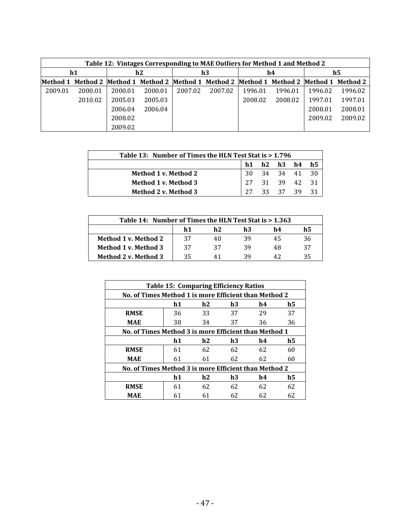|          | Table 12: Vintages Corresponding to MAE Outliers for Method 1 and Method 2 |         |         |         |                                                                                  |         |         |         |         |  |  |  |  |  |  |
|----------|----------------------------------------------------------------------------|---------|---------|---------|----------------------------------------------------------------------------------|---------|---------|---------|---------|--|--|--|--|--|--|
|          | h1                                                                         |         | h2      |         | h3                                                                               |         | h4      |         | h5      |  |  |  |  |  |  |
| Method 1 |                                                                            |         |         |         | Method 2 Method 1 Method 2 Method 1 Method 2 Method 1 Method 2 Method 1 Method 2 |         |         |         |         |  |  |  |  |  |  |
| 2009.01  | 2000.01                                                                    | 2000.01 | 2000.01 | 2007.02 | 2007.02                                                                          | 1996.01 | 1996.01 | 1996.02 | 1996.02 |  |  |  |  |  |  |
|          | 2010.02                                                                    | 2005.03 | 2005.03 |         |                                                                                  | 2008.02 | 2008.02 | 1997.01 | 1997.01 |  |  |  |  |  |  |
|          |                                                                            | 2006.04 | 2006.04 |         |                                                                                  |         |         | 2008.01 | 2008.01 |  |  |  |  |  |  |
|          |                                                                            | 2008.02 |         |         |                                                                                  |         |         | 2009.02 | 2009.02 |  |  |  |  |  |  |
|          |                                                                            | 2009.02 |         |         |                                                                                  |         |         |         |         |  |  |  |  |  |  |

| Table 13: Number of Times the HLN Test Stat is > 1.796 |    |  |                                  |  |  |  |  |  |  |  |  |  |
|--------------------------------------------------------|----|--|----------------------------------|--|--|--|--|--|--|--|--|--|
|                                                        | h1 |  | h2 h3 h4 h5                      |  |  |  |  |  |  |  |  |  |
| Method 1 v. Method 2                                   |    |  |                                  |  |  |  |  |  |  |  |  |  |
| Method 1 v. Method 3                                   |    |  | 30 34 34 41 30<br>27 31 39 42 31 |  |  |  |  |  |  |  |  |  |
| <b>Method 2 v. Method 3</b>                            |    |  | 33 37 39 31                      |  |  |  |  |  |  |  |  |  |

| Table 14: Number of Times the HLN Test Stat is > 1.363 |    |    |    |    |    |  |  |  |  |  |
|--------------------------------------------------------|----|----|----|----|----|--|--|--|--|--|
|                                                        | h1 | h2 | h3 | h4 | h5 |  |  |  |  |  |
| Method 1 v. Method 2                                   | 37 | 40 | 39 | 45 | 36 |  |  |  |  |  |
| Method 1 v. Method 3                                   | 37 | 37 | 39 | 48 | 37 |  |  |  |  |  |
| Method 2 v. Method 3                                   | 35 |    | 30 | 47 | 35 |  |  |  |  |  |

|                                                       | <b>Table 15: Comparing Efficiency Ratios</b>          |    |    |    |    |  |  |  |  |  |  |  |  |  |
|-------------------------------------------------------|-------------------------------------------------------|----|----|----|----|--|--|--|--|--|--|--|--|--|
|                                                       | No. of Times Method 1 is more Efficient than Method 2 |    |    |    |    |  |  |  |  |  |  |  |  |  |
|                                                       | h1<br>h2<br>h3<br>h4<br>h5                            |    |    |    |    |  |  |  |  |  |  |  |  |  |
| <b>RMSE</b>                                           | 36                                                    | 33 | 37 | 29 | 37 |  |  |  |  |  |  |  |  |  |
| <b>MAE</b>                                            | 38                                                    | 34 | 37 | 36 | 36 |  |  |  |  |  |  |  |  |  |
|                                                       | No. of Times Method 3 is more Efficient than Method 1 |    |    |    |    |  |  |  |  |  |  |  |  |  |
|                                                       | h1<br>h2<br>h3<br>h4<br>h5                            |    |    |    |    |  |  |  |  |  |  |  |  |  |
| <b>RMSE</b>                                           | 61                                                    | 62 | 62 | 62 | 60 |  |  |  |  |  |  |  |  |  |
| <b>MAE</b>                                            | 61                                                    | 61 | 62 | 62 | 60 |  |  |  |  |  |  |  |  |  |
| No. of Times Method 3 is more Efficient than Method 2 |                                                       |    |    |    |    |  |  |  |  |  |  |  |  |  |
|                                                       | h1                                                    | h2 | h3 | h4 | h5 |  |  |  |  |  |  |  |  |  |
| <b>RMSE</b>                                           | 61                                                    | 62 | 62 | 62 | 62 |  |  |  |  |  |  |  |  |  |
| MAE                                                   | 61                                                    | 61 | 62 | 62 | 62 |  |  |  |  |  |  |  |  |  |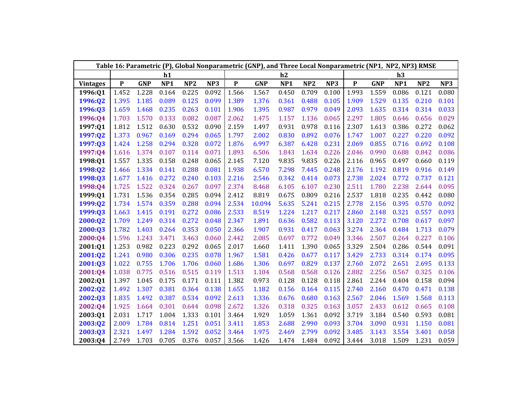|                 |              |            |                 |                 |       |             | Table 16: Parametric (P), Global Nonparametric (GNP), and Three Local Nonparametric (NP1, NP2, NP3) RMSE |                 |                 |       |           |            |                 |                 |       |
|-----------------|--------------|------------|-----------------|-----------------|-------|-------------|----------------------------------------------------------------------------------------------------------|-----------------|-----------------|-------|-----------|------------|-----------------|-----------------|-------|
|                 |              |            | h1              |                 |       |             |                                                                                                          | h2              |                 |       |           |            | h3              |                 |       |
| <b>Vintages</b> | $\mathbf{P}$ | <b>GNP</b> | NP <sub>1</sub> | NP <sub>2</sub> | NP3   | $\mathbf P$ | <b>GNP</b>                                                                                               | NP <sub>1</sub> | NP <sub>2</sub> | NP3   | ${\bf P}$ | <b>GNP</b> | NP <sub>1</sub> | NP <sub>2</sub> | NP3   |
| 1996:Q1         | 1.452        | 1.228      | 0.164           | 0.225           | 0.092 | 1.566       | 1.567                                                                                                    | 0.450           | 0.709           | 0.100 | 1.993     | 1.559      | 0.086           | 0.121           | 0.080 |
| 1996:Q2         | 1.395        | 1.185      | 0.089           | 0.125           | 0.099 | 1.389       | 1.376                                                                                                    | 0.361           | 0.488           | 0.105 | 1.909     | 1.529      | 0.135           | 0.210           | 0.101 |
| 1996:Q3         | 1.659        | 1.468      | 0.235           | 0.263           | 0.101 | 1.906       | 1.395                                                                                                    | 0.987           | 0.979           | 0.049 | 2.093     | 1.635      | 0.314           | 0.314           | 0.033 |
| 1996:Q4         | 1.703        | 1.570      | 0.133           | 0.082           | 0.087 | 2.062       | 1.475                                                                                                    | 1.157           | 1.136           | 0.065 | 2.297     | 1.805      | 0.646           | 0.656           | 0.029 |
| 1997:Q1         | 1.812        | 1.512      | 0.630           | 0.532           | 0.090 | 2.159       | 1.497                                                                                                    | 0.931           | 0.978           | 0.116 | 2.307     | 1.613      | 0.386           | 0.272           | 0.062 |
| 1997:Q2         | 1.373        | 0.967      | 0.169           | 0.294           | 0.065 | 1.797       | 2.002                                                                                                    | 0.830           | 0.892           | 0.076 | 1.747     | 1.007      | 0.227           | 0.220           | 0.092 |
| 1997:Q3         | 1.424        | 1.258      | 0.294           | 0.328           | 0.072 | 1.876       | 6.997                                                                                                    | 6.387           | 6.428           | 0.231 | 2.069     | 0.855      | 0.716           | 0.692           | 0.108 |
| 1997:Q4         | 1.616        | 1.374      | 0.107           | 0.114           | 0.071 | 1.893       | 6.506                                                                                                    | 1.843           | 1.634           | 0.226 | 2.046     | 0.990      | 0.688           | 0.842           | 0.086 |
| 1998:Q1         | 1.557        | 1.335      | 0.158           | 0.248           | 0.065 | 2.145       | 7.120                                                                                                    | 9.835           | 9.835           | 0.226 | 2.116     | 0.965      | 0.497           | 0.660           | 0.119 |
| 1998:Q2         | 1.466        | 1.334      | 0.141           | 0.288           | 0.081 | 1.938       | 6.570                                                                                                    | 7.298           | 7.445           | 0.248 | 2.176     | 1.192      | 0.819           | 0.916           | 0.149 |
| 1998:Q3         | 1.677        | 1.416      | 0.272           | 0.240           | 0.103 | 2.216       | 2.546                                                                                                    | 0.342           | 0.414           | 0.073 | 2.738     | 2.024      | 0.772           | 0.737           | 0.121 |
| 1998:Q4         | 1.725        | 1.522      | 0.324           | 0.267           | 0.097 | 2.374       | 8.468                                                                                                    | 6.105           | 6.107           | 0.230 | 2.511     | 1.780      | 2.238           | 2.644           | 0.095 |
| 1999:Q1         | 1.731        | 1.536      | 0.354           | 0.285           | 0.094 | 2.412       | 8.819                                                                                                    | 0.675           | 0.809           | 0.216 | 2.537     | 1.818      | 0.235           | 0.442           | 0.080 |
| 1999:Q2         | 1.734        | 1.574      | 0.359           | 0.288           | 0.094 | 2.534       | 10.094                                                                                                   | 5.635           | 5.241           | 0.215 | 2.778     | 2.156      | 0.395           | 0.570           | 0.092 |
| 1999:Q3         | 1.663        | 1.415      | 0.191           | 0.272           | 0.086 | 2.533       | 8.519                                                                                                    | 1.224           | 1.217           | 0.217 | 2.860     | 2.148      | 0.321           | 0.557           | 0.093 |
| 2000:Q2         | 1.709        | 1.249      | 0.314           | 0.272           | 0.048 | 2.347       | 1.891                                                                                                    | 0.636           | 0.582           | 0.113 | 3.120     | 2.272      | 0.708           | 0.617           | 0.097 |
| 2000:Q3         | 1.782        | 1.403      | 0.264           | 0.353           | 0.050 | 2.366       | 1.907                                                                                                    | 0.931           | 0.417           | 0.063 | 3.274     | 2.364      | 0.484           | 1.713           | 0.079 |
| 2000:04         | 1.596        | 1.243      | 3.471           | 3.463           | 0.060 | 2.442       | 2.085                                                                                                    | 0.697           | 0.772           | 0.049 | 3.346     | 2.507      | 0.264           | 0.227           | 0.106 |
| 2001:Q1         | 1.253        | 0.982      | 0.223           | 0.292           | 0.065 | 2.017       | 1.660                                                                                                    | 1.411           | 1.390           | 0.065 | 3.329     | 2.504      | 0.286           | 0.544           | 0.091 |
| 2001:Q2         | 1.241        | 0.980      | 0.306           | 0.235           | 0.078 | 1.967       | 1.581                                                                                                    | 0.426           | 0.677           | 0.117 | 3.429     | 2.733      | 0.314           | 0.174           | 0.095 |
| 2001:Q3         | 1.022        | 0.755      | 1.706           | 1.706           | 0.060 | 1.686       | 1.306                                                                                                    | 0.697           | 0.829           | 0.137 | 2.760     | 2.072      | 2.651           | 2.695           | 0.133 |
| 2001:Q4         | 1.038        | 0.775      | 0.516           | 0.515           | 0.119 | 1.513       | 1.104                                                                                                    | 0.568           | 0.568           | 0.126 | 2.882     | 2.256      | 0.567           | 0.325           | 0.106 |
| 2002:Q1         | 1.397        | 1.045      | 0.175           | 0.171           | 0.111 | 1.382       | 0.973                                                                                                    | 0.128           | 0.128           | 0.118 | 2.861     | 2.244      | 0.404           | 0.158           | 0.094 |
| 2002:Q2         | 1.492        | 1.307      | 0.381           | 0.364           | 0.138 | 1.655       | 1.182                                                                                                    | 0.156           | 0.164           | 0.115 | 2.740     | 2.160      | 0.470           | 0.471           | 0.138 |
| 2002:Q3         | 1.835        | 1.492      | 0.387           | 0.534           | 0.092 | 2.613       | 1.336                                                                                                    | 0.676           | 0.680           | 0.163 | 2.567     | 2.046      | 1.569           | 1.568           | 0.113 |
| 2002:Q4         | 1.925        | 1.664      | 0.301           | 0.644           | 0.098 | 2.672       | 1.326                                                                                                    | 0.318           | 0.325           | 0.163 | 3.057     | 2.433      | 0.612           | 0.665           | 0.108 |
| 2003:Q1         | 2.031        | 1.717      | 1.004           | 1.333           | 0.101 | 3.464       | 1.929                                                                                                    | 1.059           | 1.361           | 0.092 | 3.719     | 3.184      | 0.540           | 0.593           | 0.081 |
| 2003:Q2         | 2.009        | 1.784      | 0.814           | 1.251           | 0.051 | 3.411       | 1.853                                                                                                    | 2.688           | 2.990           | 0.093 | 3.704     | 3.090      | 0.931           | 1.150           | 0.081 |
| 2003:Q3         | 2.321        | 1.497      | 1.284           | 1.592           | 0.052 | 3.464       | 1.975                                                                                                    | 2.469           | 2.799           | 0.092 | 3.485     | 3.143      | 3.554           | 3.401           | 0.058 |
| 2003:Q4         | 2.749        | 1.703      | 0.705           | 0.376           | 0.057 | 3.566       | 1.426                                                                                                    | 1.474           | 1.484           | 0.092 | 3.444     | 3.018      | 1.509           | 1.231           | 0.059 |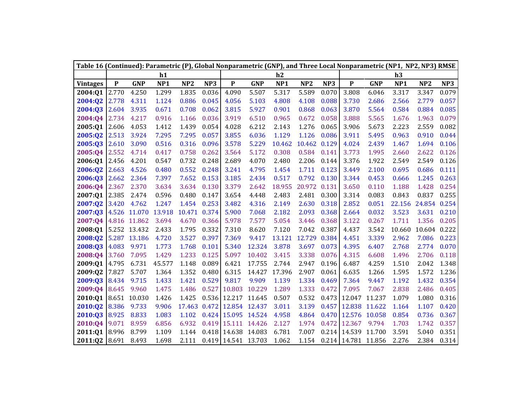|                 |             |              |                 |                 |       |               |            |                 |                 |       | Table 16 (Continued): Parametric (P), Global Nonparametric (GNP), and Three Local Nonparametric (NP1, NP2, NP3) RMSE |            |                 |                 |       |  |
|-----------------|-------------|--------------|-----------------|-----------------|-------|---------------|------------|-----------------|-----------------|-------|----------------------------------------------------------------------------------------------------------------------|------------|-----------------|-----------------|-------|--|
|                 |             |              | h1              |                 |       |               |            | h2              |                 |       |                                                                                                                      |            | h3              |                 |       |  |
| <b>Vintages</b> | $\mathbf P$ | <b>GNP</b>   | NP <sub>1</sub> | NP <sub>2</sub> | NP3   | $\mathbf{P}$  | <b>GNP</b> | NP <sub>1</sub> | NP <sub>2</sub> | NP3   | P                                                                                                                    | <b>GNP</b> | NP <sub>1</sub> | NP <sub>2</sub> | NP3   |  |
| 2004:Q1         | 2.770       | 4.250        | 1.299           | 1.835           | 0.036 | 4.090         | 5.507      | 5.317           | 5.589           | 0.070 | 3.808                                                                                                                | 6.046      | 3.317           | 3.347           | 0.079 |  |
| 2004:02         | 2.778       | 4.311        | 1.124           | 0.886           | 0.045 | 4.056         | 5.103      | 4.808           | 4.108           | 0.088 | 3.730                                                                                                                | 2.686      | 2.566           | 2.779           | 0.057 |  |
| 2004:Q3         | 2.604       | 3.935        | 0.671           | 0.708           | 0.062 | 3.815         | 5.927      | 0.901           | 0.868           | 0.063 | 3.870                                                                                                                | 5.564      | 0.584           | 0.884           | 0.085 |  |
| 2004:Q4         | 2.734       | 4.217        | 0.916           | 1.166           | 0.036 | 3.919         | 6.510      | 0.965           | 0.672           | 0.058 | 3.888                                                                                                                | 5.565      | 1.676           | 1.963           | 0.079 |  |
| 2005:Q1         | 2.606       | 4.053        | 1.412           | 1.439           | 0.054 | 4.028         | 6.212      | 2.143           | 1.276           | 0.065 | 3.906                                                                                                                | 5.673      | 2.223           | 2.559           | 0.082 |  |
| 2005:Q2         | 2.513       | 3.924        | 7.295           | 7.295           | 0.057 | 3.855         | 6.036      | 1.129           | 1.126           | 0.086 | 3.911                                                                                                                | 5.495      | 0.963           | 0.910           | 0.044 |  |
| 2005:Q3         | 2.610       | 3.090        | 0.516           | 0.316           | 0.096 | 3.578         | 5.229      | 10.462          | 10.462          | 0.129 | 4.024                                                                                                                | 2.439      | 1.467           | 1.694           | 0.106 |  |
| 2005:Q4         | 2.552       | 4.714        | 0.417           | 0.758           | 0.262 | 3.564         | 5.172      | 0.308           | 0.584           | 0.141 | 3.773                                                                                                                | 1.995      | 2.660           | 2.622           | 0.126 |  |
| 2006:Q1         | 2.456       | 4.201        | 0.547           | 0.732           | 0.248 | 2.689         | 4.070      | 2.480           | 2.206           | 0.144 | 3.376                                                                                                                | 1.922      | 2.549           | 2.549           | 0.126 |  |
| 2006:Q2         | 2.663       | 4.526        | 0.480           | 0.552           | 0.248 | 3.241         | 4.795      | 1.454           | 1.711           | 0.123 | 3.449                                                                                                                | 2.100      | 0.695           | 0.686           | 0.111 |  |
| 2006:Q3         | 2.662       | 2.364        | 7.397           | 7.652           | 0.153 | 3.185         | 2.434      | 0.517           | 0.792           | 0.130 | 3.344                                                                                                                | 0.453      | 0.666           | 1.245           | 0.263 |  |
| 2006:Q4         | 2.367       | 2.370        | 3.634           | 3.634           | 0.130 | 3.379         | 2.642      | 18.955          | 20.972          | 0.131 | 3.650                                                                                                                | 0.110      | 1.188           | 1.428           | 0.254 |  |
| 2007:Q1         | 2.385       | 2.474        | 0.596           | 0.480           | 0.147 | 3.654         | 4.448      | 2.483           | 2.481           | 0.300 | 3.314                                                                                                                | 0.083      | 0.843           | 0.837           | 0.255 |  |
| 2007:Q2         | 3.420       | 4.762        | 1.247           | 1.454           | 0.253 | 3.482         | 4.316      | 2.149           | 2.630           | 0.318 | 2.852                                                                                                                | 0.051      | 22.156          | 24.854          | 0.254 |  |
| 2007:Q3         | 4.526       | 11.070       | 13.918          | 10.471          | 0.374 | 5.900         | 7.068      | 2.182           | 2.093           | 0.368 | 2.664                                                                                                                | 0.032      | 3.523           | 3.631           | 0.210 |  |
| 2007:04         |             | 4.816 11.862 | 3.694           | 4.670           | 0.366 | 5.978         | 7.577      | 5.054           | 3.446           | 0.368 | 3.122                                                                                                                | 0.267      | 1.711           | 1.356           | 0.205 |  |
| 2008:Q1         |             | 5.252 13.432 | 2.433           | 1.795           | 0.332 | 7.310         | 8.620      | 7.120           | 7.042           | 0.387 | 4.437                                                                                                                | 3.542      | 10.660          | 10.604 0.222    |       |  |
| 2008:Q2         |             | 5.287 13.186 | 4.720           | 3.527           | 0.397 | 7.369         | 9.417      | 13.121          | 12.729          | 0.384 | 4.451                                                                                                                | 3.339      | 2.962           | 7.086           | 0.223 |  |
| 2008:Q3         | 4.083       | 9.971        | 1.773           | 1.768           | 0.101 | 5.340         | 12.324     | 3.878           | 3.697           | 0.073 | 4.395                                                                                                                | 6.407      | 2.768           | 2.774           | 0.070 |  |
| 2008:Q4         | 3.760       | 7.095        | 1.429           | 1.233           | 0.125 | 5.097         | 10.402     | 3.415           | 3.338           | 0.076 | 4.315                                                                                                                | 6.608      | 1.496           | 2.706           | 0.118 |  |
| 2009:Q1         | 4.795       | 6.731        | 45.577          | 1.148           | 0.089 | 6.421         | 17.755     | 2.744           | 2.947           | 0.196 | 6.487                                                                                                                | 4.259      | 1.510           | 2.042           | 1.348 |  |
| 2009:Q2         | 7.827       | 5.707        | 1.364           | 1.352           | 0.480 | 6.315         | 14.427     | 17.396          | 2.907           | 0.061 | 6.635                                                                                                                | 1.266      | 1.595           | 1.572           | 1.236 |  |
| 2009:Q3         | 8.434       | 9.715        | 1.433           | 1.421           | 0.529 | 9.817         | 9.909      | 1.139           | 1.334           | 0.469 | 7.364                                                                                                                | 9.447      | 1.192           | 1.432           | 0.354 |  |
| 2009:Q4         | 8.645       | 9.960        | 1.475           | 1.486           | 0.527 | 10.803        | 10.229     | 1.289           | 1.333           | 0.472 | 7.095                                                                                                                | 7.067      | 2.838           | 2.486           | 0.405 |  |
| 2010:Q1         | 8.651       | 10.030       | 1.426           | 1.425           | 0.536 | 12.217        | 11.645     | 0.507           | 0.532           | 0.473 | 12.047                                                                                                               | 11.237     | 1.079           | 1.080           | 0.316 |  |
| 2010:Q2         | 8.386       | 9.733        | 9.906           | 17.463          | 0.472 | 12.854        | 12.437     | 3.011           | 3.139           | 0.457 | 12.838                                                                                                               | 11.622     | 1.164           | 1.107           | 0.420 |  |
| 2010:Q3         | 8.925       | 8.833        | 1.083           | 1.102           | 0.424 | 15.095        | 14.524     | 4.958           | 4.864           | 0.470 | 12.576                                                                                                               | 10.058     | 0.854           | 0.736           | 0.367 |  |
| 2010:Q4         | 9.071       | 8.959        | 6.856           | 6.932           | 0.419 | 15.111        | 14.426     | 2.127           | 1.974           | 0.472 | 12.367                                                                                                               | 9.794      | 1.703           | 1.742           | 0.357 |  |
| 2011:Q1         | 8.996       | 8.799        | 1.109           | 1.144           |       | 0.418 14.638  | 14.083     | 6.781           | 7.007           | 0.214 | 14.539                                                                                                               | 11.700     | 3.591           | 5.040           | 0.351 |  |
| 2011:Q2         | 8.691       | 8.493        | 1.698           | 2.111           | 0.419 | 14.541 13.703 |            | 1.062           | 1.154           |       | 0.214 14.781                                                                                                         | 11.856     | 2.276           | 2.384           | 0.314 |  |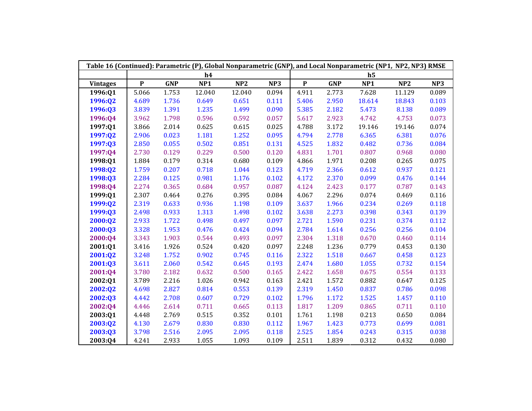| Table 16 (Continued): Parametric (P), Global Nonparametric (GNP), and Local Nonparametric (NP1, NP2, NP3) RMSE |             |            |                 |        |       |           |            |                |        |       |
|----------------------------------------------------------------------------------------------------------------|-------------|------------|-----------------|--------|-------|-----------|------------|----------------|--------|-------|
|                                                                                                                |             |            | h4              |        |       |           |            | h <sub>5</sub> |        |       |
| <b>Vintages</b>                                                                                                | $\mathbf P$ | <b>GNP</b> | NP <sub>1</sub> | NP2    | NP3   | ${\bf P}$ | <b>GNP</b> | NP1            | NP2    | NP3   |
| 1996:Q1                                                                                                        | 5.066       | 1.753      | 12.040          | 12.040 | 0.094 | 4.911     | 2.773      | 7.628          | 11.129 | 0.089 |
| 1996:Q2                                                                                                        | 4.689       | 1.736      | 0.649           | 0.651  | 0.111 | 5.406     | 2.950      | 18.614         | 18.843 | 0.103 |
| 1996:Q3                                                                                                        | 3.839       | 1.391      | 1.235           | 1.499  | 0.090 | 5.385     | 2.182      | 5.473          | 8.138  | 0.089 |
| 1996:Q4                                                                                                        | 3.962       | 1.798      | 0.596           | 0.592  | 0.057 | 5.617     | 2.923      | 4.742          | 4.753  | 0.073 |
| 1997:Q1                                                                                                        | 3.866       | 2.014      | 0.625           | 0.615  | 0.025 | 4.788     | 3.172      | 19.146         | 19.146 | 0.074 |
| 1997:Q2                                                                                                        | 2.906       | 0.023      | 1.181           | 1.252  | 0.095 | 4.794     | 2.778      | 6.365          | 6.381  | 0.076 |
| 1997:Q3                                                                                                        | 2.850       | 0.055      | 0.502           | 0.851  | 0.131 | 4.525     | 1.832      | 0.482          | 0.736  | 0.084 |
| 1997:Q4                                                                                                        | 2.730       | 0.129      | 0.229           | 0.500  | 0.120 | 4.831     | 1.701      | 0.807          | 0.968  | 0.080 |
| 1998:Q1                                                                                                        | 1.884       | 0.179      | 0.314           | 0.680  | 0.109 | 4.866     | 1.971      | 0.208          | 0.265  | 0.075 |
| 1998:Q2                                                                                                        | 1.759       | 0.207      | 0.718           | 1.044  | 0.123 | 4.719     | 2.366      | 0.612          | 0.937  | 0.121 |
| 1998:Q3                                                                                                        | 2.284       | 0.125      | 0.981           | 1.176  | 0.102 | 4.172     | 2.370      | 0.099          | 0.476  | 0.144 |
| 1998:Q4                                                                                                        | 2.274       | 0.365      | 0.684           | 0.957  | 0.087 | 4.124     | 2.423      | 0.177          | 0.787  | 0.143 |
| 1999:Q1                                                                                                        | 2.307       | 0.464      | 0.276           | 0.395  | 0.084 | 4.067     | 2.296      | 0.074          | 0.469  | 0.116 |
| 1999:Q2                                                                                                        | 2.319       | 0.633      | 0.936           | 1.198  | 0.109 | 3.637     | 1.966      | 0.234          | 0.269  | 0.118 |
| 1999:Q3                                                                                                        | 2.498       | 0.933      | 1.313           | 1.498  | 0.102 | 3.638     | 2.273      | 0.398          | 0.343  | 0.139 |
| 2000:Q2                                                                                                        | 2.933       | 1.722      | 0.498           | 0.497  | 0.097 | 2.721     | 1.590      | 0.231          | 0.374  | 0.112 |
| 2000:Q3                                                                                                        | 3.328       | 1.953      | 0.476           | 0.424  | 0.094 | 2.784     | 1.614      | 0.256          | 0.256  | 0.104 |
| 2000:Q4                                                                                                        | 3.343       | 1.903      | 0.544           | 0.493  | 0.097 | 2.304     | 1.318      | 0.670          | 0.460  | 0.114 |
| 2001:Q1                                                                                                        | 3.416       | 1.926      | 0.524           | 0.420  | 0.097 | 2.248     | 1.236      | 0.779          | 0.453  | 0.130 |
| 2001:Q2                                                                                                        | 3.248       | 1.752      | 0.902           | 0.745  | 0.116 | 2.322     | 1.518      | 0.667          | 0.458  | 0.123 |
| 2001:Q3                                                                                                        | 3.611       | 2.060      | 0.542           | 0.645  | 0.193 | 2.474     | 1.680      | 1.055          | 0.732  | 0.154 |
| 2001:Q4                                                                                                        | 3.780       | 2.182      | 0.632           | 0.500  | 0.165 | 2.422     | 1.658      | 0.675          | 0.554  | 0.133 |
| 2002:Q1                                                                                                        | 3.789       | 2.216      | 1.026           | 0.942  | 0.163 | 2.421     | 1.572      | 0.882          | 0.647  | 0.125 |
| 2002:Q2                                                                                                        | 4.698       | 2.827      | 0.814           | 0.553  | 0.139 | 2.319     | 1.450      | 0.837          | 0.786  | 0.098 |
| 2002:Q3                                                                                                        | 4.442       | 2.708      | 0.607           | 0.729  | 0.102 | 1.796     | 1.172      | 1.525          | 1.457  | 0.110 |
| 2002:Q4                                                                                                        | 4.446       | 2.614      | 0.711           | 0.665  | 0.113 | 1.817     | 1.209      | 0.865          | 0.711  | 0.110 |
| 2003:Q1                                                                                                        | 4.448       | 2.769      | 0.515           | 0.352  | 0.101 | 1.761     | 1.198      | 0.213          | 0.650  | 0.084 |
| 2003:Q2                                                                                                        | 4.130       | 2.679      | 0.830           | 0.830  | 0.112 | 1.967     | 1.423      | 0.773          | 0.699  | 0.081 |
| 2003:Q3                                                                                                        | 3.798       | 2.516      | 2.095           | 2.095  | 0.118 | 2.525     | 1.854      | 0.243          | 0.315  | 0.038 |
| 2003:Q4                                                                                                        | 4.241       | 2.933      | 1.055           | 1.093  | 0.109 | 2.511     | 1.839      | 0.312          | 0.432  | 0.080 |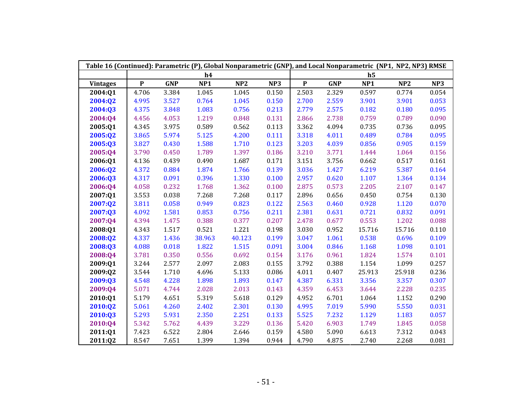| Table 16 (Continued): Parametric (P), Global Nonparametric (GNP), and Local Nonparametric (NP1, NP2, NP3) RMSE |           |            |                 |        |       |           |            |                |        |       |
|----------------------------------------------------------------------------------------------------------------|-----------|------------|-----------------|--------|-------|-----------|------------|----------------|--------|-------|
|                                                                                                                |           |            | h4              |        |       |           |            | h <sub>5</sub> |        |       |
| <b>Vintages</b>                                                                                                | ${\bf P}$ | <b>GNP</b> | NP <sub>1</sub> | NP2    | NP3   | ${\bf P}$ | <b>GNP</b> | NP1            | NP2    | NP3   |
| 2004:01                                                                                                        | 4.706     | 3.384      | 1.045           | 1.045  | 0.150 | 2.503     | 2.329      | 0.597          | 0.774  | 0.054 |
| 2004:Q2                                                                                                        | 4.995     | 3.527      | 0.764           | 1.045  | 0.150 | 2.700     | 2.559      | 3.901          | 3.901  | 0.053 |
| 2004:03                                                                                                        | 4.375     | 3.848      | 1.083           | 0.756  | 0.213 | 2.779     | 2.575      | 0.182          | 0.180  | 0.095 |
| 2004:Q4                                                                                                        | 4.456     | 4.053      | 1.219           | 0.848  | 0.131 | 2.866     | 2.738      | 0.759          | 0.789  | 0.090 |
| 2005:Q1                                                                                                        | 4.345     | 3.975      | 0.589           | 0.562  | 0.113 | 3.362     | 4.094      | 0.735          | 0.736  | 0.095 |
| 2005:Q2                                                                                                        | 3.865     | 5.974      | 5.125           | 4.200  | 0.111 | 3.318     | 4.011      | 0.489          | 0.784  | 0.095 |
| 2005:03                                                                                                        | 3.827     | 0.430      | 1.588           | 1.710  | 0.123 | 3.203     | 4.039      | 0.856          | 0.905  | 0.159 |
| 2005:Q4                                                                                                        | 3.790     | 0.450      | 1.789           | 1.397  | 0.186 | 3.210     | 3.771      | 1.444          | 1.064  | 0.156 |
| 2006:01                                                                                                        | 4.136     | 0.439      | 0.490           | 1.687  | 0.171 | 3.151     | 3.756      | 0.662          | 0.517  | 0.161 |
| 2006:Q2                                                                                                        | 4.372     | 0.884      | 1.874           | 1.766  | 0.139 | 3.036     | 1.427      | 6.219          | 5.387  | 0.164 |
| 2006:Q3                                                                                                        | 4.317     | 0.091      | 0.396           | 1.330  | 0.100 | 2.957     | 0.620      | 1.107          | 1.364  | 0.134 |
| 2006:Q4                                                                                                        | 4.058     | 0.232      | 1.768           | 1.362  | 0.100 | 2.875     | 0.573      | 2.205          | 2.107  | 0.147 |
| 2007:Q1                                                                                                        | 3.553     | 0.038      | 7.268           | 7.268  | 0.117 | 2.896     | 0.656      | 0.450          | 0.754  | 0.130 |
| 2007:Q2                                                                                                        | 3.811     | 0.058      | 0.949           | 0.823  | 0.122 | 2.563     | 0.460      | 0.928          | 1.120  | 0.070 |
| 2007:03                                                                                                        | 4.092     | 1.581      | 0.853           | 0.756  | 0.211 | 2.381     | 0.631      | 0.721          | 0.832  | 0.091 |
| 2007:Q4                                                                                                        | 4.394     | 1.475      | 0.388           | 0.377  | 0.207 | 2.478     | 0.677      | 0.553          | 1.202  | 0.088 |
| 2008:01                                                                                                        | 4.343     | 1.517      | 0.521           | 1.221  | 0.198 | 3.030     | 0.952      | 15.716         | 15.716 | 0.110 |
| 2008:Q2                                                                                                        | 4.337     | 1.436      | 38.963          | 40.123 | 0.199 | 3.047     | 1.061      | 0.538          | 0.696  | 0.109 |
| 2008:Q3                                                                                                        | 4.088     | 0.018      | 1.822           | 1.515  | 0.091 | 3.004     | 0.846      | 1.168          | 1.098  | 0.101 |
| 2008:Q4                                                                                                        | 3.781     | 0.350      | 0.556           | 0.692  | 0.154 | 3.176     | 0.961      | 1.824          | 1.574  | 0.101 |
| 2009:Q1                                                                                                        | 3.244     | 2.577      | 2.097           | 2.083  | 0.155 | 3.792     | 0.388      | 1.154          | 1.099  | 0.257 |
| 2009:Q2                                                                                                        | 3.544     | 1.710      | 4.696           | 5.133  | 0.086 | 4.011     | 0.407      | 25.913         | 25.918 | 0.236 |
| 2009:03                                                                                                        | 4.548     | 4.228      | 1.898           | 1.893  | 0.147 | 4.387     | 6.331      | 3.356          | 3.357  | 0.307 |
| 2009:Q4                                                                                                        | 5.071     | 4.744      | 2.028           | 2.013  | 0.143 | 4.359     | 6.453      | 3.644          | 2.228  | 0.235 |
| 2010:Q1                                                                                                        | 5.179     | 4.651      | 5.319           | 5.618  | 0.129 | 4.952     | 6.701      | 1.064          | 1.152  | 0.290 |
| 2010:Q2                                                                                                        | 5.061     | 4.260      | 2.402           | 2.301  | 0.130 | 4.995     | 7.019      | 5.990          | 5.550  | 0.031 |
| 2010:Q3                                                                                                        | 5.293     | 5.931      | 2.350           | 2.251  | 0.133 | 5.525     | 7.232      | 1.129          | 1.183  | 0.057 |
| 2010:Q4                                                                                                        | 5.342     | 5.762      | 4.439           | 3.229  | 0.136 | 5.420     | 6.903      | 1.749          | 1.845  | 0.058 |
| 2011:Q1                                                                                                        | 7.423     | 6.522      | 2.804           | 2.646  | 0.159 | 4.580     | 5.090      | 6.613          | 7.312  | 0.043 |
| 2011:Q2                                                                                                        | 8.547     | 7.651      | 1.399           | 1.394  | 0.944 | 4.790     | 4.875      | 2.740          | 2.268  | 0.081 |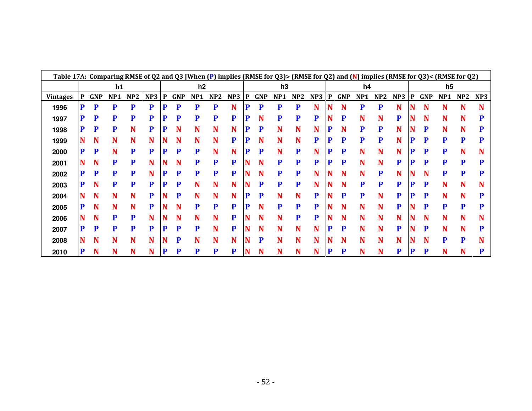| Table 17A: Comparing RMSE of Q2 and Q3 [When (P) implies (RMSE for Q3)> (RMSE for Q2) and (N) implies (RMSE for Q3)< (RMSE for Q2) |   |            |     |     |           |   |            |                |     |                 |   |            |     |     |     |   |            |     |     |     |   |            |                |     |                 |
|------------------------------------------------------------------------------------------------------------------------------------|---|------------|-----|-----|-----------|---|------------|----------------|-----|-----------------|---|------------|-----|-----|-----|---|------------|-----|-----|-----|---|------------|----------------|-----|-----------------|
|                                                                                                                                    |   |            | h1  |     |           |   |            | h <sub>2</sub> |     |                 |   |            | h3  |     |     |   |            | h4  |     |     |   |            | h <sub>5</sub> |     |                 |
| <b>Vintages</b>                                                                                                                    | P | <b>GNP</b> | NP1 | NP2 | NP3       | P | <b>GNP</b> | NP1            | NP2 | NP <sub>3</sub> | P | <b>GNP</b> | NP1 | NP2 | NP3 | P | <b>GNP</b> | NP1 | NP2 | NP3 | P | <b>GNP</b> | NP1            | NP2 | NP <sub>3</sub> |
| 1996                                                                                                                               | P | P          | P   | P   | P         | P | P          | P              | P   | N               | D | P          | P   | P   | N   |   | N          | P   | P   | N   | N | N          | N              | N   |                 |
| 1997                                                                                                                               | P | P          | P   | P   | P         | D | P          | D              | D   | P               |   | N          |     | P   | P   |   | P          | N   | N   | P   |   | N          |                | N   |                 |
| 1998                                                                                                                               | P | P          | P   | N   | ${\bf P}$ | P | N          | N              | N   | N               |   | P          | N   | N   | N   |   | N          | Р   | P   | N   |   | n          | N              | N   |                 |
| 1999                                                                                                                               | N | N          | N   | N   | N         | N | N          | N              | N   | P               |   | N          | N   | N   | P   | n | P          | P   | P   | N   |   | P          | P              | P   |                 |
| 2000                                                                                                                               | P | P          | N   | P   | P         | P | P          | P              | N   | N               | D | P          | N   | P   | N   | P | P          | N   | N   | N   | P | P          | P              | N   |                 |
| 2001                                                                                                                               | N | N          | P   | P   | N         |   |            | D              | P   | P               |   | N          | P   | P   | P   | D | P          | N   | N   | P   |   | D          |                | P   |                 |
| 2002                                                                                                                               | P | P          | P   | P   | N         | P | P          | P              |     | P               |   | N          |     | P   |     |   | N          | N   | P   | N   |   | N          |                | P   |                 |
| 2003                                                                                                                               | P | N          | P   | P   | P         | P | P          | N              | N   | N               |   | P          | P   | P   | N   |   | N          | P   | P   | P   |   | P          | N              | N   |                 |
| 2004                                                                                                                               | N | N          | N   | N   | P         | N | P          | N              | N   | N               | P | P          | N   | N   | P   |   | P          | P   | N   | P   |   | P          | N              | N   |                 |
| 2005                                                                                                                               | P | N          | N   | N   | P         |   | N          | P              | P   | P               | D | N          | P   | P   | P   |   | N          | N   | N   | P   |   | P          |                | P   |                 |
| 2006                                                                                                                               | N | N          | P   | P   | N         |   |            | N              | N   | P               |   | N          | N   | P   | P   |   | N          | N   | N   | N   |   | N          |                | N   |                 |
| 2007                                                                                                                               | P | P          | P   | P   | P         | P | P          | P              | N   | P               |   | N          | N   | N   | N   | D | P          | N   | N   | P   |   | P          | N              | N   |                 |
| 2008                                                                                                                               | N | N          | N   | N   | N         | N | P          | N              | N   | N               |   | P          | N   | N   | N   |   | N          | N   | N   | N   | N | N          | P              | P   |                 |
| 2010                                                                                                                               | P | N          | N   | N   | N         | P | P          | P              |     | P               |   | N          | N   | N   | N   | P | P          | N   | N   | P   |   | P          | N              | N   |                 |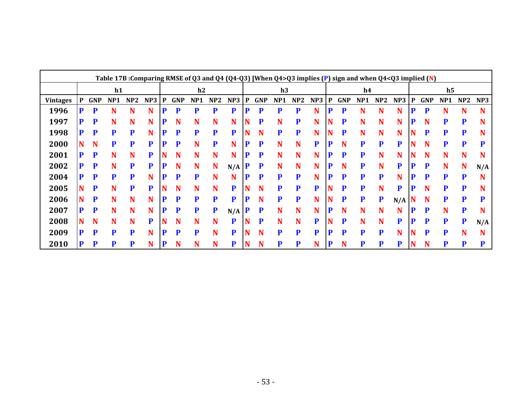|                 |   |            |                 |     |     |   |            | Table 17B: Comparing RMSE of Q3 and Q4 (Q4-Q3) [When Q4>Q3 implies (P) sign and when Q4 <q3 (n)<="" implied="" th=""><th></th><th></th><th></th><th></th><th></th><th></th><th></th><th></th><th></th><th></th><th></th><th></th><th></th><th></th><th></th><th></th><th></th></q3> |     |     |   |            |                 |     |     |   |            |                 |           |             |          |            |                 |     |     |
|-----------------|---|------------|-----------------|-----|-----|---|------------|-------------------------------------------------------------------------------------------------------------------------------------------------------------------------------------------------------------------------------------------------------------------------------------|-----|-----|---|------------|-----------------|-----|-----|---|------------|-----------------|-----------|-------------|----------|------------|-----------------|-----|-----|
|                 |   |            | h1              |     |     |   |            | h2                                                                                                                                                                                                                                                                                  |     |     |   |            | h3              |     |     |   |            | h4              |           |             |          |            | h <sub>5</sub>  |     |     |
| <b>Vintages</b> | P | <b>GNP</b> | NP <sub>1</sub> | NP2 | NP3 | P | <b>GNP</b> | NP <sub>1</sub>                                                                                                                                                                                                                                                                     | NP2 | NP3 | P | <b>GNP</b> | NP <sub>1</sub> | NP2 | NP3 | P | <b>GNP</b> | NP <sub>1</sub> | NP2       | NP3         | P        | <b>GNP</b> | NP <sub>1</sub> | NP2 | NP3 |
| 1996            | D | P          | N               | N   | N   | Þ | P          | D                                                                                                                                                                                                                                                                                   |     | P   | D | P          | P               | P   | N   | D | P          | N               | N         | N           | P        | P          |                 | N   |     |
| 1997            | D | P          | N               | N   | N   | P | N          | N                                                                                                                                                                                                                                                                                   | N   | N   |   | P          | N               | P   | N   |   | P          | N               | N         | N           | P        | N          | D               | D   |     |
| 1998            | P | P          | P               | P   | N   | P | P          | P                                                                                                                                                                                                                                                                                   | P   | P   |   | N          | P               | P   | N   | N | P          | N               | N         | N           | N        | P          | P               | P   |     |
| 2000            |   | N          | P               | P   | P   | P | P          | N                                                                                                                                                                                                                                                                                   | P   | N   | P | P          | N               | N   | P   | P | N          | P               | P         | P           |          | N          | P               | P   |     |
| 2001            | D | P          | N               | N   | P   |   | N          | N                                                                                                                                                                                                                                                                                   | N   | N   | P | P          | N               | N   | N   |   | P          | P               | N         | N           |          | N          | N               | N   |     |
| 2002            | D | P          | N               | P   | P   | P | N          | N                                                                                                                                                                                                                                                                                   | N   | N/A | P | P          | N               | N   | N   | P | N          | P               | N         | P           | P        | P          | N               | N   | N/A |
| 2004            | D | P          | P               | P   | N   | P | P          | P                                                                                                                                                                                                                                                                                   | N   | N   | D | P          | P               | P   | N   | D | P          | P               | P         | N           | P        | P          | P               | P   |     |
| 2005            |   | P          | N               | P   | P   |   | N          |                                                                                                                                                                                                                                                                                     | N   | P   |   | N          | P               | P   | P   |   | P          | P               | N         | P           | P        | N          | P               | P   |     |
| 2006            |   | P          | N               | N   | N   | P | P          | P                                                                                                                                                                                                                                                                                   | P   | P   | P | N          | P               | P   | N   | N | P          | P               | ${\bf P}$ | $N/A$ N     |          | N          | P               |     |     |
| 2007            | D | P          | N               | N   | N   | P | P          | P                                                                                                                                                                                                                                                                                   | P   | N/A | P | P          | N               | N   | N   | P | N          | N               | N         | N           | P        | P          | N               | P   |     |
| 2008            |   | N          | N               | N   | P   |   | N          |                                                                                                                                                                                                                                                                                     | N   | P   |   | P          |                 | N   | P   |   | P          | N               | N         | P           | D        | P          | P               | D   | N/A |
| 2009            | D | P          | P               | P   | N   | P | P          | P                                                                                                                                                                                                                                                                                   | N   | P   |   | N          | P               | P   | P   |   | D          | P               | P         | N           | <b>N</b> | P          | P               | N   |     |
| 2010            | D | P          | P               | P   | N   | P | N          | N                                                                                                                                                                                                                                                                                   | N   | P   |   | N          | P               | P   | N   | P | N          | D               | P         | $\mathbf P$ | N        | N          | P               | P   | D   |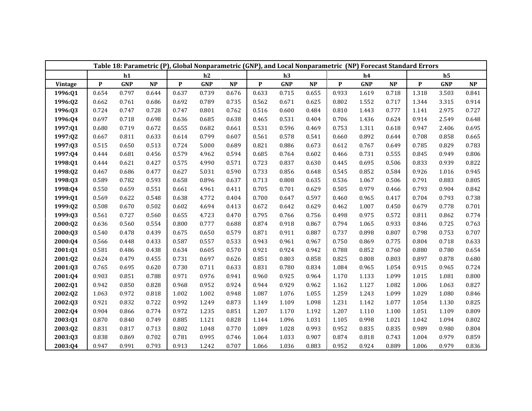| Table 18: Parametric (P), Global Nonparametric (GNP), and Local Nonparametric (NP) Forecast Standard Errors<br>h1<br>h2<br>h3<br>h4<br>$\mathbf P$<br>${\bf P}$<br>$\mathbf{P}$<br>NP<br>${\bf P}$<br>$\ensuremath{\mathbf{NP}}\xspace$<br><b>GNP</b><br>$\bf NP$<br><b>GNP</b><br>$\ensuremath{\mathbf{NP}}$<br><b>GNP</b><br><b>GNP</b><br>Vintage<br>1996:01<br>0.654<br>0.797<br>0.644<br>0.637<br>0.739<br>0.676<br>0.633<br>0.715<br>0.655<br>0.933<br>1.619<br>0.718<br>0.671<br>1996:Q2<br>0.662<br>0.761<br>0.686<br>0.692<br>0.789<br>0.735<br>0.562<br>0.625<br>0.802<br>1.552<br>0.717<br>0.777<br>0.724<br>0.728<br>0.747<br>0.801<br>0.516<br>0.600<br>0.484<br>0.810<br>1996:Q3<br>0.747<br>0.762<br>1.443<br>0.697<br>0.624<br>1996:Q4<br>0.718<br>0.698<br>0.636<br>0.685<br>0.638<br>0.465<br>0.531<br>0.404<br>0.706<br>1.436<br>0.618<br>1997:Q1<br>0.680<br>0.719<br>0.672<br>0.655<br>0.682<br>0.531<br>0.596<br>0.469<br>0.753<br>1.311<br>0.661<br>1997:Q2<br>0.667<br>0.633<br>0.614<br>0.799<br>0.607<br>0.578<br>0.541<br>0.892<br>0.644<br>0.811<br>0.561<br>0.660<br>0.515<br>5.000<br>0.886<br>0.612<br>1997:Q3<br>0.650<br>0.513<br>0.724<br>0.689<br>0.821<br>0.673<br>0.767<br>0.649<br>4.962<br>0.555<br>1997:Q4<br>0.444<br>0.681<br>0.456<br>0.579<br>0.594<br>0.685<br>0.764<br>0.602<br>0.466<br>0.731<br>0.506<br>0.444<br>0.621<br>0.427<br>0.575<br>4.990<br>0.571<br>0.723<br>0.837<br>0.630<br>0.445<br>0.695<br>1998:Q1<br>0.584<br>1998:Q2<br>0.467<br>0.627<br>5.031<br>0.590<br>0.733<br>0.856<br>0.648<br>0.545<br>0.852<br>0.686<br>0.477<br>0.589<br>0.593<br>0.658<br>0.896<br>0.808<br>0.635<br>0.536<br>0.506<br>1998:Q3<br>0.782<br>0.637<br>0.713<br>1.067<br>4.961<br>0.629<br>1998:Q4<br>0.550<br>0.659<br>0.551<br>0.661<br>0.411<br>0.705<br>0.701<br>0.505<br>0.979<br>0.466<br>1999:Q1<br>0.569<br>0.622<br>0.548<br>0.638<br>4.772<br>0.404<br>0.647<br>0.597<br>0.460<br>0.417<br>0.700<br>0.965<br>1999:02<br>0.508<br>0.670<br>0.602<br>4.694<br>0.642<br>0.629<br>0.462<br>0.450<br>0.502<br>0.413<br>0.672<br>1.007<br>0.572<br>1999:Q3<br>0.561<br>0.727<br>0.560<br>0.655<br>4.723<br>0.470<br>0.795<br>0.766<br>0.756<br>0.498<br>0.975<br>0.933<br>0.636<br>0.554<br>0.800<br>0.777<br>0.874<br>0.918<br>0.867<br>0.794<br>2000:Q2<br>0.560<br>0.688<br>1.065<br>0.540<br>0.650<br>0.579<br>0.911<br>0.887<br>0.737<br>0.807<br>2000:Q3<br>0.478<br>0.439<br>0.675<br>0.871<br>0.898<br>0.557<br>0.961<br>0.750<br>0.775<br>2000:Q4<br>0.566<br>0.448<br>0.433<br>0.587<br>0.533<br>0.943<br>0.967<br>0.869<br>0.581<br>0.788<br>0.760<br>0.486<br>0.438<br>0.634<br>0.605<br>0.570<br>0.921<br>0.924<br>0.942<br>0.852<br>2001:Q1<br>0.624<br>0.455<br>0.697<br>0.851<br>0.803<br>0.858<br>0.825<br>0.808<br>0.803<br>2001:Q2<br>0.479<br>0.731<br>0.626<br>0.765<br>0.711<br>0.633<br>0.780<br>0.834<br>1.084<br>1.054<br>2001:Q3<br>0.695<br>0.620<br>0.730<br>0.831<br>0.965<br>0.903<br>0.976<br>1.099<br>2001:Q4<br>0.851<br>0.788<br>0.971<br>0.941<br>0.960<br>0.925<br>0.964<br>1.170<br>1.133<br>0.942<br>0.952<br>1.082<br>0.850<br>0.828<br>0.968<br>0.924<br>0.944<br>0.929<br>0.962<br>1.162<br>2002:Q1<br>1.127<br>1.063<br>0.818<br>1.002<br>1.002<br>1.076<br>1.055<br>1.099<br>2002:Q2<br>0.972<br>0.948<br>1.087<br>1.259<br>1.243 |       |       |       |       |       |       |       |       |       |       |       |       |                           |                |           |
|------------------------------------------------------------------------------------------------------------------------------------------------------------------------------------------------------------------------------------------------------------------------------------------------------------------------------------------------------------------------------------------------------------------------------------------------------------------------------------------------------------------------------------------------------------------------------------------------------------------------------------------------------------------------------------------------------------------------------------------------------------------------------------------------------------------------------------------------------------------------------------------------------------------------------------------------------------------------------------------------------------------------------------------------------------------------------------------------------------------------------------------------------------------------------------------------------------------------------------------------------------------------------------------------------------------------------------------------------------------------------------------------------------------------------------------------------------------------------------------------------------------------------------------------------------------------------------------------------------------------------------------------------------------------------------------------------------------------------------------------------------------------------------------------------------------------------------------------------------------------------------------------------------------------------------------------------------------------------------------------------------------------------------------------------------------------------------------------------------------------------------------------------------------------------------------------------------------------------------------------------------------------------------------------------------------------------------------------------------------------------------------------------------------------------------------------------------------------------------------------------------------------------------------------------------------------------------------------------------------------------------------------------------------------------------------------------------------------------------------------------------------------------------------------------------------------------------------------------------------------------------------------------------------------------------------------------------------------------------------------------------------------------------------------------------------------------------------------------------------------------------------------------------------------------------------------------------------------------------------------------------------------------------------------------------------------------|-------|-------|-------|-------|-------|-------|-------|-------|-------|-------|-------|-------|---------------------------|----------------|-----------|
|                                                                                                                                                                                                                                                                                                                                                                                                                                                                                                                                                                                                                                                                                                                                                                                                                                                                                                                                                                                                                                                                                                                                                                                                                                                                                                                                                                                                                                                                                                                                                                                                                                                                                                                                                                                                                                                                                                                                                                                                                                                                                                                                                                                                                                                                                                                                                                                                                                                                                                                                                                                                                                                                                                                                                                                                                                                                                                                                                                                                                                                                                                                                                                                                                                                                                                                              |       |       |       |       |       |       |       |       |       |       |       |       |                           | h <sub>5</sub> |           |
|                                                                                                                                                                                                                                                                                                                                                                                                                                                                                                                                                                                                                                                                                                                                                                                                                                                                                                                                                                                                                                                                                                                                                                                                                                                                                                                                                                                                                                                                                                                                                                                                                                                                                                                                                                                                                                                                                                                                                                                                                                                                                                                                                                                                                                                                                                                                                                                                                                                                                                                                                                                                                                                                                                                                                                                                                                                                                                                                                                                                                                                                                                                                                                                                                                                                                                                              |       |       |       |       |       |       |       |       |       |       |       |       | $\boldsymbol{\mathsf{P}}$ | <b>GNP</b>     | <b>NP</b> |
|                                                                                                                                                                                                                                                                                                                                                                                                                                                                                                                                                                                                                                                                                                                                                                                                                                                                                                                                                                                                                                                                                                                                                                                                                                                                                                                                                                                                                                                                                                                                                                                                                                                                                                                                                                                                                                                                                                                                                                                                                                                                                                                                                                                                                                                                                                                                                                                                                                                                                                                                                                                                                                                                                                                                                                                                                                                                                                                                                                                                                                                                                                                                                                                                                                                                                                                              |       |       |       |       |       |       |       |       |       |       |       |       | 1.318                     | 3.503          | 0.841     |
|                                                                                                                                                                                                                                                                                                                                                                                                                                                                                                                                                                                                                                                                                                                                                                                                                                                                                                                                                                                                                                                                                                                                                                                                                                                                                                                                                                                                                                                                                                                                                                                                                                                                                                                                                                                                                                                                                                                                                                                                                                                                                                                                                                                                                                                                                                                                                                                                                                                                                                                                                                                                                                                                                                                                                                                                                                                                                                                                                                                                                                                                                                                                                                                                                                                                                                                              |       |       |       |       |       |       |       |       |       |       |       |       | 1.344                     | 3.315          | 0.914     |
|                                                                                                                                                                                                                                                                                                                                                                                                                                                                                                                                                                                                                                                                                                                                                                                                                                                                                                                                                                                                                                                                                                                                                                                                                                                                                                                                                                                                                                                                                                                                                                                                                                                                                                                                                                                                                                                                                                                                                                                                                                                                                                                                                                                                                                                                                                                                                                                                                                                                                                                                                                                                                                                                                                                                                                                                                                                                                                                                                                                                                                                                                                                                                                                                                                                                                                                              |       |       |       |       |       |       |       |       |       |       |       |       | 1.141                     | 2.975          | 0.727     |
|                                                                                                                                                                                                                                                                                                                                                                                                                                                                                                                                                                                                                                                                                                                                                                                                                                                                                                                                                                                                                                                                                                                                                                                                                                                                                                                                                                                                                                                                                                                                                                                                                                                                                                                                                                                                                                                                                                                                                                                                                                                                                                                                                                                                                                                                                                                                                                                                                                                                                                                                                                                                                                                                                                                                                                                                                                                                                                                                                                                                                                                                                                                                                                                                                                                                                                                              |       |       |       |       |       |       |       |       |       |       |       |       | 0.914                     | 2.549          | 0.648     |
|                                                                                                                                                                                                                                                                                                                                                                                                                                                                                                                                                                                                                                                                                                                                                                                                                                                                                                                                                                                                                                                                                                                                                                                                                                                                                                                                                                                                                                                                                                                                                                                                                                                                                                                                                                                                                                                                                                                                                                                                                                                                                                                                                                                                                                                                                                                                                                                                                                                                                                                                                                                                                                                                                                                                                                                                                                                                                                                                                                                                                                                                                                                                                                                                                                                                                                                              |       |       |       |       |       |       |       |       |       |       |       |       | 0.947                     | 2.406          | 0.695     |
|                                                                                                                                                                                                                                                                                                                                                                                                                                                                                                                                                                                                                                                                                                                                                                                                                                                                                                                                                                                                                                                                                                                                                                                                                                                                                                                                                                                                                                                                                                                                                                                                                                                                                                                                                                                                                                                                                                                                                                                                                                                                                                                                                                                                                                                                                                                                                                                                                                                                                                                                                                                                                                                                                                                                                                                                                                                                                                                                                                                                                                                                                                                                                                                                                                                                                                                              |       |       |       |       |       |       |       |       |       |       |       |       | 0.708                     | 0.858          | 0.665     |
|                                                                                                                                                                                                                                                                                                                                                                                                                                                                                                                                                                                                                                                                                                                                                                                                                                                                                                                                                                                                                                                                                                                                                                                                                                                                                                                                                                                                                                                                                                                                                                                                                                                                                                                                                                                                                                                                                                                                                                                                                                                                                                                                                                                                                                                                                                                                                                                                                                                                                                                                                                                                                                                                                                                                                                                                                                                                                                                                                                                                                                                                                                                                                                                                                                                                                                                              |       |       |       |       |       |       |       |       |       |       |       |       | 0.785                     | 0.829          | 0.783     |
|                                                                                                                                                                                                                                                                                                                                                                                                                                                                                                                                                                                                                                                                                                                                                                                                                                                                                                                                                                                                                                                                                                                                                                                                                                                                                                                                                                                                                                                                                                                                                                                                                                                                                                                                                                                                                                                                                                                                                                                                                                                                                                                                                                                                                                                                                                                                                                                                                                                                                                                                                                                                                                                                                                                                                                                                                                                                                                                                                                                                                                                                                                                                                                                                                                                                                                                              |       |       |       |       |       |       |       |       |       |       |       |       | 0.845                     | 0.949          | 0.806     |
|                                                                                                                                                                                                                                                                                                                                                                                                                                                                                                                                                                                                                                                                                                                                                                                                                                                                                                                                                                                                                                                                                                                                                                                                                                                                                                                                                                                                                                                                                                                                                                                                                                                                                                                                                                                                                                                                                                                                                                                                                                                                                                                                                                                                                                                                                                                                                                                                                                                                                                                                                                                                                                                                                                                                                                                                                                                                                                                                                                                                                                                                                                                                                                                                                                                                                                                              |       |       |       |       |       |       |       |       |       |       |       |       | 0.833                     | 0.939          | 0.822     |
|                                                                                                                                                                                                                                                                                                                                                                                                                                                                                                                                                                                                                                                                                                                                                                                                                                                                                                                                                                                                                                                                                                                                                                                                                                                                                                                                                                                                                                                                                                                                                                                                                                                                                                                                                                                                                                                                                                                                                                                                                                                                                                                                                                                                                                                                                                                                                                                                                                                                                                                                                                                                                                                                                                                                                                                                                                                                                                                                                                                                                                                                                                                                                                                                                                                                                                                              |       |       |       |       |       |       |       |       |       |       |       |       | 0.926                     | 1.016          | 0.945     |
|                                                                                                                                                                                                                                                                                                                                                                                                                                                                                                                                                                                                                                                                                                                                                                                                                                                                                                                                                                                                                                                                                                                                                                                                                                                                                                                                                                                                                                                                                                                                                                                                                                                                                                                                                                                                                                                                                                                                                                                                                                                                                                                                                                                                                                                                                                                                                                                                                                                                                                                                                                                                                                                                                                                                                                                                                                                                                                                                                                                                                                                                                                                                                                                                                                                                                                                              |       |       |       |       |       |       |       |       |       |       |       |       | 0.791                     | 0.883          | 0.805     |
|                                                                                                                                                                                                                                                                                                                                                                                                                                                                                                                                                                                                                                                                                                                                                                                                                                                                                                                                                                                                                                                                                                                                                                                                                                                                                                                                                                                                                                                                                                                                                                                                                                                                                                                                                                                                                                                                                                                                                                                                                                                                                                                                                                                                                                                                                                                                                                                                                                                                                                                                                                                                                                                                                                                                                                                                                                                                                                                                                                                                                                                                                                                                                                                                                                                                                                                              |       |       |       |       |       |       |       |       |       |       |       |       | 0.793                     | 0.904          | 0.842     |
|                                                                                                                                                                                                                                                                                                                                                                                                                                                                                                                                                                                                                                                                                                                                                                                                                                                                                                                                                                                                                                                                                                                                                                                                                                                                                                                                                                                                                                                                                                                                                                                                                                                                                                                                                                                                                                                                                                                                                                                                                                                                                                                                                                                                                                                                                                                                                                                                                                                                                                                                                                                                                                                                                                                                                                                                                                                                                                                                                                                                                                                                                                                                                                                                                                                                                                                              |       |       |       |       |       |       |       |       |       |       |       |       | 0.704                     | 0.793          | 0.738     |
|                                                                                                                                                                                                                                                                                                                                                                                                                                                                                                                                                                                                                                                                                                                                                                                                                                                                                                                                                                                                                                                                                                                                                                                                                                                                                                                                                                                                                                                                                                                                                                                                                                                                                                                                                                                                                                                                                                                                                                                                                                                                                                                                                                                                                                                                                                                                                                                                                                                                                                                                                                                                                                                                                                                                                                                                                                                                                                                                                                                                                                                                                                                                                                                                                                                                                                                              |       |       |       |       |       |       |       |       |       |       |       |       | 0.679                     | 0.778          | 0.701     |
|                                                                                                                                                                                                                                                                                                                                                                                                                                                                                                                                                                                                                                                                                                                                                                                                                                                                                                                                                                                                                                                                                                                                                                                                                                                                                                                                                                                                                                                                                                                                                                                                                                                                                                                                                                                                                                                                                                                                                                                                                                                                                                                                                                                                                                                                                                                                                                                                                                                                                                                                                                                                                                                                                                                                                                                                                                                                                                                                                                                                                                                                                                                                                                                                                                                                                                                              |       |       |       |       |       |       |       |       |       |       |       |       | 0.811                     | 0.862          | 0.774     |
|                                                                                                                                                                                                                                                                                                                                                                                                                                                                                                                                                                                                                                                                                                                                                                                                                                                                                                                                                                                                                                                                                                                                                                                                                                                                                                                                                                                                                                                                                                                                                                                                                                                                                                                                                                                                                                                                                                                                                                                                                                                                                                                                                                                                                                                                                                                                                                                                                                                                                                                                                                                                                                                                                                                                                                                                                                                                                                                                                                                                                                                                                                                                                                                                                                                                                                                              |       |       |       |       |       |       |       |       |       |       |       |       | 0.846                     | 0.725          | 0.763     |
|                                                                                                                                                                                                                                                                                                                                                                                                                                                                                                                                                                                                                                                                                                                                                                                                                                                                                                                                                                                                                                                                                                                                                                                                                                                                                                                                                                                                                                                                                                                                                                                                                                                                                                                                                                                                                                                                                                                                                                                                                                                                                                                                                                                                                                                                                                                                                                                                                                                                                                                                                                                                                                                                                                                                                                                                                                                                                                                                                                                                                                                                                                                                                                                                                                                                                                                              |       |       |       |       |       |       |       |       |       |       |       |       | 0.798                     | 0.753          | 0.707     |
|                                                                                                                                                                                                                                                                                                                                                                                                                                                                                                                                                                                                                                                                                                                                                                                                                                                                                                                                                                                                                                                                                                                                                                                                                                                                                                                                                                                                                                                                                                                                                                                                                                                                                                                                                                                                                                                                                                                                                                                                                                                                                                                                                                                                                                                                                                                                                                                                                                                                                                                                                                                                                                                                                                                                                                                                                                                                                                                                                                                                                                                                                                                                                                                                                                                                                                                              |       |       |       |       |       |       |       |       |       |       |       |       | 0.804                     | 0.718          | 0.633     |
|                                                                                                                                                                                                                                                                                                                                                                                                                                                                                                                                                                                                                                                                                                                                                                                                                                                                                                                                                                                                                                                                                                                                                                                                                                                                                                                                                                                                                                                                                                                                                                                                                                                                                                                                                                                                                                                                                                                                                                                                                                                                                                                                                                                                                                                                                                                                                                                                                                                                                                                                                                                                                                                                                                                                                                                                                                                                                                                                                                                                                                                                                                                                                                                                                                                                                                                              |       |       |       |       |       |       |       |       |       |       |       |       | 0.880                     | 0.780          | 0.654     |
|                                                                                                                                                                                                                                                                                                                                                                                                                                                                                                                                                                                                                                                                                                                                                                                                                                                                                                                                                                                                                                                                                                                                                                                                                                                                                                                                                                                                                                                                                                                                                                                                                                                                                                                                                                                                                                                                                                                                                                                                                                                                                                                                                                                                                                                                                                                                                                                                                                                                                                                                                                                                                                                                                                                                                                                                                                                                                                                                                                                                                                                                                                                                                                                                                                                                                                                              |       |       |       |       |       |       |       |       |       |       |       |       | 0.897                     | 0.878          | 0.680     |
|                                                                                                                                                                                                                                                                                                                                                                                                                                                                                                                                                                                                                                                                                                                                                                                                                                                                                                                                                                                                                                                                                                                                                                                                                                                                                                                                                                                                                                                                                                                                                                                                                                                                                                                                                                                                                                                                                                                                                                                                                                                                                                                                                                                                                                                                                                                                                                                                                                                                                                                                                                                                                                                                                                                                                                                                                                                                                                                                                                                                                                                                                                                                                                                                                                                                                                                              |       |       |       |       |       |       |       |       |       |       |       |       | 0.915                     | 0.965          | 0.724     |
|                                                                                                                                                                                                                                                                                                                                                                                                                                                                                                                                                                                                                                                                                                                                                                                                                                                                                                                                                                                                                                                                                                                                                                                                                                                                                                                                                                                                                                                                                                                                                                                                                                                                                                                                                                                                                                                                                                                                                                                                                                                                                                                                                                                                                                                                                                                                                                                                                                                                                                                                                                                                                                                                                                                                                                                                                                                                                                                                                                                                                                                                                                                                                                                                                                                                                                                              |       |       |       |       |       |       |       |       |       |       |       |       | 1.015                     | 1.081          | 0.800     |
|                                                                                                                                                                                                                                                                                                                                                                                                                                                                                                                                                                                                                                                                                                                                                                                                                                                                                                                                                                                                                                                                                                                                                                                                                                                                                                                                                                                                                                                                                                                                                                                                                                                                                                                                                                                                                                                                                                                                                                                                                                                                                                                                                                                                                                                                                                                                                                                                                                                                                                                                                                                                                                                                                                                                                                                                                                                                                                                                                                                                                                                                                                                                                                                                                                                                                                                              |       |       |       |       |       |       |       |       |       |       |       |       | 1.006                     | 1.063          | 0.827     |
|                                                                                                                                                                                                                                                                                                                                                                                                                                                                                                                                                                                                                                                                                                                                                                                                                                                                                                                                                                                                                                                                                                                                                                                                                                                                                                                                                                                                                                                                                                                                                                                                                                                                                                                                                                                                                                                                                                                                                                                                                                                                                                                                                                                                                                                                                                                                                                                                                                                                                                                                                                                                                                                                                                                                                                                                                                                                                                                                                                                                                                                                                                                                                                                                                                                                                                                              |       |       |       |       |       |       |       |       |       |       |       |       | 1.029                     | 1.080          | 0.846     |
| 2002:Q3                                                                                                                                                                                                                                                                                                                                                                                                                                                                                                                                                                                                                                                                                                                                                                                                                                                                                                                                                                                                                                                                                                                                                                                                                                                                                                                                                                                                                                                                                                                                                                                                                                                                                                                                                                                                                                                                                                                                                                                                                                                                                                                                                                                                                                                                                                                                                                                                                                                                                                                                                                                                                                                                                                                                                                                                                                                                                                                                                                                                                                                                                                                                                                                                                                                                                                                      | 0.921 | 0.832 | 0.722 | 0.992 | 1.249 | 0.873 | 1.149 | 1.109 | 1.098 | 1.231 | 1.142 | 1.077 | 1.054                     | 1.130          | 0.825     |
| 2002:Q4                                                                                                                                                                                                                                                                                                                                                                                                                                                                                                                                                                                                                                                                                                                                                                                                                                                                                                                                                                                                                                                                                                                                                                                                                                                                                                                                                                                                                                                                                                                                                                                                                                                                                                                                                                                                                                                                                                                                                                                                                                                                                                                                                                                                                                                                                                                                                                                                                                                                                                                                                                                                                                                                                                                                                                                                                                                                                                                                                                                                                                                                                                                                                                                                                                                                                                                      | 0.904 | 0.866 | 0.774 | 0.972 | 1.235 | 0.851 | 1.207 | 1.170 | 1.192 | 1.207 | 1.110 | 1.100 | 1.051                     | 1.109          | 0.809     |
| 2003:Q1                                                                                                                                                                                                                                                                                                                                                                                                                                                                                                                                                                                                                                                                                                                                                                                                                                                                                                                                                                                                                                                                                                                                                                                                                                                                                                                                                                                                                                                                                                                                                                                                                                                                                                                                                                                                                                                                                                                                                                                                                                                                                                                                                                                                                                                                                                                                                                                                                                                                                                                                                                                                                                                                                                                                                                                                                                                                                                                                                                                                                                                                                                                                                                                                                                                                                                                      | 0.870 | 0.840 | 0.749 | 0.885 | 1.121 | 0.828 | 1.144 | 1.096 | 1.031 | 1.105 | 0.998 | 1.021 | 1.042                     | 1.094          | 0.802     |
| 2003:Q2                                                                                                                                                                                                                                                                                                                                                                                                                                                                                                                                                                                                                                                                                                                                                                                                                                                                                                                                                                                                                                                                                                                                                                                                                                                                                                                                                                                                                                                                                                                                                                                                                                                                                                                                                                                                                                                                                                                                                                                                                                                                                                                                                                                                                                                                                                                                                                                                                                                                                                                                                                                                                                                                                                                                                                                                                                                                                                                                                                                                                                                                                                                                                                                                                                                                                                                      | 0.831 | 0.817 | 0.713 | 0.802 | 1.048 | 0.770 | 1.089 | 1.028 | 0.993 | 0.952 | 0.835 | 0.835 | 0.989                     | 0.980          | 0.804     |
| 2003:Q3                                                                                                                                                                                                                                                                                                                                                                                                                                                                                                                                                                                                                                                                                                                                                                                                                                                                                                                                                                                                                                                                                                                                                                                                                                                                                                                                                                                                                                                                                                                                                                                                                                                                                                                                                                                                                                                                                                                                                                                                                                                                                                                                                                                                                                                                                                                                                                                                                                                                                                                                                                                                                                                                                                                                                                                                                                                                                                                                                                                                                                                                                                                                                                                                                                                                                                                      | 0.838 | 0.869 | 0.702 | 0.781 | 0.995 | 0.746 | 1.064 | 1.033 | 0.907 | 0.874 | 0.818 | 0.743 | 1.004                     | 0.979          | 0.859     |
| 2003:Q4                                                                                                                                                                                                                                                                                                                                                                                                                                                                                                                                                                                                                                                                                                                                                                                                                                                                                                                                                                                                                                                                                                                                                                                                                                                                                                                                                                                                                                                                                                                                                                                                                                                                                                                                                                                                                                                                                                                                                                                                                                                                                                                                                                                                                                                                                                                                                                                                                                                                                                                                                                                                                                                                                                                                                                                                                                                                                                                                                                                                                                                                                                                                                                                                                                                                                                                      | 0.947 | 0.991 | 0.793 | 0.913 | 1.242 | 0.707 | 1.066 | 1.036 | 0.883 | 0.952 | 0.924 | 0.889 | 1.006                     | 0.979          | 0.836     |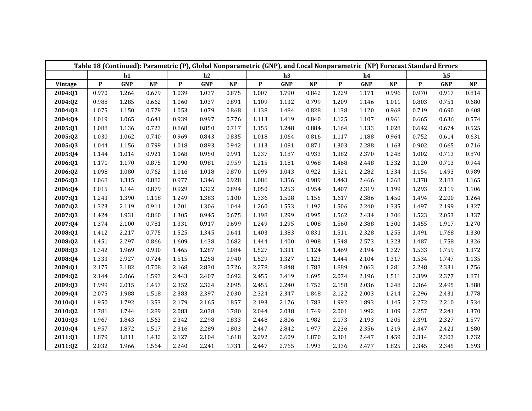|         |              |            |       |              |            |       |              |            |       |              |            | Table 18 (Continued): Parametric (P), Global Nonparametric (GNP), and Local Nonparametric (NP) Forecast Standard Errors |                           |                |          |
|---------|--------------|------------|-------|--------------|------------|-------|--------------|------------|-------|--------------|------------|-------------------------------------------------------------------------------------------------------------------------|---------------------------|----------------|----------|
|         |              | h1         |       |              | h2         |       |              | h3         |       |              | h4         |                                                                                                                         |                           | h <sub>5</sub> |          |
| Vintage | $\mathbf{P}$ | <b>GNP</b> | NP    | $\mathbf{P}$ | <b>GNP</b> | NP    | $\mathbf{P}$ | <b>GNP</b> | NP    | $\mathbf{P}$ | <b>GNP</b> | NP                                                                                                                      | $\boldsymbol{\mathrm{P}}$ | <b>GNP</b>     | $\bf NP$ |
| 2004:Q1 | 0.970        | 1.264      | 0.679 | 1.039        | 1.037      | 0.875 | 1.007        | 1.790      | 0.842 | 1.229        | 1.171      | 0.996                                                                                                                   | 0.970                     | 0.917          | 0.814    |
| 2004:Q2 | 0.988        | 1.285      | 0.662 | 1.060        | 1.037      | 0.891 | 1.109        | 1.132      | 0.799 | 1.209        | 1.146      | 1.011                                                                                                                   | 0.803                     | 0.751          | 0.680    |
| 2004:Q3 | 1.075        | 1.150      | 0.779 | 1.053        | 1.079      | 0.868 | 1.138        | 1.484      | 0.828 | 1.138        | 1.120      | 0.968                                                                                                                   | 0.719                     | 0.690          | 0.608    |
| 2004:Q4 | 1.019        | 1.065      | 0.641 | 0.939        | 0.997      | 0.776 | 1.113        | 1.419      | 0.840 | 1.125        | 1.107      | 0.961                                                                                                                   | 0.665                     | 0.636          | 0.574    |
| 2005:Q1 | 1.088        | 1.136      | 0.723 | 0.868        | 0.850      | 0.717 | 1.155        | 1.248      | 0.884 | 1.164        | 1.133      | 1.028                                                                                                                   | 0.642                     | 0.674          | 0.525    |
| 2005:Q2 | 1.030        | 1.062      | 0.740 | 0.969        | 0.843      | 0.835 | 1.018        | 1.064      | 0.816 | 1.117        | 1.188      | 0.964                                                                                                                   | 0.752                     | 0.614          | 0.631    |
| 2005:Q3 | 1.044        | 1.156      | 0.799 | 1.018        | 0.893      | 0.942 | 1.113        | 1.081      | 0.871 | 1.303        | 2.288      | 1.163                                                                                                                   | 0.902                     | 0.665          | 0.716    |
| 2005:Q4 | 1.144        | 1.014      | 0.921 | 1.068        | 0.950      | 0.991 | 1.237        | 1.187      | 0.933 | 1.382        | 2.370      | 1.248                                                                                                                   | 1.002                     | 0.713          | 0.870    |
| 2006:Q1 | 1.171        | 1.170      | 0.875 | 1.090        | 0.981      | 0.959 | 1.215        | 1.181      | 0.968 | 1.468        | 2.448      | 1.332                                                                                                                   | 1.120                     | 0.713          | 0.944    |
| 2006:Q2 | 1.098        | 1.080      | 0.762 | 1.016        | 1.018      | 0.870 | 1.099        | 1.043      | 0.922 | 1.521        | 2.282      | 1.334                                                                                                                   | 1.154                     | 1.493          | 0.989    |
| 2006:Q3 | 1.068        | 1.315      | 0.882 | 0.977        | 1.346      | 0.928 | 1.086        | 1.356      | 0.989 | 1.443        | 2.466      | 1.268                                                                                                                   | 1.378                     | 2.183          | 1.165    |
| 2006:Q4 | 1.015        | 1.144      | 0.879 | 0.929        | 1.322      | 0.894 | 1.050        | 1.253      | 0.954 | 1.407        | 2.319      | 1.199                                                                                                                   | 1.293                     | 2.119          | 1.106    |
| 2007:Q1 | 1.243        | 1.390      | 1.118 | 1.249        | 1.383      | 1.100 | 1.336        | 1.508      | 1.155 | 1.617        | 2.386      | 1.450                                                                                                                   | 1.494                     | 2.200          | 1.264    |
| 2007:Q2 | 1.323        | 2.119      | 0.911 | 1.201        | 1.306      | 1.044 | 1.260        | 1.553      | 1.192 | 1.506        | 2.240      | 1.335                                                                                                                   | 1.497                     | 2.199          | 1.327    |
| 2007:Q3 | 1.424        | 1.931      | 0.860 | 1.305        | 0.945      | 0.675 | 1.198        | 1.299      | 0.995 | 1.562        | 2.434      | 1.306                                                                                                                   | 1.523                     | 2.053          | 1.337    |
| 2007:Q4 | 1.374        | 2.100      | 0.781 | 1.331        | 0.917      | 0.699 | 1.249        | 1.295      | 1.008 | 1.560        | 2.388      | 1.300                                                                                                                   | 1.455                     | 1.917          | 1.270    |
| 2008:Q1 | 1.412        | 2.217      | 0.775 | 1.525        | 1.345      | 0.641 | 1.403        | 1.383      | 0.831 | 1.511        | 2.328      | 1.255                                                                                                                   | 1.491                     | 1.768          | 1.330    |
| 2008:Q2 | 1.451        | 2.297      | 0.866 | 1.609        | 1.438      | 0.682 | 1.444        | 1.400      | 0.908 | 1.548        | 2.573      | 1.323                                                                                                                   | 1.487                     | 1.758          | 1.326    |
| 2008:Q3 | 1.342        | 1.969      | 0.930 | 1.465        | 1.287      | 1.084 | 1.527        | 1.331      | 1.124 | 1.469        | 2.194      | 1.327                                                                                                                   | 1.533                     | 1.759          | 1.372    |
| 2008:Q4 | 1.333        | 2.927      | 0.724 | 1.515        | 1.258      | 0.940 | 1.529        | 1.327      | 1.123 | 1.444        | 2.104      | 1.317                                                                                                                   | 1.534                     | 1.747          | 1.135    |
| 2009:Q1 | 2.175        | 3.182      | 0.708 | 2.168        | 2.830      | 0.726 | 2.278        | 3.848      | 1.783 | 1.889        | 2.063      | 1.281                                                                                                                   | 2.248                     | 2.331          | 1.756    |
| 2009:Q2 | 2.144        | 2.066      | 1.593 | 2.443        | 2.407      | 0.692 | 2.455        | 3.419      | 1.695 | 2.074        | 2.196      | 1.511                                                                                                                   | 2.399                     | 2.377          | 1.871    |
| 2009:Q3 | 1.999        | 2.015      | 1.457 | 2.352        | 2.324      | 2.095 | 2.455        | 2.240      | 1.752 | 2.158        | 2.036      | 1.248                                                                                                                   | 2.364                     | 2.495          | 1.888    |
| 2009:Q4 | 2.075        | 1.988      | 1.518 | 2.383        | 2.397      | 2.030 | 2.324        | 2.347      | 1.848 | 2.122        | 2.003      | 1.214                                                                                                                   | 2.296                     | 2.431          | 1.778    |
| 2010:Q1 | 1.950        | 1.792      | 1.353 | 2.179        | 2.165      | 1.857 | 2.193        | 2.176      | 1.783 | 1.992        | 1.893      | 1.145                                                                                                                   | 2.272                     | 2.210          | 1.534    |
| 2010:Q2 | 1.781        | 1.744      | 1.289 | 2.083        | 2.038      | 1.780 | 2.044        | 2.038      | 1.749 | 2.001        | 1.992      | 1.109                                                                                                                   | 2.257                     | 2.241          | 1.370    |
| 2010:Q3 | 1.967        | 1.843      | 1.563 | 2.342        | 2.298      | 1.833 | 2.448        | 2.806      | 1.982 | 2.173        | 2.193      | 1.205                                                                                                                   | 2.391                     | 2.327          | 1.577    |
| 2010:Q4 | 1.957        | 1.872      | 1.517 | 2.316        | 2.289      | 1.803 | 2.447        | 2.842      | 1.977 | 2.236        | 2.356      | 1.219                                                                                                                   | 2.447                     | 2.421          | 1.680    |
| 2011:Q1 | 1.879        | 1.811      | 1.432 | 2.127        | 2.104      | 1.618 | 2.292        | 2.609      | 1.870 | 2.301        | 2.447      | 1.459                                                                                                                   | 2.314                     | 2.303          | 1.732    |
| 2011:Q2 | 2.032        | 1.966      | 1.564 | 2.240        | 2.241      | 1.731 | 2.447        | 2.765      | 1.993 | 2.336        | 2.477      | 1.825                                                                                                                   | 2.345                     | 2.345          | 1.693    |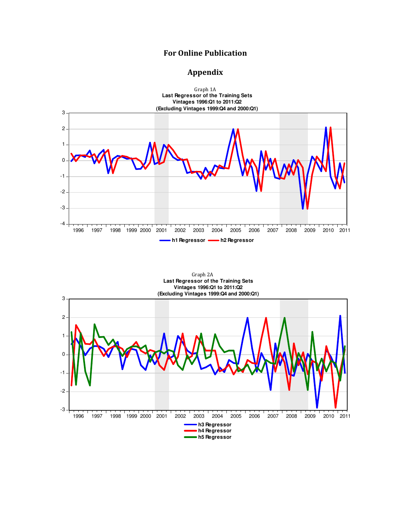## For Online Publication

## Appendix



 Graph 2A **Last Regressor of the Training Sets Vintages 1996:Q1 to 2011:Q2 (Excluding Vintages 1999:Q4 and 2000:Q1)**

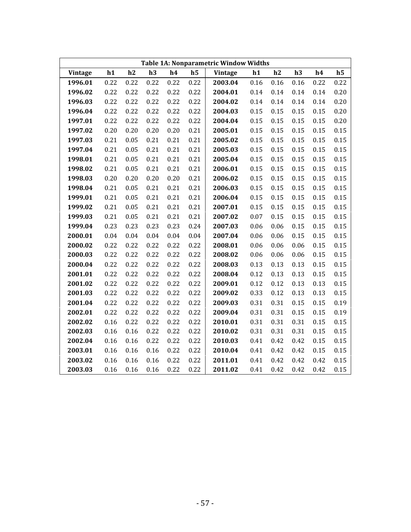|                |      |      |      |      |                | <b>Table 1A: Nonparametric Window Widths</b> |          |      |      |      |                |
|----------------|------|------|------|------|----------------|----------------------------------------------|----------|------|------|------|----------------|
| <b>Vintage</b> | h1   | h2   | h3   | h4   | h <sub>5</sub> | Vintage                                      | h1       | h2   | h3   | h4   | h <sub>5</sub> |
| 1996.01        | 0.22 | 0.22 | 0.22 | 0.22 | 0.22           | 2003.04                                      | 0.16     | 0.16 | 0.16 | 0.22 | 0.22           |
| 1996.02        | 0.22 | 0.22 | 0.22 | 0.22 | 0.22           | 2004.01                                      | 0.14     | 0.14 | 0.14 | 0.14 | 0.20           |
| 1996.03        | 0.22 | 0.22 | 0.22 | 0.22 | 0.22           | 2004.02                                      | 0.14     | 0.14 | 0.14 | 0.14 | 0.20           |
| 1996.04        | 0.22 | 0.22 | 0.22 | 0.22 | 0.22           | 2004.03                                      | 0.15     | 0.15 | 0.15 | 0.15 | 0.20           |
| 1997.01        | 0.22 | 0.22 | 0.22 | 0.22 | 0.22           | 2004.04                                      | 0.15     | 0.15 | 0.15 | 0.15 | 0.20           |
| 1997.02        | 0.20 | 0.20 | 0.20 | 0.20 | 0.21           | 2005.01                                      | 0.15     | 0.15 | 0.15 | 0.15 | 0.15           |
| 1997.03        | 0.21 | 0.05 | 0.21 | 0.21 | 0.21           | 2005.02                                      | 0.15     | 0.15 | 0.15 | 0.15 | 0.15           |
| 1997.04        | 0.21 | 0.05 | 0.21 | 0.21 | 0.21           | 2005.03                                      | 0.15     | 0.15 | 0.15 | 0.15 | 0.15           |
| 1998.01        | 0.21 | 0.05 | 0.21 | 0.21 | 0.21           | 2005.04                                      | 0.15     | 0.15 | 0.15 | 0.15 | 0.15           |
| 1998.02        | 0.21 | 0.05 | 0.21 | 0.21 | 0.21           | 2006.01                                      | 0.15     | 0.15 | 0.15 | 0.15 | 0.15           |
| 1998.03        | 0.20 | 0.20 | 0.20 | 0.20 | 0.21           | 2006.02                                      | 0.15     | 0.15 | 0.15 | 0.15 | 0.15           |
| 1998.04        | 0.21 | 0.05 | 0.21 | 0.21 | 0.21           | 2006.03                                      | 0.15     | 0.15 | 0.15 | 0.15 | 0.15           |
| 1999.01        | 0.21 | 0.05 | 0.21 | 0.21 | 0.21           | 2006.04                                      | 0.15     | 0.15 | 0.15 | 0.15 | 0.15           |
| 1999.02        | 0.21 | 0.05 | 0.21 | 0.21 | 0.21           | 2007.01                                      | 0.15     | 0.15 | 0.15 | 0.15 | 0.15           |
| 1999.03        | 0.21 | 0.05 | 0.21 | 0.21 | 0.21           | 2007.02                                      | $0.07\,$ | 0.15 | 0.15 | 0.15 | 0.15           |
| 1999.04        | 0.23 | 0.23 | 0.23 | 0.23 | 0.24           | 2007.03                                      | 0.06     | 0.06 | 0.15 | 0.15 | 0.15           |
| 2000.01        | 0.04 | 0.04 | 0.04 | 0.04 | 0.04           | 2007.04                                      | 0.06     | 0.06 | 0.15 | 0.15 | 0.15           |
| 2000.02        | 0.22 | 0.22 | 0.22 | 0.22 | 0.22           | 2008.01                                      | 0.06     | 0.06 | 0.06 | 0.15 | 0.15           |
| 2000.03        | 0.22 | 0.22 | 0.22 | 0.22 | 0.22           | 2008.02                                      | 0.06     | 0.06 | 0.06 | 0.15 | 0.15           |
| 2000.04        | 0.22 | 0.22 | 0.22 | 0.22 | 0.22           | 2008.03                                      | 0.13     | 0.13 | 0.13 | 0.15 | 0.15           |
| 2001.01        | 0.22 | 0.22 | 0.22 | 0.22 | 0.22           | 2008.04                                      | 0.12     | 0.13 | 0.13 | 0.15 | 0.15           |
| 2001.02        | 0.22 | 0.22 | 0.22 | 0.22 | 0.22           | 2009.01                                      | 0.12     | 0.12 | 0.13 | 0.13 | 0.15           |
| 2001.03        | 0.22 | 0.22 | 0.22 | 0.22 | 0.22           | 2009.02                                      | 0.33     | 0.12 | 0.13 | 0.13 | 0.15           |
| 2001.04        | 0.22 | 0.22 | 0.22 | 0.22 | 0.22           | 2009.03                                      | 0.31     | 0.31 | 0.15 | 0.15 | 0.19           |
| 2002.01        | 0.22 | 0.22 | 0.22 | 0.22 | 0.22           | 2009.04                                      | 0.31     | 0.31 | 0.15 | 0.15 | 0.19           |
| 2002.02        | 0.16 | 0.22 | 0.22 | 0.22 | 0.22           | 2010.01                                      | 0.31     | 0.31 | 0.31 | 0.15 | 0.15           |
| 2002.03        | 0.16 | 0.16 | 0.22 | 0.22 | 0.22           | 2010.02                                      | 0.31     | 0.31 | 0.31 | 0.15 | 0.15           |
| 2002.04        | 0.16 | 0.16 | 0.22 | 0.22 | 0.22           | 2010.03                                      | 0.41     | 0.42 | 0.42 | 0.15 | 0.15           |
| 2003.01        | 0.16 | 0.16 | 0.16 | 0.22 | 0.22           | 2010.04                                      | 0.41     | 0.42 | 0.42 | 0.15 | 0.15           |
| 2003.02        | 0.16 | 0.16 | 0.16 | 0.22 | 0.22           | 2011.01                                      | 0.41     | 0.42 | 0.42 | 0.42 | 0.15           |
| 2003.03        | 0.16 | 0.16 | 0.16 | 0.22 | 0.22           | 2011.02                                      | 0.41     | 0.42 | 0.42 | 0.42 | 0.15           |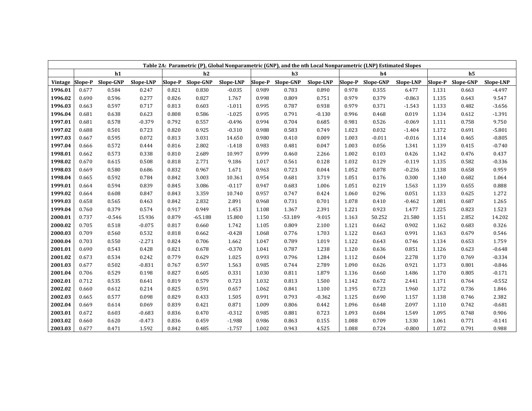|         |       |                   |           |       |                   | Table 2A: Parametric (P), Global Nonparametric (GNP), and the nth Local Nonparametric (LNP) Estimated Slopes |       |                   |           |       |                   |           |       |                   |           |
|---------|-------|-------------------|-----------|-------|-------------------|--------------------------------------------------------------------------------------------------------------|-------|-------------------|-----------|-------|-------------------|-----------|-------|-------------------|-----------|
|         |       | h1                |           |       | h2                |                                                                                                              |       | h3                |           |       | h4                |           |       | h <sub>5</sub>    |           |
| Vintage |       | Slope-P Slope-GNP | Slope-LNP |       | Slope-P Slope-GNP | Slope-LNP                                                                                                    |       | Slope-P Slope-GNP | Slope-LNP |       | Slope-P Slope-GNP | Slope-LNP |       | Slope-P Slope-GNP | Slope-LNP |
| 1996.01 | 0.677 | 0.584             | 0.247     | 0.821 | 0.830             | $-0.035$                                                                                                     | 0.989 | 0.783             | 0.890     | 0.978 | 0.355             | 6.477     | 1.131 | 0.663             | $-4.497$  |
| 1996.02 | 0.690 | 0.596             | 0.277     | 0.826 | 0.827             | 1.767                                                                                                        | 0.998 | 0.809             | 0.751     | 0.979 | 0.379             | $-0.863$  | 1.135 | 0.643             | 9.547     |
| 1996.03 | 0.663 | 0.597             | 0.717     | 0.813 | 0.603             | $-1.011$                                                                                                     | 0.995 | 0.787             | 0.938     | 0.979 | 0.371             | $-1.543$  | 1.133 | 0.482             | $-3.656$  |
| 1996.04 | 0.681 | 0.638             | 0.623     | 0.808 | 0.586             | $-1.025$                                                                                                     | 0.995 | 0.791             | $-0.130$  | 0.996 | 0.468             | 0.019     | 1.134 | 0.612             | $-1.391$  |
| 1997.01 | 0.681 | 0.578             | $-0.379$  | 0.792 | 0.557             | $-0.496$                                                                                                     | 0.994 | 0.704             | 0.685     | 0.981 | 0.526             | $-0.069$  | 1.111 | 0.758             | 9.750     |
| 1997.02 | 0.688 | 0.501             | 0.723     | 0.820 | 0.925             | $-0.310$                                                                                                     | 0.988 | 0.583             | 0.749     | 1.023 | 0.032             | $-1.404$  | 1.172 | 0.691             | $-5.801$  |
| 1997.03 | 0.667 | 0.595             | 0.072     | 0.813 | 3.031             | 14.650                                                                                                       | 0.980 | 0.410             | 0.009     | 1.003 | $-0.011$          | $-0.016$  | 1.114 | 0.465             | $-0.805$  |
| 1997.04 | 0.666 | 0.572             | 0.444     | 0.816 | 2.802             | $-1.418$                                                                                                     | 0.983 | 0.481             | 0.047     | 1.003 | 0.056             | 1.341     | 1.139 | 0.415             | $-0.740$  |
| 1998.01 | 0.662 | 0.573             | 0.338     | 0.810 | 2.689             | 10.997                                                                                                       | 0.999 | 0.460             | 2.266     | 1.002 | 0.103             | 0.426     | 1.142 | 0.476             | 0.437     |
| 1998.02 | 0.670 | 0.615             | 0.508     | 0.818 | 2.771             | 9.186                                                                                                        | 1.017 | 0.561             | 0.128     | 1.032 | 0.129             | $-0.119$  | 1.135 | 0.582             | $-0.336$  |
| 1998.03 | 0.669 | 0.580             | 0.686     | 0.832 | 0.967             | 1.671                                                                                                        | 0.963 | 0.723             | 0.044     | 1.052 | 0.078             | $-0.236$  | 1.138 | 0.658             | 0.959     |
| 1998.04 | 0.665 | 0.592             | 0.784     | 0.842 | 3.003             | 10.361                                                                                                       | 0.954 | 0.681             | 3.719     | 1.051 | 0.176             | 0.300     | 1.140 | 0.682             | 1.064     |
| 1999.01 | 0.664 | 0.594             | 0.839     | 0.845 | 3.086             | $-0.117$                                                                                                     | 0.947 | 0.683             | 1.006     | 1.051 | 0.219             | 1.563     | 1.139 | 0.655             | 0.888     |
| 1999.02 | 0.664 | 0.608             | 0.847     | 0.843 | 3.359             | 10.740                                                                                                       | 0.957 | 0.747             | 0.424     | 1.060 | 0.296             | 0.051     | 1.133 | 0.625             | 1.272     |
| 1999.03 | 0.658 | 0.565             | 0.463     | 0.842 | 2.832             | 2.891                                                                                                        | 0.968 | 0.731             | 0.701     | 1.078 | 0.410             | $-0.462$  | 1.081 | 0.687             | 1.265     |
| 1999.04 | 0.760 | 0.379             | 0.574     | 0.917 | 0.949             | 1.453                                                                                                        | 1.108 | 1.367             | 2.391     | 1.221 | 0.923             | 1.477     | 1.225 | 0.823             | 1.523     |
| 2000.01 | 0.737 | $-0.546$          | 15.936    | 0.879 | $-65.188$         | 15.800                                                                                                       | 1.150 | $-53.189$         | $-9.015$  | 1.163 | 50.252            | 21.580    | 1.151 | 2.852             | 14.202    |
| 2000.02 | 0.705 | 0.518             | $-0.075$  | 0.817 | 0.660             | 1.742                                                                                                        | 1.105 | 0.809             | 2.100     | 1.121 | 0.662             | 0.902     | 1.162 | 0.683             | 0.326     |
| 2000.03 | 0.709 | 0.560             | 0.532     | 0.818 | 0.662             | $-0.428$                                                                                                     | 1.068 | 0.776             | 1.703     | 1.122 | 0.663             | 0.991     | 1.163 | 0.679             | 0.546     |
| 2000.04 | 0.703 | 0.550             | $-2.271$  | 0.824 | 0.706             | 1.662                                                                                                        | 1.047 | 0.789             | 1.019     | 1.122 | 0.643             | 0.746     | 1.134 | 0.653             | 1.759     |
| 2001.01 | 0.690 | 0.543             | 0.428     | 0.821 | 0.678             | $-0.370$                                                                                                     | 1.041 | 0.787             | 1.238     | 1.120 | 0.636             | 0.851     | 1.126 | 0.623             | $-0.648$  |
| 2001.02 | 0.673 | 0.534             | 0.242     | 0.779 | 0.629             | 1.025                                                                                                        | 0.993 | 0.796             | 1.284     | 1.112 | 0.604             | 2.278     | 1.170 | 0.769             | $-0.334$  |
| 2001.03 | 0.677 | 0.502             | $-0.831$  | 0.767 | 0.597             | 1.563                                                                                                        | 0.985 | 0.744             | 2.789     | 1.090 | 0.626             | 0.921     | 1.173 | 0.801             | $-0.846$  |
| 2001.04 | 0.706 | 0.529             | 0.198     | 0.827 | 0.605             | 0.331                                                                                                        | 1.030 | 0.811             | 1.879     | 1.136 | 0.660             | 1.486     | 1.170 | 0.805             | $-0.171$  |
| 2002.01 | 0.712 | 0.535             | 0.641     | 0.819 | 0.579             | 0.723                                                                                                        | 1.032 | 0.813             | 1.500     | 1.142 | 0.672             | 2.441     | 1.171 | 0.764             | $-0.552$  |
| 2002.02 | 0.660 | 0.612             | 0.214     | 0.825 | 0.591             | 0.657                                                                                                        | 1.062 | 0.841             | 1.100     | 1.195 | 0.723             | 1.960     | 1.172 | 0.736             | 1.846     |
| 2002.03 | 0.665 | 0.577             | 0.098     | 0.829 | 0.433             | 1.505                                                                                                        | 0.991 | 0.793             | $-0.362$  | 1.125 | 0.690             | 1.157     | 1.138 | 0.746             | 2.382     |
| 2002.04 | 0.669 | 0.614             | 0.069     | 0.839 | 0.421             | 0.871                                                                                                        | 1.009 | 0.806             | 0.442     | 1.096 | 0.648             | 2.097     | 1.110 | 0.742             | $-0.681$  |
| 2003.01 | 0.672 | 0.603             | $-0.683$  | 0.836 | 0.470             | $-0.312$                                                                                                     | 0.985 | 0.881             | 0.723     | 1.093 | 0.684             | 1.549     | 1.095 | 0.748             | 0.906     |
| 2003.02 | 0.660 | 0.620             | $-0.473$  | 0.836 | 0.459             | $-1.988$                                                                                                     | 0.986 | 0.863             | 0.155     | 1.088 | 0.709             | 1.330     | 1.061 | 0.771             | $-0.141$  |
| 2003.03 | 0.677 | 0.471             | 1.592     | 0.842 | 0.485             | $-1.757$                                                                                                     | 1.002 | 0.943             | 4.525     | 1.088 | 0.724             | $-0.800$  | 1.072 | 0.791             | 0.988     |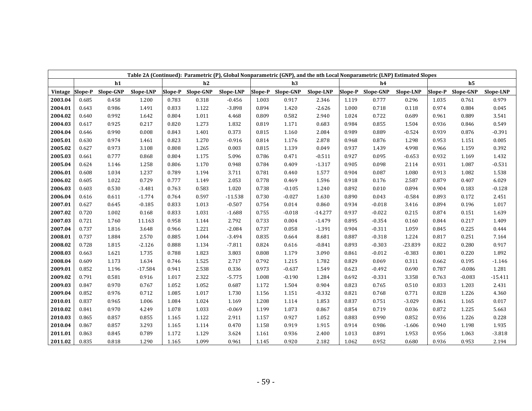|         |       |                   | Table 2A (Continued): Parametric (P), Global Nonparametric (GNP), and the nth Local Nonparametric (LNP) Estimated Slopes |       |                   |           |       |                   |           |       |                   |           |       |                   |           |
|---------|-------|-------------------|--------------------------------------------------------------------------------------------------------------------------|-------|-------------------|-----------|-------|-------------------|-----------|-------|-------------------|-----------|-------|-------------------|-----------|
|         |       | h1                |                                                                                                                          |       | h2                |           |       | h3                |           |       | h4                |           |       | h <sub>5</sub>    |           |
| Vintage |       | Slope-P Slope-GNP | Slope-LNP                                                                                                                |       | Slope-P Slope-GNP | Slope-LNP |       | Slope-P Slope-GNP | Slope-LNP |       | Slope-P Slope-GNP | Slope-LNP |       | Slope-P Slope-GNP | Slope-LNP |
| 2003.04 | 0.685 | 0.458             | 1.200                                                                                                                    | 0.783 | 0.318             | $-0.456$  | 1.003 | 0.917             | 2.346     | 1.119 | 0.777             | 0.296     | 1.035 | 0.761             | 0.979     |
| 2004.01 | 0.643 | 0.986             | 1.491                                                                                                                    | 0.833 | 1.122             | $-3.898$  | 0.894 | 1.420             | $-2.626$  | 1.000 | 0.718             | 0.118     | 0.974 | 0.884             | 0.045     |
| 2004.02 | 0.640 | 0.992             | 1.642                                                                                                                    | 0.804 | 1.011             | 4.468     | 0.809 | 0.582             | 2.940     | 1.024 | 0.722             | 0.689     | 0.961 | 0.889             | 3.541     |
| 2004.03 | 0.617 | 0.925             | 0.217                                                                                                                    | 0.820 | 1.273             | 1.832     | 0.819 | 1.171             | 0.683     | 0.984 | 0.855             | 1.504     | 0.936 | 0.846             | 0.549     |
| 2004.04 | 0.646 | 0.990             | 0.008                                                                                                                    | 0.843 | 1.401             | 0.373     | 0.815 | 1.160             | 2.084     | 0.989 | 0.889             | $-0.524$  | 0.939 | 0.876             | $-0.391$  |
| 2005.01 | 0.630 | 0.974             | 1.461                                                                                                                    | 0.823 | 1.270             | $-0.916$  | 0.814 | 1.176             | 2.878     | 0.968 | 0.876             | 1.298     | 0.953 | 1.151             | 0.005     |
| 2005.02 | 0.627 | 0.973             | 3.108                                                                                                                    | 0.808 | 1.265             | 0.003     | 0.815 | 1.139             | 0.049     | 0.937 | 1.439             | 4.998     | 0.966 | 1.159             | 0.392     |
| 2005.03 | 0.661 | 0.777             | 0.868                                                                                                                    | 0.804 | 1.175             | 5.096     | 0.786 | 0.471             | $-0.511$  | 0.927 | 0.095             | $-0.653$  | 0.932 | 1.169             | 1.432     |
| 2005.04 | 0.624 | 1.146             | 1.258                                                                                                                    | 0.806 | 1.170             | 0.948     | 0.784 | 0.409             | $-1.317$  | 0.905 | 0.098             | 2.114     | 0.931 | 1.087             | $-0.531$  |
| 2006.01 | 0.608 | 1.034             | 1.237                                                                                                                    | 0.789 | 1.194             | 3.711     | 0.781 | 0.440             | 1.577     | 0.904 | 0.087             | 1.080     | 0.913 | 1.082             | 1.538     |
| 2006.02 | 0.605 | 1.022             | 0.729                                                                                                                    | 0.777 | 1.149             | 2.053     | 0.778 | 0.469             | 1.596     | 0.918 | 0.176             | 2.587     | 0.879 | 0.407             | 6.029     |
| 2006.03 | 0.603 | 0.530             | $-3.481$                                                                                                                 | 0.763 | 0.583             | 1.020     | 0.738 | $-0.105$          | 1.240     | 0.892 | 0.010             | 0.894     | 0.904 | 0.183             | $-0.128$  |
| 2006.04 | 0.616 | 0.611             | $-1.774$                                                                                                                 | 0.764 | 0.597             | $-11.538$ | 0.730 | $-0.027$          | 1.630     | 0.890 | 0.043             | $-0.584$  | 0.893 | 0.172             | 2.451     |
| 2007.01 | 0.627 | 0.645             | $-0.185$                                                                                                                 | 0.833 | 1.013             | $-0.507$  | 0.754 | 0.014             | 0.860     | 0.934 | $-0.018$          | 3.416     | 0.894 | 0.196             | 1.017     |
| 2007.02 | 0.720 | 1.002             | 0.168                                                                                                                    | 0.833 | 1.031             | $-1.688$  | 0.755 | $-0.018$          | $-14.277$ | 0.937 | $-0.022$          | 0.215     | 0.874 | 0.151             | 1.639     |
| 2007.03 | 0.721 | 1.760             | 11.163                                                                                                                   | 0.958 | 1.144             | 2.792     | 0.733 | 0.004             | $-1.479$  | 0.895 | $-0.354$          | 0.160     | 0.844 | 0.217             | 1.409     |
| 2007.04 | 0.737 | 1.816             | 3.648                                                                                                                    | 0.966 | 1.221             | $-2.084$  | 0.737 | 0.058             | $-1.391$  | 0.904 | $-0.311$          | 1.059     | 0.845 | 0.225             | 0.444     |
| 2008.01 | 0.737 | 1.884             | 2.570                                                                                                                    | 0.885 | 1.044             | $-3.494$  | 0.835 | 0.664             | 8.681     | 0.887 | $-0.318$          | 1.224     | 0.817 | 0.251             | 7.164     |
| 2008.02 | 0.728 | 1.815             | $-2.126$                                                                                                                 | 0.888 | 1.134             | $-7.811$  | 0.824 | 0.616             | $-0.841$  | 0.893 | $-0.303$          | $-23.839$ | 0.822 | 0.280             | 0.917     |
| 2008.03 | 0.663 | 1.621             | 1.735                                                                                                                    | 0.788 | 1.823             | 3.803     | 0.808 | 1.179             | 3.090     | 0.861 | $-0.012$          | $-0.383$  | 0.801 | 0.220             | 1.892     |
| 2008.04 | 0.609 | 1.173             | 1.634                                                                                                                    | 0.746 | 1.525             | 2.717     | 0.792 | 1.215             | 1.782     | 0.829 | 0.069             | 0.311     | 0.662 | 0.195             | $-1.146$  |
| 2009.01 | 0.852 | 1.196             | $-17.584$                                                                                                                | 0.941 | 2.538             | 0.336     | 0.973 | $-0.637$          | 1.549     | 0.623 | $-0.492$          | 0.690     | 0.787 | $-0.086$          | 1.281     |
| 2009.02 | 0.791 | 0.581             | 0.916                                                                                                                    | 1.017 | 2.322             | $-5.775$  | 1.008 | $-0.190$          | 1.284     | 0.692 | $-0.331$          | 3.358     | 0.763 | $-0.083$          | $-15.411$ |
| 2009.03 | 0.847 | 0.970             | 0.767                                                                                                                    | 1.052 | 1.052             | 0.687     | 1.172 | 1.504             | 0.904     | 0.823 | 0.765             | 0.510     | 0.833 | 1.203             | 2.431     |
| 2009.04 | 0.852 | 0.976             | 0.712                                                                                                                    | 1.085 | 1.017             | 1.730     | 1.156 | 1.151             | $-0.332$  | 0.821 | 0.768             | 0.771     | 0.828 | 1.226             | 4.360     |
| 2010.01 | 0.837 | 0.965             | 1.006                                                                                                                    | 1.084 | 1.024             | 1.169     | 1.208 | 1.114             | 1.853     | 0.837 | 0.751             | $-3.029$  | 0.861 | 1.165             | 0.017     |
| 2010.02 | 0.841 | 0.970             | 4.249                                                                                                                    | 1.078 | 1.033             | $-0.069$  | 1.199 | 1.073             | 0.867     | 0.854 | 0.719             | 0.036     | 0.872 | 1.225             | 5.663     |
| 2010.03 | 0.865 | 0.857             | 0.855                                                                                                                    | 1.165 | 1.122             | 2.911     | 1.157 | 0.927             | 1.052     | 0.883 | 0.990             | 0.852     | 0.936 | 1.226             | 0.228     |
| 2010.04 | 0.867 | 0.857             | 3.293                                                                                                                    | 1.165 | 1.114             | 0.470     | 1.158 | 0.919             | 1.915     | 0.914 | 0.986             | $-1.606$  | 0.940 | 1.198             | 1.935     |
| 2011.01 | 0.863 | 0.845             | 0.789                                                                                                                    | 1.172 | 1.129             | 3.624     | 1.161 | 0.936             | 2.400     | 1.013 | 0.891             | 1.953     | 0.956 | 1.063             | $-3.818$  |
| 2011.02 | 0.835 | 0.818             | 1.290                                                                                                                    | 1.165 | 1.099             | 0.961     | 1.145 | 0.920             | 2.182     | 1.062 | 0.952             | 0.680     | 0.936 | 0.953             | 2.194     |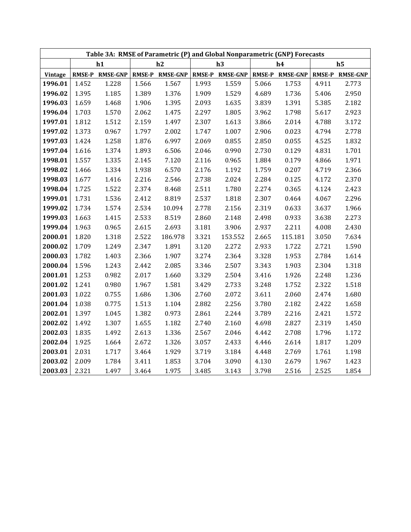|         |       |                 |       |                 |       | Table 3A: RMSE of Parametric (P) and Global Nonparametric (GNP) Forecasts |       |                 |       |                 |
|---------|-------|-----------------|-------|-----------------|-------|---------------------------------------------------------------------------|-------|-----------------|-------|-----------------|
|         |       | h1              |       | h2              |       | h3                                                                        |       | h4              |       | h <sub>5</sub>  |
| Vintage |       | RMSE-P RMSE-GNP |       | RMSE-P RMSE-GNP |       | RMSE-P RMSE-GNP                                                           |       | RMSE-P RMSE-GNP |       | RMSE-P RMSE-GNP |
| 1996.01 | 1.452 | 1.228           | 1.566 | 1.567           | 1.993 | 1.559                                                                     | 5.066 | 1.753           | 4.911 | 2.773           |
| 1996.02 | 1.395 | 1.185           | 1.389 | 1.376           | 1.909 | 1.529                                                                     | 4.689 | 1.736           | 5.406 | 2.950           |
| 1996.03 | 1.659 | 1.468           | 1.906 | 1.395           | 2.093 | 1.635                                                                     | 3.839 | 1.391           | 5.385 | 2.182           |
| 1996.04 | 1.703 | 1.570           | 2.062 | 1.475           | 2.297 | 1.805                                                                     | 3.962 | 1.798           | 5.617 | 2.923           |
| 1997.01 | 1.812 | 1.512           | 2.159 | 1.497           | 2.307 | 1.613                                                                     | 3.866 | 2.014           | 4.788 | 3.172           |
| 1997.02 | 1.373 | 0.967           | 1.797 | 2.002           | 1.747 | 1.007                                                                     | 2.906 | 0.023           | 4.794 | 2.778           |
| 1997.03 | 1.424 | 1.258           | 1.876 | 6.997           | 2.069 | 0.855                                                                     | 2.850 | 0.055           | 4.525 | 1.832           |
| 1997.04 | 1.616 | 1.374           | 1.893 | 6.506           | 2.046 | 0.990                                                                     | 2.730 | 0.129           | 4.831 | 1.701           |
| 1998.01 | 1.557 | 1.335           | 2.145 | 7.120           | 2.116 | 0.965                                                                     | 1.884 | 0.179           | 4.866 | 1.971           |
| 1998.02 | 1.466 | 1.334           | 1.938 | 6.570           | 2.176 | 1.192                                                                     | 1.759 | 0.207           | 4.719 | 2.366           |
| 1998.03 | 1.677 | 1.416           | 2.216 | 2.546           | 2.738 | 2.024                                                                     | 2.284 | 0.125           | 4.172 | 2.370           |
| 1998.04 | 1.725 | 1.522           | 2.374 | 8.468           | 2.511 | 1.780                                                                     | 2.274 | 0.365           | 4.124 | 2.423           |
| 1999.01 | 1.731 | 1.536           | 2.412 | 8.819           | 2.537 | 1.818                                                                     | 2.307 | 0.464           | 4.067 | 2.296           |
| 1999.02 | 1.734 | 1.574           | 2.534 | 10.094          | 2.778 | 2.156                                                                     | 2.319 | 0.633           | 3.637 | 1.966           |
| 1999.03 | 1.663 | 1.415           | 2.533 | 8.519           | 2.860 | 2.148                                                                     | 2.498 | 0.933           | 3.638 | 2.273           |
| 1999.04 | 1.963 | 0.965           | 2.615 | 2.693           | 3.181 | 3.906                                                                     | 2.937 | 2.211           | 4.008 | 2.430           |
| 2000.01 | 1.820 | 1.318           | 2.522 | 186.978         | 3.321 | 153.552                                                                   | 2.665 | 115.181         | 3.050 | 7.634           |
| 2000.02 | 1.709 | 1.249           | 2.347 | 1.891           | 3.120 | 2.272                                                                     | 2.933 | 1.722           | 2.721 | 1.590           |
| 2000.03 | 1.782 | 1.403           | 2.366 | 1.907           | 3.274 | 2.364                                                                     | 3.328 | 1.953           | 2.784 | 1.614           |
| 2000.04 | 1.596 | 1.243           | 2.442 | 2.085           | 3.346 | 2.507                                                                     | 3.343 | 1.903           | 2.304 | 1.318           |
| 2001.01 | 1.253 | 0.982           | 2.017 | 1.660           | 3.329 | 2.504                                                                     | 3.416 | 1.926           | 2.248 | 1.236           |
| 2001.02 | 1.241 | 0.980           | 1.967 | 1.581           | 3.429 | 2.733                                                                     | 3.248 | 1.752           | 2.322 | 1.518           |
| 2001.03 | 1.022 | 0.755           | 1.686 | 1.306           | 2.760 | 2.072                                                                     | 3.611 | 2.060           | 2.474 | 1.680           |
| 2001.04 | 1.038 | 0.775           | 1.513 | 1.104           | 2.882 | 2.256                                                                     | 3.780 | 2.182           | 2.422 | 1.658           |
| 2002.01 | 1.397 | 1.045           | 1.382 | 0.973           | 2.861 | 2.244                                                                     | 3.789 | 2.216           | 2.421 | 1.572           |
| 2002.02 | 1.492 | 1.307           | 1.655 | 1.182           | 2.740 | 2.160                                                                     | 4.698 | 2.827           | 2.319 | 1.450           |
| 2002.03 | 1.835 | 1.492           | 2.613 | 1.336           | 2.567 | 2.046                                                                     | 4.442 | 2.708           | 1.796 | 1.172           |
| 2002.04 | 1.925 | 1.664           | 2.672 | 1.326           | 3.057 | 2.433                                                                     | 4.446 | 2.614           | 1.817 | 1.209           |
| 2003.01 | 2.031 | 1.717           | 3.464 | 1.929           | 3.719 | 3.184                                                                     | 4.448 | 2.769           | 1.761 | 1.198           |
| 2003.02 | 2.009 | 1.784           | 3.411 | 1.853           | 3.704 | 3.090                                                                     | 4.130 | 2.679           | 1.967 | 1.423           |
| 2003.03 | 2.321 | 1.497           | 3.464 | 1.975           | 3.485 | 3.143                                                                     | 3.798 | 2.516           | 2.525 | 1.854           |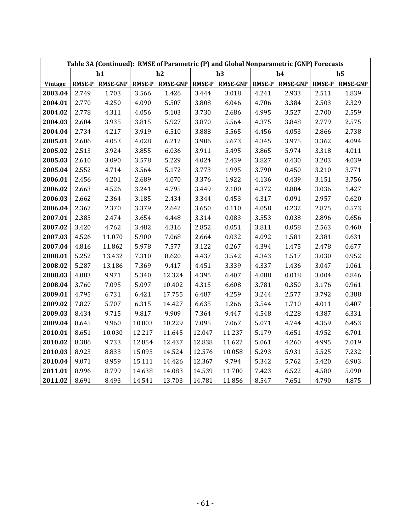|         |       | Table 3A (Continued): RMSE of Parametric (P) and Global Nonparametric (GNP) Forecasts |        |                 |        |                 |       |                 |       |                 |
|---------|-------|---------------------------------------------------------------------------------------|--------|-----------------|--------|-----------------|-------|-----------------|-------|-----------------|
|         |       | h1                                                                                    |        | h2              |        | h3              |       | h4              |       | h <sub>5</sub>  |
| Vintage |       | RMSE-P RMSE-GNP                                                                       |        | RMSE-P RMSE-GNP |        | RMSE-P RMSE-GNP |       | RMSE-P RMSE-GNP |       | RMSE-P RMSE-GNP |
| 2003.04 | 2.749 | 1.703                                                                                 | 3.566  | 1.426           | 3.444  | 3.018           | 4.241 | 2.933           | 2.511 | 1.839           |
| 2004.01 | 2.770 | 4.250                                                                                 | 4.090  | 5.507           | 3.808  | 6.046           | 4.706 | 3.384           | 2.503 | 2.329           |
| 2004.02 | 2.778 | 4.311                                                                                 | 4.056  | 5.103           | 3.730  | 2.686           | 4.995 | 3.527           | 2.700 | 2.559           |
| 2004.03 | 2.604 | 3.935                                                                                 | 3.815  | 5.927           | 3.870  | 5.564           | 4.375 | 3.848           | 2.779 | 2.575           |
| 2004.04 | 2.734 | 4.217                                                                                 | 3.919  | 6.510           | 3.888  | 5.565           | 4.456 | 4.053           | 2.866 | 2.738           |
| 2005.01 | 2.606 | 4.053                                                                                 | 4.028  | 6.212           | 3.906  | 5.673           | 4.345 | 3.975           | 3.362 | 4.094           |
| 2005.02 | 2.513 | 3.924                                                                                 | 3.855  | 6.036           | 3.911  | 5.495           | 3.865 | 5.974           | 3.318 | 4.011           |
| 2005.03 | 2.610 | 3.090                                                                                 | 3.578  | 5.229           | 4.024  | 2.439           | 3.827 | 0.430           | 3.203 | 4.039           |
| 2005.04 | 2.552 | 4.714                                                                                 | 3.564  | 5.172           | 3.773  | 1.995           | 3.790 | 0.450           | 3.210 | 3.771           |
| 2006.01 | 2.456 | 4.201                                                                                 | 2.689  | 4.070           | 3.376  | 1.922           | 4.136 | 0.439           | 3.151 | 3.756           |
| 2006.02 | 2.663 | 4.526                                                                                 | 3.241  | 4.795           | 3.449  | 2.100           | 4.372 | 0.884           | 3.036 | 1.427           |
| 2006.03 | 2.662 | 2.364                                                                                 | 3.185  | 2.434           | 3.344  | 0.453           | 4.317 | 0.091           | 2.957 | 0.620           |
| 2006.04 | 2.367 | 2.370                                                                                 | 3.379  | 2.642           | 3.650  | 0.110           | 4.058 | 0.232           | 2.875 | 0.573           |
| 2007.01 | 2.385 | 2.474                                                                                 | 3.654  | 4.448           | 3.314  | 0.083           | 3.553 | 0.038           | 2.896 | 0.656           |
| 2007.02 | 3.420 | 4.762                                                                                 | 3.482  | 4.316           | 2.852  | 0.051           | 3.811 | 0.058           | 2.563 | 0.460           |
| 2007.03 | 4.526 | 11.070                                                                                | 5.900  | 7.068           | 2.664  | 0.032           | 4.092 | 1.581           | 2.381 | 0.631           |
| 2007.04 | 4.816 | 11.862                                                                                | 5.978  | 7.577           | 3.122  | 0.267           | 4.394 | 1.475           | 2.478 | 0.677           |
| 2008.01 | 5.252 | 13.432                                                                                | 7.310  | 8.620           | 4.437  | 3.542           | 4.343 | 1.517           | 3.030 | 0.952           |
| 2008.02 | 5.287 | 13.186                                                                                | 7.369  | 9.417           | 4.451  | 3.339           | 4.337 | 1.436           | 3.047 | 1.061           |
| 2008.03 | 4.083 | 9.971                                                                                 | 5.340  | 12.324          | 4.395  | 6.407           | 4.088 | 0.018           | 3.004 | 0.846           |
| 2008.04 | 3.760 | 7.095                                                                                 | 5.097  | 10.402          | 4.315  | 6.608           | 3.781 | 0.350           | 3.176 | 0.961           |
| 2009.01 | 4.795 | 6.731                                                                                 | 6.421  | 17.755          | 6.487  | 4.259           | 3.244 | 2.577           | 3.792 | 0.388           |
| 2009.02 | 7.827 | 5.707                                                                                 | 6.315  | 14.427          | 6.635  | 1.266           | 3.544 | 1.710           | 4.011 | 0.407           |
| 2009.03 | 8.434 | 9.715                                                                                 | 9.817  | 9.909           | 7.364  | 9.447           | 4.548 | 4.228           | 4.387 | 6.331           |
| 2009.04 | 8.645 | 9.960                                                                                 | 10.803 | 10.229          | 7.095  | 7.067           | 5.071 | 4.744           | 4.359 | 6.453           |
| 2010.01 | 8.651 | 10.030                                                                                | 12.217 | 11.645          | 12.047 | 11.237          | 5.179 | 4.651           | 4.952 | 6.701           |
| 2010.02 | 8.386 | 9.733                                                                                 | 12.854 | 12.437          | 12.838 | 11.622          | 5.061 | 4.260           | 4.995 | 7.019           |
| 2010.03 | 8.925 | 8.833                                                                                 | 15.095 | 14.524          | 12.576 | 10.058          | 5.293 | 5.931           | 5.525 | 7.232           |
| 2010.04 | 9.071 | 8.959                                                                                 | 15.111 | 14.426          | 12.367 | 9.794           | 5.342 | 5.762           | 5.420 | 6.903           |
| 2011.01 | 8.996 | 8.799                                                                                 | 14.638 | 14.083          | 14.539 | 11.700          | 7.423 | 6.522           | 4.580 | 5.090           |
| 2011.02 | 8.691 | 8.493                                                                                 | 14.541 | 13.703          | 14.781 | 11.856          | 8.547 | 7.651           | 4.790 | 4.875           |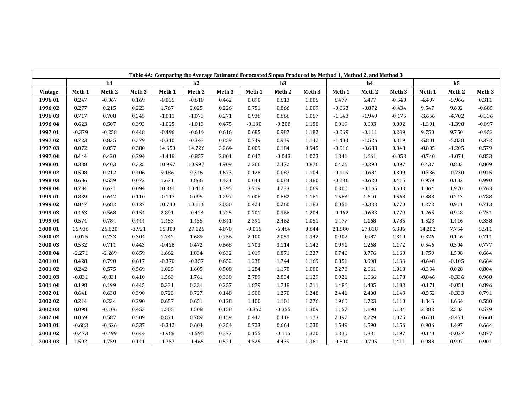|         |                   |                   |          | Table 4A: Comparing the Average Estimated Forecasted Slopes Produced by Method 1, Method 2, and Method 3 |          |        |                   |          |                   |          |          |          |          |                |          |
|---------|-------------------|-------------------|----------|----------------------------------------------------------------------------------------------------------|----------|--------|-------------------|----------|-------------------|----------|----------|----------|----------|----------------|----------|
|         |                   | h1                |          |                                                                                                          | h2       |        |                   | h3       |                   |          | h4       |          |          | h <sub>5</sub> |          |
| Vintage | Meth <sub>1</sub> | Meth <sub>2</sub> | Meth 3   | Meth 1                                                                                                   | Meth 2   | Meth 3 | Meth <sub>1</sub> | Meth 2   | Meth <sub>3</sub> | Meth 1   | Meth 2   | Meth 3   | Meth 1   | Meth 2         | Meth 3   |
| 1996.01 | 0.247             | $-0.067$          | 0.169    | $-0.035$                                                                                                 | $-0.610$ | 0.462  | 0.890             | 0.613    | 1.005             | 6.477    | 6.477    | $-0.540$ | $-4.497$ | $-5.966$       | 0.311    |
| 1996.02 | 0.277             | 0.215             | 0.223    | 1.767                                                                                                    | 2.025    | 0.226  | 0.751             | 0.866    | 1.009             | $-0.863$ | $-0.872$ | $-0.434$ | 9.547    | 9.602          | $-0.685$ |
| 1996.03 | 0.717             | 0.708             | 0.345    | $-1.011$                                                                                                 | $-1.073$ | 0.271  | 0.938             | 0.666    | 1.057             | $-1.543$ | $-1.949$ | $-0.175$ | $-3.656$ | $-4.702$       | $-0.336$ |
| 1996.04 | 0.623             | 0.507             | 0.393    | $-1.025$                                                                                                 | $-1.013$ | 0.475  | $-0.130$          | $-0.208$ | 1.158             | 0.019    | 0.003    | 0.092    | $-1.391$ | $-1.398$       | $-0.097$ |
| 1997.01 | $-0.379$          | $-0.258$          | 0.448    | $-0.496$                                                                                                 | $-0.614$ | 0.616  | 0.685             | 0.987    | 1.182             | $-0.069$ | $-0.111$ | 0.239    | 9.750    | 9.750          | $-0.452$ |
| 1997.02 | 0.723             | 0.835             | 0.379    | $-0.310$                                                                                                 | $-0.343$ | 0.859  | 0.749             | 0.949    | 1.142             | $-1.404$ | $-1.526$ | 0.319    | $-5.801$ | $-5.838$       | 0.372    |
| 1997.03 | 0.072             | 0.057             | 0.380    | 14.650                                                                                                   | 14.726   | 3.264  | 0.009             | 0.184    | 0.945             | $-0.016$ | $-0.688$ | 0.048    | $-0.805$ | $-1.205$       | 0.579    |
| 1997.04 | 0.444             | 0.420             | 0.294    | $-1.418$                                                                                                 | $-0.857$ | 2.801  | 0.047             | $-0.043$ | 1.023             | 1.341    | 1.661    | $-0.053$ | $-0.740$ | $-1.071$       | 0.853    |
| 1998.01 | 0.338             | 0.403             | 0.325    | 10.997                                                                                                   | 10.997   | 1.909  | 2.266             | 2.472    | 0.876             | 0.426    | $-0.290$ | 0.097    | 0.437    | 0.803          | 0.809    |
| 1998.02 | 0.508             | 0.212             | 0.406    | 9.186                                                                                                    | 9.346    | 1.673  | 0.128             | 0.087    | 1.104             | $-0.119$ | $-0.684$ | 0.309    | $-0.336$ | $-0.730$       | 0.945    |
| 1998.03 | 0.686             | 0.559             | 0.072    | 1.671                                                                                                    | 1.866    | 1.431  | 0.044             | 0.084    | 1.480             | $-0.236$ | $-0.620$ | 0.415    | 0.959    | 0.182          | 0.990    |
| 1998.04 | 0.784             | 0.621             | 0.094    | 10.361                                                                                                   | 10.416   | 1.395  | 3.719             | 4.233    | 1.069             | 0.300    | $-0.165$ | 0.603    | 1.064    | 1.970          | 0.763    |
| 1999.01 | 0.839             | 0.642             | 0.110    | $-0.117$                                                                                                 | 0.095    | 1.297  | 1.006             | 0.682    | 1.161             | 1.563    | 1.640    | 0.568    | 0.888    | 0.213          | 0.788    |
| 1999.02 | 0.847             | 0.682             | 0.127    | 10.740                                                                                                   | 10.116   | 2.050  | 0.424             | 0.260    | 1.183             | 0.051    | $-0.333$ | 0.770    | 1.272    | 0.911          | 0.713    |
| 1999.03 | 0.463             | 0.568             | 0.154    | 2.891                                                                                                    | $-0.424$ | 1.725  | 0.701             | 0.366    | 1.204             | $-0.462$ | $-0.683$ | 0.779    | 1.265    | 0.948          | 0.751    |
| 1999.04 | 0.574             | 0.784             | 0.444    | 1.453                                                                                                    | 1.455    | 0.841  | 2.391             | 2.462    | 1.051             | 1.477    | 1.168    | 0.785    | 1.523    | 1.416          | 0.358    |
| 2000.01 | 15.936            | 25.820            | $-3.921$ | 15.800                                                                                                   | 27.125   | 4.070  | $-9.015$          | $-6.464$ | 0.644             | 21.580   | 27.818   | 6.386    | 14.202   | 7.754          | 5.511    |
| 2000.02 | $-0.075$          | 0.233             | 0.304    | 1.742                                                                                                    | 1.689    | 0.756  | 2.100             | 2.053    | 1.342             | 0.902    | 0.987    | 1.310    | 0.326    | 0.146          | 0.711    |
| 2000.03 | 0.532             | 0.711             | 0.443    | $-0.428$                                                                                                 | 0.472    | 0.668  | 1.703             | 3.114    | 1.142             | 0.991    | 1.268    | 1.172    | 0.546    | 0.504          | 0.777    |
| 2000.04 | $-2.271$          | $-2.269$          | 0.659    | 1.662                                                                                                    | 1.834    | 0.632  | 1.019             | 0.871    | 1.237             | 0.746    | 0.776    | 1.160    | 1.759    | 1.508          | 0.664    |
| 2001.01 | 0.428             | 0.790             | 0.617    | $-0.370$                                                                                                 | $-0.357$ | 0.652  | 1.238             | 1.744    | 1.169             | 0.851    | 0.998    | 1.133    | $-0.648$ | $-0.105$       | 0.664    |
| 2001.02 | 0.242             | 0.575             | 0.569    | 1.025                                                                                                    | 1.605    | 0.508  | 1.284             | 1.178    | 1.080             | 2.278    | 2.061    | 1.018    | $-0.334$ | 0.028          | 0.804    |
| 2001.03 | $-0.831$          | $-0.831$          | 0.410    | 1.563                                                                                                    | 1.761    | 0.330  | 2.789             | 2.834    | 1.129             | 0.921    | 1.066    | 1.178    | $-0.846$ | $-0.336$       | 0.960    |
| 2001.04 | 0.198             | 0.199             | 0.445    | 0.331                                                                                                    | 0.331    | 0.257  | 1.879             | 1.718    | 1.211             | 1.486    | 1.405    | 1.183    | $-0.171$ | $-0.051$       | 0.896    |
| 2002.01 | 0.641             | 0.638             | 0.390    | 0.723                                                                                                    | 0.727    | 0.148  | 1.500             | 1.270    | 1.248             | 2.441    | 2.408    | 1.143    | $-0.552$ | $-0.333$       | 0.791    |
| 2002.02 | 0.214             | 0.234             | 0.290    | 0.657                                                                                                    | 0.651    | 0.128  | 1.100             | 1.101    | 1.276             | 1.960    | 1.723    | 1.110    | 1.846    | 1.664          | 0.580    |
| 2002.03 | 0.098             | $-0.106$          | 0.453    | 1.505                                                                                                    | 1.508    | 0.158  | $-0.362$          | $-0.355$ | 1.309             | 1.157    | 1.190    | 1.134    | 2.382    | 2.503          | 0.579    |
| 2002.04 | 0.069             | 0.587             | 0.509    | 0.871                                                                                                    | 0.789    | 0.159  | 0.442             | 0.418    | 1.173             | 2.097    | 2.229    | 1.075    | $-0.681$ | $-0.471$       | 0.660    |
| 2003.01 | $-0.683$          | $-0.626$          | 0.537    | $-0.312$                                                                                                 | 0.604    | 0.254  | 0.723             | 0.664    | 1.230             | 1.549    | 1.590    | 1.156    | 0.906    | 1.497          | 0.664    |
| 2003.02 | $-0.473$          | $-0.499$          | 0.644    | $-1.988$                                                                                                 | $-1.595$ | 0.377  | 0.155             | $-0.116$ | 1.320             | 1.330    | 1.331    | 1.197    | $-0.141$ | $-0.027$       | 0.877    |
| 2003.03 | 1.592             | 1.759             | 0.141    | $-1.757$                                                                                                 | $-1.465$ | 0.521  | 4.525             | 4.439    | 1.361             | $-0.800$ | $-0.795$ | 1.411    | 0.988    | 0.997          | 0.901    |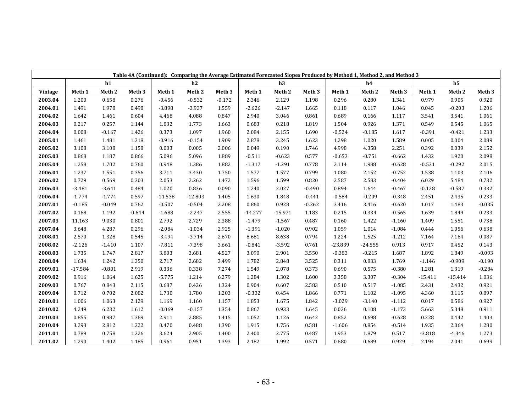|         |                   |                   |                   |           | Table 4A (Continued): Comparing the Average Estimated Forecasted Slopes Produced by Method 1, Method 2, and Method 3 |                   |           |           |                   |           |                   |                   |           |                |                   |
|---------|-------------------|-------------------|-------------------|-----------|----------------------------------------------------------------------------------------------------------------------|-------------------|-----------|-----------|-------------------|-----------|-------------------|-------------------|-----------|----------------|-------------------|
|         |                   | h1                |                   |           | h2                                                                                                                   |                   |           | h3        |                   |           | h4                |                   |           | h <sub>5</sub> |                   |
| Vintage | Meth <sub>1</sub> | Meth <sub>2</sub> | Meth <sub>3</sub> | Meth 1    | Meth <sub>2</sub>                                                                                                    | Meth <sub>3</sub> | Meth 1    | Meth 2    | Meth <sub>3</sub> | Meth 1    | Meth <sub>2</sub> | Meth <sub>3</sub> | Meth 1    | Meth 2         | Meth <sub>3</sub> |
| 2003.04 | 1.200             | 0.658             | 0.276             | $-0.456$  | $-0.532$                                                                                                             | $-0.172$          | 2.346     | 2.129     | 1.198             | 0.296     | 0.280             | 1.341             | 0.979     | 0.905          | 0.920             |
| 2004.01 | 1.491             | 1.978             | 0.498             | $-3.898$  | $-3.937$                                                                                                             | 1.559             | $-2.626$  | $-2.147$  | 1.665             | 0.118     | 0.117             | 1.046             | 0.045     | $-0.203$       | 1.206             |
| 2004.02 | 1.642             | 1.461             | 0.604             | 4.468     | 4.088                                                                                                                | 0.847             | 2.940     | 3.046     | 0.861             | 0.689     | 0.166             | 1.117             | 3.541     | 3.541          | 1.061             |
| 2004.03 | 0.217             | 0.257             | 1.144             | 1.832     | 1.773                                                                                                                | 1.663             | 0.683     | 0.218     | 1.819             | 1.504     | 0.926             | 1.371             | 0.549     | 0.545          | 1.065             |
| 2004.04 | 0.008             | $-0.167$          | 1.426             | 0.373     | 1.097                                                                                                                | 1.960             | 2.084     | 2.155     | 1.690             | $-0.524$  | $-0.185$          | 1.617             | $-0.391$  | $-0.421$       | 1.233             |
| 2005.01 | 1.461             | 1.481             | 1.318             | $-0.916$  | $-0.154$                                                                                                             | 1.909             | 2.878     | 3.245     | 1.623             | 1.298     | 1.020             | 1.589             | 0.005     | 0.004          | 2.089             |
| 2005.02 | 3.108             | 3.108             | 1.158             | 0.003     | 0.005                                                                                                                | 2.006             | 0.049     | 0.190     | 1.746             | 4.998     | 4.358             | 2.251             | 0.392     | 0.039          | 2.152             |
| 2005.03 | 0.868             | 1.187             | 0.866             | 5.096     | 5.096                                                                                                                | 1.889             | $-0.511$  | $-0.623$  | 0.577             | $-0.653$  | $-0.751$          | $-0.662$          | 1.432     | 1.920          | 2.098             |
| 2005.04 | 1.258             | 1.702             | 0.760             | 0.948     | 1.386                                                                                                                | 1.882             | $-1.317$  | $-1.291$  | 0.778             | 2.114     | 1.988             | $-0.628$          | $-0.531$  | $-0.292$       | 2.015             |
| 2006.01 | 1.237             | 1.551             | 0.356             | 3.711     | 3.430                                                                                                                | 1.750             | 1.577     | 1.577     | 0.799             | 1.080     | 2.152             | $-0.752$          | 1.538     | 1.103          | 2.106             |
| 2006.02 | 0.729             | 0.569             | 0.303             | 2.053     | 2.262                                                                                                                | 1.472             | 1.596     | 1.599     | 0.820             | 2.587     | 2.583             | $-0.404$          | 6.029     | 5.484          | 0.732             |
| 2006.03 | $-3.481$          | $-3.641$          | 0.484             | 1.020     | 0.836                                                                                                                | 0.090             | 1.240     | 2.027     | $-0.490$          | 0.894     | 1.644             | $-0.467$          | $-0.128$  | $-0.587$       | 0.332             |
| 2006.04 | $-1.774$          | $-1.774$          | 0.597             | $-11.538$ | $-12.803$                                                                                                            | 1.405             | 1.630     | 1.848     | $-0.441$          | $-0.584$  | $-0.209$          | $-0.348$          | 2.451     | 2.435          | 0.233             |
| 2007.01 | -0.185            | $-0.049$          | 0.762             | $-0.507$  | $-0.504$                                                                                                             | 2.208             | 0.860     | 0.928     | $-0.262$          | 3.416     | 3.416             | $-0.620$          | 1.017     | 1.483          | $-0.035$          |
| 2007.02 | 0.168             | 1.192             | $-0.644$          | $-1.688$  | $-2.247$                                                                                                             | 2.555             | $-14.277$ | $-15.971$ | 1.183             | 0.215     | 0.334             | $-0.565$          | 1.639     | 1.849          | 0.233             |
| 2007.03 | 11.163            | 9.030             | 0.801             | 2.792     | 2.729                                                                                                                | 2.388             | $-1.479$  | $-1.567$  | 0.487             | 0.160     | 1.422             | $-1.160$          | 1.409     | 1.551          | 0.738             |
| 2007.04 | 3.648             | 4.287             | 0.296             | $-2.084$  | $-1.034$                                                                                                             | 2.925             | $-1.391$  | $-1.020$  | 0.902             | 1.059     | 1.014             | $-1.084$          | 0.444     | 1.056          | 0.638             |
| 2008.01 | 2.570             | 1.328             | 0.545             | $-3.494$  | $-3.714$                                                                                                             | 2.670             | 8.681     | 8.638     | 0.794             | 1.224     | 1.525             | $-1.212$          | 7.164     | 7.164          | 0.087             |
| 2008.02 | $-2.126$          | $-1.410$          | 1.107             | $-7.811$  | $-7.398$                                                                                                             | 3.661             | $-0.841$  | $-3.592$  | 0.761             | $-23.839$ | $-24.555$         | 0.913             | 0.917     | 0.452          | 0.143             |
| 2008.03 | 1.735             | 1.747             | 2.817             | 3.803     | 3.681                                                                                                                | 4.527             | 3.090     | 2.901     | 3.550             | $-0.383$  | $-0.215$          | 1.687             | 1.892     | 1.849          | $-0.093$          |
| 2008.04 | 1.634             | 1.242             | 1.350             | 2.717     | 2.682                                                                                                                | 3.499             | 1.782     | 2.848     | 3.525             | 0.311     | 0.833             | 1.769             | $-1.146$  | $-0.909$       | $-0.190$          |
| 2009.01 | $-17.584$         | $-0.801$          | 2.919             | 0.336     | 0.338                                                                                                                | 7.274             | 1.549     | 2.078     | 0.373             | 0.690     | 0.575             | $-0.380$          | 1.281     | 1.319          | $-0.284$          |
| 2009.02 | 0.916             | 1.064             | 1.625             | $-5.775$  | 1.214                                                                                                                | 6.279             | 1.284     | 1.302     | 1.600             | 3.358     | 3.307             | $-0.304$          | $-15.411$ | $-15.414$      | 1.036             |
| 2009.03 | 0.767             | 0.843             | 2.115             | 0.687     | 0.426                                                                                                                | 1.324             | 0.904     | 0.607     | 2.583             | 0.510     | 0.517             | $-1.085$          | 2.431     | 2.432          | 0.921             |
| 2009.04 | 0.712             | 0.702             | 2.082             | 1.730     | 1.780                                                                                                                | 1.203             | $-0.332$  | 0.454     | 1.866             | 0.771     | 1.102             | $-1.095$          | 4.360     | 3.115          | 0.897             |
| 2010.01 | 1.006             | 1.063             | 2.129             | 1.169     | 1.160                                                                                                                | 1.157             | 1.853     | 1.675     | 1.842             | $-3.029$  | $-3.140$          | $-1.112$          | 0.017     | 0.586          | 0.927             |
| 2010.02 | 4.249             | 6.232             | 1.612             | $-0.069$  | $-0.157$                                                                                                             | 1.354             | 0.867     | 0.933     | 1.645             | 0.036     | 0.108             | $-1.173$          | 5.663     | 5.348          | 0.911             |
| 2010.03 | 0.855             | 0.987             | 1.369             | 2.911     | 2.885                                                                                                                | 1.415             | 1.052     | 1.126     | 0.642             | 0.852     | 0.698             | $-0.628$          | 0.228     | 0.442          | 1.403             |
| 2010.04 | 3.293             | 2.812             | 1.222             | 0.470     | 0.488                                                                                                                | 1.390             | 1.915     | 1.756     | 0.581             | $-1.606$  | 0.854             | $-0.514$          | 1.935     | 2.064          | 1.280             |
| 2011.01 | 0.789             | 0.758             | 1.226             | 3.624     | 2.905                                                                                                                | 1.400             | 2.400     | 2.775     | 0.487             | 1.953     | 1.879             | 0.517             | $-3.818$  | $-4.346$       | 1.273             |
| 2011.02 | 1.290             | 1.402             | 1.185             | 0.961     | 0.951                                                                                                                | 1.393             | 2.182     | 1.992     | 0.571             | 0.680     | 0.689             | 0.929             | 2.194     | 2.041          | 0.699             |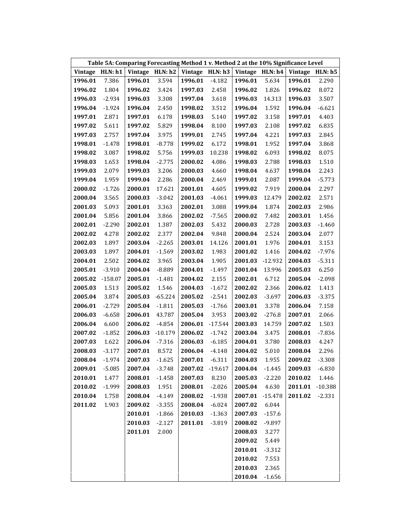|         |           |         |                 | Table 5A: Comparing Forecasting Method 1 v. Method 2 at the 10% Significance Level |           |               |                   |         |                 |
|---------|-----------|---------|-----------------|------------------------------------------------------------------------------------|-----------|---------------|-------------------|---------|-----------------|
| Vintage | HLN: h1   |         | Vintage HLN: h2 | Vintage HLN: h3                                                                    |           |               | Vintage $HLN: h4$ |         | Vintage HLN: h5 |
| 1996.01 | 7.386     | 1996.01 | 3.594           | 1996.01                                                                            | $-4.182$  | 1996.01       | 5.634             | 1996.01 | 2.290           |
| 1996.02 | 1.804     | 1996.02 | 3.424           | 1997.03                                                                            | 2.458     | 1996.02       | 1.826             | 1996.02 | 8.072           |
| 1996.03 | $-2.934$  | 1996.03 | 3.308           | 1997.04                                                                            | 3.618     | 1996.03       | 14.313            | 1996.03 | 3.507           |
| 1996.04 | $-1.924$  | 1996.04 | 2.450           | 1998.02                                                                            | 3.512     | 1996.04       | 1.592             | 1996.04 | $-6.621$        |
| 1997.01 | 2.871     | 1997.01 | 6.178           | 1998.03                                                                            | 5.140     | 1997.02       | 3.158             | 1997.01 | 4.403           |
| 1997.02 | 5.611     | 1997.02 | 5.829           | 1998.04                                                                            | 8.100     | 1997.03       | 2.108             | 1997.02 | 6.835           |
| 1997.03 | 2.757     | 1997.04 | 3.975           | 1999.01                                                                            | 2.745     | 1997.04       | 4.221             | 1997.03 | 2.845           |
| 1998.01 | $-1.478$  | 1998.01 | $-8.778$        | 1999.02                                                                            | 6.172     | 1998.01       | 1.952             | 1997.04 | 3.868           |
| 1998.02 | 3.087     | 1998.02 | 5.756           | 1999.03                                                                            | 10.238    | 1998.02       | 6.093             | 1998.02 | 8.075           |
| 1998.03 | 1.653     | 1998.04 | $-2.775$        | 2000.02                                                                            | 4.086     | 1998.03       | 2.788             | 1998.03 | 1.510           |
| 1999.03 | 2.079     | 1999.03 | 3.206           | 2000.03                                                                            | 4.660     | 1998.04       | 4.637             | 1998.04 | 2.243           |
| 1999.04 | 1.959     | 1999.04 | 2.286           | 2000.04                                                                            | 2.469     | 1999.01       | 2.087             | 1999.04 | $-5.773$        |
| 2000.02 | $-1.726$  | 2000.01 | 17.621          | 2001.01                                                                            | 4.605     | 1999.02       | 7.919             | 2000.04 | 2.297           |
| 2000.04 | 3.565     | 2000.03 | $-3.042$        | 2001.03                                                                            | $-4.061$  | 1999.03       | 12.479            | 2002.02 | 2.571           |
| 2001.03 | 5.093     | 2001.01 | 3.363           | 2002.01                                                                            | 3.088     | 1999.04       | 1.874             | 2002.03 | 2.986           |
| 2001.04 | 5.856     | 2001.04 | 3.866           | 2002.02                                                                            | $-7.565$  | 2000.02       | 7.482             | 2003.01 | 1.456           |
| 2002.01 | $-2.290$  | 2002.01 | 1.387           | 2002.03                                                                            | 5.432     | 2000.03       | 2.728             | 2003.03 | $-1.460$        |
| 2002.02 | 4.278     | 2002.02 | 2.377           | 2002.04                                                                            | 9.848     | 2000.04       | 2.524             | 2003.04 | 2.077           |
| 2002.03 | 1.897     | 2003.04 | $-2.265$        | 2003.01                                                                            | 14.126    | 2001.01       | 1.976             | 2004.01 | 3.153           |
| 2003.03 | 1.897     | 2004.01 | $-1.569$        | 2003.02                                                                            | 1.983     | 2001.02       | 1.416             | 2004.02 | $-7.976$        |
| 2004.01 | 2.502     | 2004.02 | 3.965           | 2003.04                                                                            | 1.905     | 2001.03       | $-12.932$         | 2004.03 | $-5.311$        |
| 2005.01 | $-3.910$  | 2004.04 | $-8.889$        | 2004.01                                                                            | $-1.497$  | 2001.04       | 13.996            | 2005.03 | 6.250           |
| 2005.02 | $-158.07$ | 2005.01 | $-1.481$        | 2004.02                                                                            | 2.155     | 2002.01       | 6.712             | 2005.04 | $-2.098$        |
| 2005.03 | 1.513     | 2005.02 | 1.546           | 2004.03                                                                            | $-1.672$  | 2002.02       | 2.366             | 2006.02 | 1.413           |
| 2005.04 | 3.874     | 2005.03 | $-65.224$       | 2005.02                                                                            | $-2.541$  | 2002.03       | $-3.697$          | 2006.03 | $-3.375$        |
| 2006.01 | $-2.729$  | 2005.04 | $-1.811$        | 2005.03                                                                            | $-1.766$  | 2003.01       | 3.378             | 2006.04 | 7.158           |
| 2006.03 | $-6.658$  | 2006.01 | 43.787          | 2005.04                                                                            | 3.953     | 2003.02       | $-276.8$          | 2007.01 | 2.066           |
| 2006.04 | 6.600     | 2006.02 | $-4.854$        | 2006.01                                                                            | $-17.544$ | 2003.03       | 14.759            | 2007.02 | 1.503           |
| 2007.02 | $-1.852$  | 2006.03 | $-10.179$       | 2006.02                                                                            | $-1.742$  | 2003.04       | 3.475             | 2008.01 | $-7.836$        |
| 2007.03 | 1.622     | 2006.04 | $-7.316$        | 2006.03                                                                            | $-6.185$  | 2004.01       | 3.780             | 2008.03 | 4.247           |
| 2008.03 | $-3.177$  | 2007.01 | 8.572           | 2006.04                                                                            | $-4.148$  | 2004.02       | 5.010             | 2008.04 | 2.296           |
| 2008.04 | $-1.974$  | 2007.03 | $-1.625$        | 2007.01 -6.311                                                                     |           | 2004.03 1.955 |                   | 2009.02 | $-3.308$        |
| 2009.01 | $-5.085$  | 2007.04 | $-3.748$        | 2007.02                                                                            | $-19.617$ | 2004.04       | $-1.445$          | 2009.03 | $-6.830$        |
| 2010.01 | 1.477     | 2008.01 | $-1.458$        | 2007.03                                                                            | 8.230     | 2005.03       | $-2.220$          | 2010.02 | 1.446           |
| 2010.02 | $-1.999$  | 2008.03 | 1.951           | 2008.01                                                                            | $-2.026$  | 2005.04       | 4.630             | 2011.01 | $-10.388$       |
| 2010.04 | 1.758     | 2008.04 | $-4.149$        | 2008.02                                                                            | $-1.938$  | 2007.01       | $-15.478$         | 2011.02 | $-2.331$        |
| 2011.02 | 1.903     | 2009.02 | $-3.355$        | 2008.04                                                                            | $-6.024$  | 2007.02       | 6.044             |         |                 |
|         |           | 2010.01 | $-1.866$        | 2010.03                                                                            | $-1.363$  | 2007.03       | $-157.6$          |         |                 |
|         |           | 2010.03 | $-2.127$        | 2011.01                                                                            | $-3.819$  | 2008.02       | $-9.897$          |         |                 |
|         |           | 2011.01 | 2.000           |                                                                                    |           | 2008.03       | 3.277             |         |                 |
|         |           |         |                 |                                                                                    |           | 2009.02       | 5.449             |         |                 |
|         |           |         |                 |                                                                                    |           | 2010.01       | $-3.312$          |         |                 |
|         |           |         |                 |                                                                                    |           | 2010.02       | 7.553             |         |                 |
|         |           |         |                 |                                                                                    |           | 2010.03       | 2.365             |         |                 |
|         |           |         |                 |                                                                                    |           | 2010.04       | $-1.656$          |         |                 |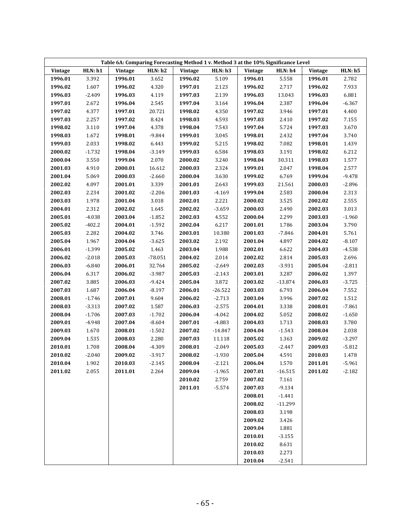| Table 6A: Comparing Forecasting Method 1 v. Method 3 at the 10% Significance Level |          |         |                |         |           |         |           |         |                |  |  |
|------------------------------------------------------------------------------------|----------|---------|----------------|---------|-----------|---------|-----------|---------|----------------|--|--|
| Vintage                                                                            | HLN: h1  | Vintage | <b>HLN: h2</b> | Vintage | HLN: h3   | Vintage | HLN: h4   | Vintage | <b>HLN: h5</b> |  |  |
| 1996.01                                                                            | 3.392    | 1996.01 | 3.652          | 1996.02 | 5.109     | 1996.01 | 5.558     | 1996.01 | 2.782          |  |  |
| 1996.02                                                                            | 1.607    | 1996.02 | 4.320          | 1997.01 | 2.123     | 1996.02 | 2.717     | 1996.02 | 7.933          |  |  |
| 1996.03                                                                            | $-2.409$ | 1996.03 | 4.119          | 1997.03 | 2.139     | 1996.03 | 13.043    | 1996.03 | 6.881          |  |  |
| 1997.01                                                                            | 2.672    | 1996.04 | 2.545          | 1997.04 | 3.164     | 1996.04 | 2.387     | 1996.04 | $-6.367$       |  |  |
| 1997.02                                                                            | 4.377    | 1997.01 | 20.721         | 1998.02 | 4.350     | 1997.02 | 3.946     | 1997.01 | 4.400          |  |  |
| 1997.03                                                                            | 2.257    | 1997.02 | 8.424          | 1998.03 | 4.593     | 1997.03 | 2.410     | 1997.02 | 7.155          |  |  |
| 1998.02                                                                            | 3.110    | 1997.04 | 4.378          | 1998.04 | 7.543     | 1997.04 | 5.724     | 1997.03 | 3.670          |  |  |
| 1998.03                                                                            | 1.672    | 1998.01 | $-9.844$       | 1999.01 | 3.045     | 1998.01 | 2.432     | 1997.04 | 3.740          |  |  |
| 1999.03                                                                            | 2.033    | 1998.02 | 6.443          | 1999.02 | 5.215     | 1998.02 | 7.082     | 1998.01 | 1.439          |  |  |
| 2000.02                                                                            | $-1.732$ | 1998.04 | $-3.149$       | 1999.03 | 6.584     | 1998.03 | 3.191     | 1998.02 | 6.212          |  |  |
| 2000.04                                                                            | 3.550    | 1999.04 | 2.070          | 2000.02 | 3.240     | 1998.04 | 30.311    | 1998.03 | 1.577          |  |  |
| 2001.03                                                                            | 4.910    | 2000.01 | 16.612         | 2000.03 | 2.324     | 1999.01 | 2.047     | 1998.04 | 2.577          |  |  |
| 2001.04                                                                            | 5.069    | 2000.03 | $-2.660$       | 2000.04 | 3.630     | 1999.02 | 6.769     | 1999.04 | $-9.478$       |  |  |
| 2002.02                                                                            | 4.097    | 2001.01 | 3.339          | 2001.01 | 2.643     | 1999.03 | 21.561    | 2000.03 | $-2.896$       |  |  |
| 2002.03                                                                            | 2.234    | 2001.02 | $-2.206$       | 2001.03 | $-4.169$  | 1999.04 | 2.583     | 2000.04 | 2.313          |  |  |
| 2003.03                                                                            | 1.978    | 2001.04 | 3.018          | 2002.01 | 2.221     | 2000.02 | 3.525     | 2002.02 | 2.555          |  |  |
| 2004.01                                                                            | 2.312    | 2002.02 | 1.645          | 2002.02 | $-3.659$  | 2000.03 | 2.490     | 2002.03 | 3.013          |  |  |
| 2005.01                                                                            | $-4.038$ | 2003.04 | $-1.852$       | 2002.03 | 4.552     | 2000.04 | 2.299     | 2003.03 | $-1.960$       |  |  |
| 2005.02                                                                            | $-402.2$ | 2004.01 | $-1.592$       | 2002.04 | 6.217     | 2001.01 | 1.786     | 2003.04 | 3.790          |  |  |
| 2005.03                                                                            | 2.282    | 2004.02 | 3.746          | 2003.01 | 10.380    | 2001.03 | $-7.846$  | 2004.01 | 5.761          |  |  |
| 2005.04                                                                            | 1.967    | 2004.04 | $-3.625$       | 2003.02 | 2.192     | 2001.04 | 4.897     | 2004.02 | $-8.107$       |  |  |
| 2006.01                                                                            | $-1.399$ | 2005.02 | 1.463          | 2003.04 | 1.988     | 2002.01 | 6.622     | 2004.03 | $-4.538$       |  |  |
| 2006.02                                                                            | $-2.018$ | 2005.03 | $-78.051$      | 2004.02 | 2.014     | 2002.02 | 2.814     | 2005.03 | 2.696          |  |  |
| 2006.03                                                                            | $-6.840$ | 2006.01 | 32.764         | 2005.02 | $-2.649$  | 2002.03 | $-3.931$  | 2005.04 | $-2.811$       |  |  |
| 2006.04                                                                            | 6.317    | 2006.02 | $-3.987$       | 2005.03 | $-2.143$  | 2003.01 | 3.287     | 2006.02 | 1.397          |  |  |
| 2007.02                                                                            | 3.885    | 2006.03 | $-9.424$       | 2005.04 | 3.872     | 2003.02 | $-13.874$ | 2006.03 | $-3.725$       |  |  |
| 2007.03                                                                            | 1.687    | 2006.04 | $-8.197$       | 2006.01 | $-26.522$ | 2003.03 | 6.793     | 2006.04 | 7.552          |  |  |
| 2008.01                                                                            | $-1.746$ | 2007.01 | 9.604          | 2006.02 | $-2.713$  | 2003.04 | 3.996     | 2007.02 | 1.512          |  |  |
| 2008.03                                                                            | $-3.313$ | 2007.02 | 1.587          | 2006.03 | $-2.575$  | 2004.01 | 3.338     | 2008.01 | $-7.861$       |  |  |
| 2008.04                                                                            | $-1.706$ | 2007.03 | $-1.702$       | 2006.04 | $-4.042$  | 2004.02 | 5.052     | 2008.02 | $-1.650$       |  |  |
| 2009.01                                                                            | $-4.948$ | 2007.04 | $-8.604$       | 2007.01 | $-4.883$  | 2004.03 | 1.713     | 2008.03 | 3.780          |  |  |
| 2009.03                                                                            | 1.670    | 2008.01 | $-1.502$       | 2007.02 | $-14.847$ | 2004.04 | $-1.543$  | 2008.04 | 2.038          |  |  |
| 2009.04                                                                            | 1.535    | 2008.03 | 2.280          | 2007.03 | 11.118    | 2005.02 | 1.363     | 2009.02 | $-3.297$       |  |  |
| 2010.01                                                                            | 1.708    | 2008.04 | $-4.309$       | 2008.01 | $-2.049$  | 2005.03 | $-2.447$  | 2009.03 | $-5.812$       |  |  |
| 2010.02                                                                            | $-2.040$ | 2009.02 | $-3.917$       | 2008.02 | $-1.930$  | 2005.04 | 4.591     | 2010.03 | 1.478          |  |  |
| 2010.04                                                                            | 1.902    | 2010.03 | $-2.145$       | 2008.04 | $-2.121$  | 2006.04 | 1.570     | 2011.01 | $-5.961$       |  |  |
| 2011.02                                                                            | 2.055    | 2011.01 | 2.264          | 2009.04 | $-1.965$  | 2007.01 | $-16.515$ | 2011.02 | $-2.182$       |  |  |
|                                                                                    |          |         |                | 2010.02 | 2.759     | 2007.02 | 7.161     |         |                |  |  |
|                                                                                    |          |         |                | 2011.01 | $-5.574$  | 2007.03 | $-9.134$  |         |                |  |  |
|                                                                                    |          |         |                |         |           | 2008.01 | $-1.441$  |         |                |  |  |
|                                                                                    |          |         |                |         |           | 2008.02 | $-11.299$ |         |                |  |  |
|                                                                                    |          |         |                |         |           | 2008.03 | 3.198     |         |                |  |  |
|                                                                                    |          |         |                |         |           | 2009.02 | 3.426     |         |                |  |  |
|                                                                                    |          |         |                |         |           | 2009.04 | 1.881     |         |                |  |  |
|                                                                                    |          |         |                |         |           | 2010.01 | $-3.155$  |         |                |  |  |
|                                                                                    |          |         |                |         |           | 2010.02 | 8.631     |         |                |  |  |
|                                                                                    |          |         |                |         |           | 2010.03 | 2.273     |         |                |  |  |
|                                                                                    |          |         |                |         |           | 2010.04 | $-2.541$  |         |                |  |  |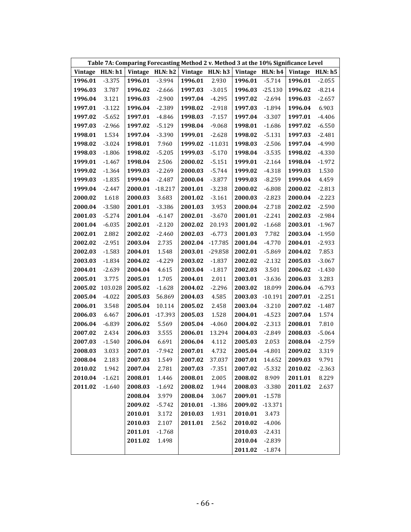| Table 7A: Comparing Forecasting Method 2 v. Method 3 at the 10% Significance Level |          |                 |           |         |           |                                     |           |                 |          |
|------------------------------------------------------------------------------------|----------|-----------------|-----------|---------|-----------|-------------------------------------|-----------|-----------------|----------|
| <b>Vintage</b>                                                                     | HLN: h1  | Vintage HLN: h2 |           |         |           | Vintage HLN: $h3$ Vintage HLN: $h4$ |           | Vintage HLN: h5 |          |
| 1996.01                                                                            | $-3.375$ | 1996.01         | $-3.994$  | 1996.01 | 2.930     | 1996.01                             | $-5.714$  | 1996.01         | $-2.055$ |
| 1996.03                                                                            | 3.787    | 1996.02         | $-2.666$  | 1997.03 | $-3.015$  | 1996.03                             | $-25.130$ | 1996.02         | $-8.214$ |
| 1996.04                                                                            | 3.121    | 1996.03         | $-2.900$  | 1997.04 | $-4.295$  | 1997.02                             | $-2.694$  | 1996.03         | $-2.657$ |
| 1997.01                                                                            | $-3.122$ | 1996.04         | $-2.389$  | 1998.02 | $-2.918$  | 1997.03                             | $-1.894$  | 1996.04         | 6.903    |
| 1997.02                                                                            | $-5.652$ | 1997.01         | $-4.846$  | 1998.03 | $-7.157$  | 1997.04                             | $-3.307$  | 1997.01         | $-4.406$ |
| 1997.03                                                                            | $-2.966$ | 1997.02         | $-5.129$  | 1998.04 | $-9.068$  | 1998.01                             | $-1.686$  | 1997.02         | $-6.550$ |
| 1998.01                                                                            | 1.534    | 1997.04         | $-3.390$  | 1999.01 | $-2.628$  | 1998.02                             | $-5.131$  | 1997.03         | $-2.481$ |
| 1998.02                                                                            | $-3.024$ | 1998.01         | 7.960     | 1999.02 | $-11.031$ | 1998.03                             | $-2.506$  | 1997.04         | $-4.990$ |
| 1998.03                                                                            | $-1.806$ | 1998.02         | $-5.205$  | 1999.03 | $-5.170$  | 1998.04                             | $-3.535$  | 1998.02         | $-4.330$ |
| 1999.01                                                                            | $-1.467$ | 1998.04         | 2.506     | 2000.02 | $-5.151$  | 1999.01                             | $-2.164$  | 1998.04         | $-1.972$ |
| 1999.02                                                                            | $-1.364$ | 1999.03         | $-2.269$  | 2000.03 | $-5.744$  | 1999.02                             | $-4.318$  | 1999.03         | 1.530    |
| 1999.03                                                                            | $-1.835$ | 1999.04         | $-2.487$  | 2000.04 | $-3.877$  | 1999.03                             | $-8.259$  | 1999.04         | 4.459    |
| 1999.04                                                                            | $-2.447$ | 2000.01         | $-18.217$ | 2001.01 | $-3.238$  | 2000.02                             | $-6.808$  | 2000.02         | $-2.813$ |
| 2000.02                                                                            | 1.618    | 2000.03         | 3.683     | 2001.02 | $-3.161$  | 2000.03                             | $-2.823$  | 2000.04         | $-2.223$ |
| 2000.04                                                                            | $-3.580$ | 2001.01         | $-3.386$  | 2001.03 | 3.953     | 2000.04                             | $-2.718$  | 2002.02         | $-2.590$ |
| 2001.03                                                                            | $-5.274$ | 2001.04         | $-6.147$  | 2002.01 | $-3.670$  | 2001.01                             | $-2.241$  | 2002.03         | $-2.984$ |
| 2001.04                                                                            | $-6.035$ | 2002.01         | $-2.120$  | 2002.02 | 20.193    | 2001.02                             | $-1.668$  | 2003.01         | $-1.967$ |
| 2002.01                                                                            | 2.882    | 2002.02         | $-2.460$  | 2002.03 | $-6.773$  | 2001.03                             | 7.782     | 2003.04         | $-1.950$ |
| 2002.02                                                                            | $-2.951$ | 2003.04         | 2.735     | 2002.04 | $-17.785$ | 2001.04                             | $-4.770$  | 2004.01         | $-2.933$ |
| 2002.03                                                                            | $-1.583$ | 2004.01         | 1.548     | 2003.01 | $-29.858$ | 2002.01                             | $-5.869$  | 2004.02         | 7.853    |
| 2003.03                                                                            | $-1.834$ | 2004.02         | $-4.229$  | 2003.02 | $-1.837$  | 2002.02                             | $-2.132$  | 2005.03         | $-3.067$ |
| 2004.01                                                                            | $-2.639$ | 2004.04         | 4.615     | 2003.04 | $-1.817$  | 2002.03                             | 3.501     | 2006.02         | $-1.430$ |
| 2005.01                                                                            | 3.775    | 2005.01         | 1.705     | 2004.01 | 2.011     | 2003.01                             | $-3.636$  | 2006.03         | 3.283    |
| 2005.02                                                                            | 103.028  | 2005.02         | $-1.628$  | 2004.02 | $-2.296$  | 2003.02                             | 18.099    | 2006.04         | $-6.793$ |
| 2005.04                                                                            | $-4.022$ | 2005.03         | 56.869    | 2004.03 | 4.585     | 2003.03                             | $-10.191$ | 2007.01         | $-2.251$ |
| 2006.01                                                                            | 3.548    | 2005.04         | 10.114    | 2005.02 | 2.458     | 2003.04                             | $-3.210$  | 2007.02         | $-1.487$ |
| 2006.03                                                                            | 6.467    | 2006.01         | $-17.393$ | 2005.03 | 1.528     | 2004.01                             | $-4.523$  | 2007.04         | 1.574    |
| 2006.04                                                                            | $-6.839$ | 2006.02         | 5.569     | 2005.04 | $-4.060$  | 2004.02                             | $-2.313$  | 2008.01         | 7.810    |
| 2007.02                                                                            | 2.434    | 2006.03         | 3.555     | 2006.01 | 13.294    | 2004.03                             | $-2.849$  | 2008.03         | $-5.064$ |
| 2007.03                                                                            | $-1.540$ | 2006.04         | 6.691     | 2006.04 | 4.112     | 2005.03                             | 2.053     | 2008.04         | $-2.759$ |
| 2008.03                                                                            | 3.033    | 2007.01         | $-7.942$  | 2007.01 | 4.732     | 2005.04                             | $-4.801$  | 2009.02         | 3.319    |
| 2008.04                                                                            | 2.183    | 2007.03         | 1.549     | 2007.02 | 37.037    | 2007.01 14.652                      |           | 2009.03         | 9.791    |
| 2010.02                                                                            | 1.942    | 2007.04         | 2.781     | 2007.03 | $-7.351$  | 2007.02                             | $-5.332$  | 2010.02         | $-2.363$ |
| 2010.04                                                                            | $-1.621$ | 2008.01         | 1.446     | 2008.01 | 2.005     | 2008.02                             | 8.909     | 2011.01         | 8.229    |
| 2011.02                                                                            | $-1.640$ | 2008.03         | $-1.692$  | 2008.02 | 1.944     | 2008.03                             | $-3.380$  | 2011.02         | 2.637    |
|                                                                                    |          | 2008.04         | 3.979     | 2008.04 | 3.067     | 2009.01                             | $-1.578$  |                 |          |
|                                                                                    |          | 2009.02         | $-5.742$  | 2010.01 | $-1.386$  | 2009.02                             | $-13.371$ |                 |          |
|                                                                                    |          | 2010.01         | 3.172     | 2010.03 | 1.931     | 2010.01                             | 3.473     |                 |          |
|                                                                                    |          | 2010.03         | 2.107     | 2011.01 | 2.562     | 2010.02                             | $-4.006$  |                 |          |
|                                                                                    |          | 2011.01         | $-1.768$  |         |           | 2010.03                             | $-2.431$  |                 |          |
|                                                                                    |          | 2011.02         | 1.498     |         |           | 2010.04                             | $-2.839$  |                 |          |
|                                                                                    |          |                 |           |         |           | 2011.02                             | $-1.874$  |                 |          |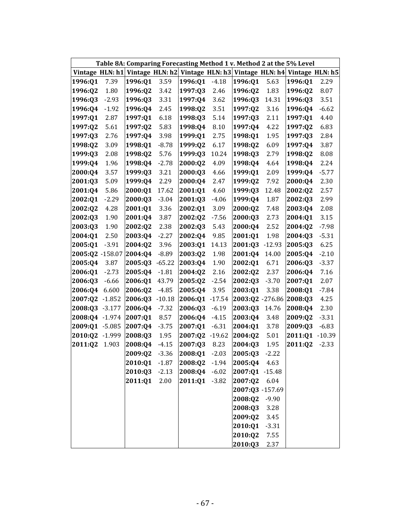|                 |          |                         |          | Table 8A: Comparing Forecasting Method 1 v. Method 2 at the 5% Level |          |                                 |          |                 |          |
|-----------------|----------|-------------------------|----------|----------------------------------------------------------------------|----------|---------------------------------|----------|-----------------|----------|
| Vintage HLN: h1 |          | Vintage HLN: h2         |          |                                                                      |          | Vintage HLN: h3 Vintage HLN: h4 |          | Vintage HLN: h5 |          |
| 1996:Q1         | 7.39     | 1996:Q1                 | 3.59     | 1996:Q1                                                              | $-4.18$  | 1996:Q1                         | 5.63     | 1996:Q1         | 2.29     |
| 1996:Q2         | 1.80     | 1996:Q2                 | 3.42     | 1997:Q3                                                              | 2.46     | 1996:Q2                         | 1.83     | 1996:Q2         | 8.07     |
| 1996:Q3         | $-2.93$  | 1996:Q3                 | 3.31     | 1997:Q4                                                              | 3.62     | 1996:Q3                         | 14.31    | 1996:Q3         | 3.51     |
| 1996:Q4         | $-1.92$  | 1996:Q4                 | 2.45     | 1998:Q2                                                              | 3.51     | 1997:Q2                         | 3.16     | 1996:Q4         | $-6.62$  |
| 1997:Q1         | 2.87     | 1997:Q1                 | 6.18     | 1998:Q3                                                              | 5.14     | 1997:Q3                         | 2.11     | 1997:Q1         | 4.40     |
| 1997:Q2         | 5.61     | 1997:Q2                 | 5.83     | 1998:Q4                                                              | 8.10     | 1997:Q4                         | 4.22     | 1997:Q2         | 6.83     |
| 1997:Q3         | 2.76     | 1997:Q4                 | 3.98     | 1999:Q1                                                              | 2.75     | 1998:Q1                         | 1.95     | 1997:03         | 2.84     |
| 1998:Q2         | 3.09     | 1998:Q1                 | $-8.78$  | 1999:Q2                                                              | 6.17     | 1998:02                         | 6.09     | 1997:Q4         | 3.87     |
| 1999:Q3         | 2.08     | 1998:Q2                 | 5.76     | 1999:Q3                                                              | 10.24    | 1998:Q3                         | 2.79     | 1998:Q2         | 8.08     |
| 1999:Q4         | 1.96     | 1998:Q4                 | $-2.78$  | 2000:Q2                                                              | 4.09     | 1998:Q4                         | 4.64     | 1998:Q4         | 2.24     |
| 2000:Q4         | 3.57     | 1999:Q3                 | 3.21     | 2000:Q3                                                              | 4.66     | 1999:Q1                         | 2.09     | 1999:Q4         | $-5.77$  |
| 2001:Q3         | 5.09     | 1999:Q4                 | 2.29     | 2000:Q4                                                              | 2.47     | 1999:Q2                         | 7.92     | 2000:Q4         | 2.30     |
| 2001:Q4         | 5.86     | 2000:Q1                 | 17.62    | 2001:Q1                                                              | 4.60     | 1999:Q3                         | 12.48    | 2002:Q2         | 2.57     |
| 2002:Q1         | $-2.29$  | 2000:Q3                 | $-3.04$  | 2001:Q3                                                              | $-4.06$  | 1999:Q4                         | 1.87     | 2002:Q3         | 2.99     |
| 2002:02         | 4.28     | 2001:Q1                 | 3.36     | 2002:Q1                                                              | 3.09     | 2000:Q2                         | 7.48     | 2003:Q4         | 2.08     |
| 2002:03         | 1.90     | 2001:Q4                 | 3.87     | 2002:Q2                                                              | $-7.56$  | 2000:Q3                         | 2.73     | 2004:Q1         | 3.15     |
| 2003:Q3         | 1.90     | 2002:Q2                 | 2.38     | 2002:Q3                                                              | 5.43     | 2000:Q4                         | 2.52     | 2004:Q2         | $-7.98$  |
| 2004:Q1         | 2.50     | 2003:04                 | $-2.27$  | 2002:Q4                                                              | 9.85     | 2001:Q1                         | 1.98     | 2004:Q3         | $-5.31$  |
| 2005:Q1         | $-3.91$  | 2004:Q2                 | 3.96     | 2003:Q1                                                              | 14.13    | 2001:Q3                         | $-12.93$ | 2005:Q3         | 6.25     |
|                 |          | 2005:Q2 -158.07 2004:Q4 | $-8.89$  | 2003:Q2                                                              | 1.98     | 2001:Q4                         | 14.00    | 2005:Q4         | $-2.10$  |
| 2005:Q4         | 3.87     | 2005:Q3                 | $-65.22$ | 2003:Q4                                                              | 1.90     | 2002:Q1                         | 6.71     | 2006:Q3         | $-3.37$  |
| 2006:Q1         | $-2.73$  | 2005:Q4                 | $-1.81$  | 2004:Q2                                                              | 2.16     | 2002:Q2                         | 2.37     | 2006:Q4         | 7.16     |
| 2006:Q3         | $-6.66$  | 2006:Q1                 | 43.79    | 2005:Q2                                                              | $-2.54$  | 2002:Q3                         | $-3.70$  | 2007:Q1         | 2.07     |
| 2006:Q4         | 6.600    | 2006:Q2                 | $-4.85$  | 2005:Q4                                                              | 3.95     | 2003:Q1                         | 3.38     | 2008:Q1         | $-7.84$  |
| 2007:Q2         | $-1.852$ | 2006:Q3                 | $-10.18$ | 2006:Q1                                                              | $-17.54$ | 2003:Q2 -276.86                 |          | 2008:Q3         | 4.25     |
| 2008:Q3         | $-3.177$ | 2006:Q4                 | $-7.32$  | 2006:Q3                                                              | $-6.19$  | 2003:Q3                         | 14.76    | 2008:Q4         | 2.30     |
| 2008:Q4         | $-1.974$ | 2007:Q1                 | 8.57     | 2006:Q4                                                              | $-4.15$  | 2003:Q4                         | 3.48     | 2009:Q2         | $-3.31$  |
| 2009:Q1         | $-5.085$ | 2007:Q4                 | $-3.75$  | 2007:Q1                                                              | $-6.31$  | 2004:Q1                         | 3.78     | 2009:Q3         | $-6.83$  |
| 2010:Q2         | $-1.999$ | 2008:Q3                 | 1.95     | 2007:Q2                                                              | $-19.62$ | 2004:Q2                         | 5.01     | 2011:Q1         | $-10.39$ |
| 2011:Q2         | 1.903    | 2008:Q4                 | $-4.15$  | 2007:Q3                                                              | 8.23     | 2004:Q3                         | 1.95     | 2011:Q2         | $-2.33$  |
|                 |          | 2009:Q2                 | $-3.36$  | 2008:Q1                                                              | $-2.03$  | 2005:Q3                         | $-2.22$  |                 |          |
|                 |          | 2010:Q1                 | $-1.87$  | 2008:Q2                                                              | $-1.94$  | 2005:Q4                         | 4.63     |                 |          |
|                 |          | 2010:Q3                 | $-2.13$  | 2008:Q4                                                              | $-6.02$  | 2007:Q1 -15.48                  |          |                 |          |
|                 |          | 2011:Q1                 | 2.00     | 2011:Q1                                                              | $-3.82$  | 2007:Q2                         | 6.04     |                 |          |
|                 |          |                         |          |                                                                      |          | 2007:Q3 -157.69                 |          |                 |          |
|                 |          |                         |          |                                                                      |          | 2008:Q2                         | $-9.90$  |                 |          |
|                 |          |                         |          |                                                                      |          | 2008:Q3                         | 3.28     |                 |          |
|                 |          |                         |          |                                                                      |          | 2009:Q2                         | 3.45     |                 |          |
|                 |          |                         |          |                                                                      |          | 2010:Q1                         | $-3.31$  |                 |          |
|                 |          |                         |          |                                                                      |          | 2010:Q2                         | 7.55     |                 |          |
|                 |          |                         |          |                                                                      |          | 2010:Q3                         | 2.37     |                 |          |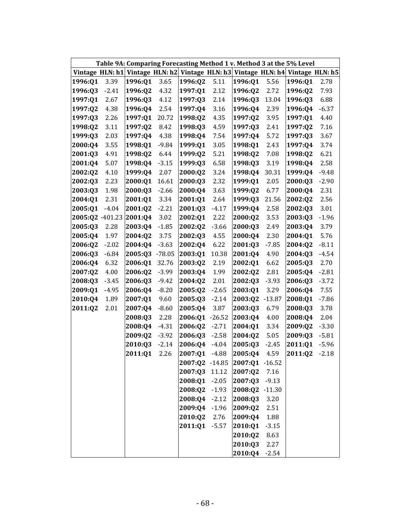|                 |         |                 |          | Table 9A: Comparing Forecasting Method 1 v. Method 3 at the 5% Level |          |                |          |                                                 |         |
|-----------------|---------|-----------------|----------|----------------------------------------------------------------------|----------|----------------|----------|-------------------------------------------------|---------|
| Vintage HLN: h1 |         | Vintage HLN: h2 |          |                                                                      |          |                |          | Vintage HLN: h3 Vintage HLN: h4 Vintage HLN: h5 |         |
| 1996:Q1         | 3.39    | 1996:Q1         | 3.65     | 1996:Q2                                                              | 5.11     | 1996:Q1        | 5.56     | 1996:Q1                                         | 2.78    |
| 1996:Q3         | $-2.41$ | 1996:Q2         | 4.32     | 1997:Q1                                                              | 2.12     | 1996:Q2        | 2.72     | 1996:Q2                                         | 7.93    |
| 1997:Q1         | 2.67    | 1996:03         | 4.12     | 1997:Q3                                                              | 2.14     | 1996:Q3        | 13.04    | 1996:03                                         | 6.88    |
| 1997:Q2         | 4.38    | 1996:Q4         | 2.54     | 1997:Q4                                                              | 3.16     | 1996:Q4        | 2.39     | 1996:Q4                                         | $-6.37$ |
| 1997:Q3         | 2.26    | 1997:Q1         | 20.72    | 1998:Q2                                                              | 4.35     | 1997:Q2        | 3.95     | 1997:Q1                                         | 4.40    |
| 1998:Q2         | 3.11    | 1997:Q2         | 8.42     | 1998:Q3                                                              | 4.59     | 1997:Q3        | 2.41     | 1997:Q2                                         | 7.16    |
| 1999:Q3         | 2.03    | 1997:04         | 4.38     | 1998:Q4                                                              | 7.54     | 1997:Q4        | 5.72     | 1997:Q3                                         | 3.67    |
| 2000:Q4         | 3.55    | 1998:Q1         | $-9.84$  | 1999:Q1                                                              | 3.05     | 1998:Q1        | 2.43     | 1997:Q4                                         | 3.74    |
| 2001:Q3         | 4.91    | 1998:Q2         | 6.44     | 1999:Q2                                                              | 5.21     | 1998:Q2        | 7.08     | 1998:Q2                                         | 6.21    |
| 2001:Q4         | 5.07    | 1998:Q4         | $-3.15$  | 1999:Q3                                                              | 6.58     | 1998:Q3        | 3.19     | 1998:Q4                                         | 2.58    |
| 2002:Q2         | 4.10    | 1999:Q4         | 2.07     | 2000:Q2                                                              | 3.24     | 1998:Q4        | 30.31    | 1999:Q4                                         | $-9.48$ |
| 2002:Q3         | 2.23    | 2000:Q1         | 16.61    | 2000:Q3                                                              | 2.32     | 1999:Q1        | 2.05     | 2000:Q3                                         | $-2.90$ |
| 2003:Q3         | 1.98    | 2000:Q3         | $-2.66$  | 2000:Q4                                                              | 3.63     | 1999:02        | 6.77     | 2000:Q4                                         | 2.31    |
| 2004:01         | 2.31    | 2001:01         | 3.34     | 2001:Q1                                                              | 2.64     | 1999:Q3        | 21.56    | 2002:Q2                                         | 2.56    |
| 2005:Q1         | $-4.04$ | 2001:Q2         | $-2.21$  | 2001:Q3                                                              | $-4.17$  | 1999:Q4        | 2.58     | 2002:Q3                                         | 3.01    |
| 2005:02 -401.23 |         | 2001:Q4         | 3.02     | 2002:Q1                                                              | 2.22     | 2000:02        | 3.53     | 2003:Q3                                         | $-1.96$ |
| 2005:Q3         | 2.28    | 2003:Q4         | $-1.85$  | 2002:Q2                                                              | $-3.66$  | 2000:Q3        | 2.49     | 2003:Q4                                         | 3.79    |
| 2005:04         | 1.97    | 2004:Q2         | 3.75     | 2002:Q3                                                              | 4.55     | 2000:Q4        | 2.30     | 2004:01                                         | 5.76    |
| 2006:Q2         | $-2.02$ | 2004:Q4         | $-3.63$  | 2002:04                                                              | 6.22     | 2001:Q3        | $-7.85$  | 2004:Q2                                         | $-8.11$ |
| 2006:Q3         | $-6.84$ | 2005:Q3         | $-78.05$ | 2003:Q1                                                              | 10.38    | 2001:Q4        | 4.90     | 2004:Q3                                         | $-4.54$ |
| 2006:Q4         | 6.32    | 2006:Q1         | 32.76    | 2003:Q2                                                              | 2.19     | 2002:Q1        | 6.62     | 2005:Q3                                         | 2.70    |
| 2007:Q2         | 4.00    | 2006:Q2         | $-3.99$  | 2003:Q4                                                              | 1.99     | 2002:Q2        | 2.81     | 2005:Q4                                         | $-2.81$ |
| 2008:Q3         | $-3.45$ | 2006:Q3         | $-9.42$  | 2004:Q2                                                              | 2.01     | 2002:Q3        | $-3.93$  | 2006:Q3                                         | $-3.72$ |
| 2009:Q1         | $-4.95$ | 2006:Q4         | $-8.20$  | 2005:Q2                                                              | $-2.65$  | 2003:Q1        | 3.29     | 2006:Q4                                         | 7.55    |
| 2010:Q4         | 1.89    | 2007:Q1         | 9.60     | 2005:Q3                                                              | $-2.14$  | 2003:Q2        | $-13.87$ | 2008:Q1                                         | $-7.86$ |
| 2011:Q2         | 2.01    | 2007:Q4         | $-8.60$  | 2005:Q4                                                              | 3.87     | 2003:Q3        | 6.79     | 2008:Q3                                         | 3.78    |
|                 |         | 2008:Q3         | 2.28     | 2006:Q1                                                              | $-26.52$ | 2003:Q4        | 4.00     | 2008:Q4                                         | 2.04    |
|                 |         | 2008:Q4         | $-4.31$  | 2006:Q2                                                              | $-2.71$  | 2004:Q1        | 3.34     | 2009:Q2                                         | $-3.30$ |
|                 |         | 2009:Q2         | $-3.92$  | 2006:Q3                                                              | $-2.58$  | 2004:Q2        | 5.05     | 2009:Q3                                         | $-5.81$ |
|                 |         | 2010:Q3         | $-2.14$  | 2006:Q4                                                              | $-4.04$  | 2005:Q3        | $-2.45$  | 2011:Q1                                         | $-5.96$ |
|                 |         | 2011:Q1         | 2.26     | 2007:Q1                                                              | $-4.88$  | 2005:Q4        | 4.59     | 2011:Q2                                         | $-2.18$ |
|                 |         |                 |          | 2007:Q2 -14.85                                                       |          | 2007:01 -16.52 |          |                                                 |         |
|                 |         |                 |          | 2007:Q3                                                              | 11.12    | 2007:Q2        | 7.16     |                                                 |         |
|                 |         |                 |          | 2008:Q1                                                              | $-2.05$  | 2007:Q3        | $-9.13$  |                                                 |         |
|                 |         |                 |          | 2008:Q2                                                              | $-1.93$  | 2008:Q2        | $-11.30$ |                                                 |         |
|                 |         |                 |          | 2008:Q4                                                              | $-2.12$  | 2008:Q3        | 3.20     |                                                 |         |
|                 |         |                 |          | 2009:Q4                                                              | $-1.96$  | 2009:Q2        | 2.51     |                                                 |         |
|                 |         |                 |          | 2010:Q2                                                              | 2.76     | 2009:Q4        | 1.88     |                                                 |         |
|                 |         |                 |          | 2011:Q1                                                              | $-5.57$  | 2010:Q1        | $-3.15$  |                                                 |         |
|                 |         |                 |          |                                                                      |          | 2010:Q2        | 8.63     |                                                 |         |
|                 |         |                 |          |                                                                      |          | 2010:Q3        | 2.27     |                                                 |         |
|                 |         |                 |          |                                                                      |          | 2010:Q4        | $-2.54$  |                                                 |         |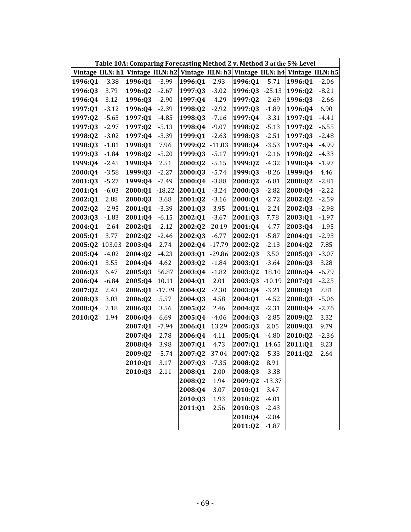|         |         | Table 10A: Comparing Forecasting Method 2 v. Method 3 at the 5% Level           |          |                |          |         |          |         |         |
|---------|---------|---------------------------------------------------------------------------------|----------|----------------|----------|---------|----------|---------|---------|
|         |         | Vintage HLN: h1 Vintage HLN: h2 Vintage HLN: h3 Vintage HLN: h4 Vintage HLN: h5 |          |                |          |         |          |         |         |
| 1996:Q1 | $-3.38$ | 1996:Q1                                                                         | $-3.99$  | 1996:01        | 2.93     | 1996:Q1 | $-5.71$  | 1996:Q1 | $-2.06$ |
| 1996:Q3 | 3.79    | 1996:Q2                                                                         | $-2.67$  | 1997:Q3        | $-3.02$  | 1996:Q3 | $-25.13$ | 1996:Q2 | $-8.21$ |
| 1996:Q4 | 3.12    | 1996:Q3                                                                         | $-2.90$  | 1997:Q4        | $-4.29$  | 1997:02 | $-2.69$  | 1996:Q3 | $-2.66$ |
| 1997:Q1 | $-3.12$ | 1996:Q4                                                                         | $-2.39$  | 1998:Q2        | $-2.92$  | 1997:Q3 | $-1.89$  | 1996:Q4 | 6.90    |
| 1997:Q2 | $-5.65$ | 1997:Q1                                                                         | $-4.85$  | 1998:Q3        | $-7.16$  | 1997:Q4 | $-3.31$  | 1997:Q1 | $-4.41$ |
| 1997:Q3 | $-2.97$ | 1997:02                                                                         | $-5.13$  | 1998:Q4        | $-9.07$  | 1998:Q2 | $-5.13$  | 1997:Q2 | $-6.55$ |
| 1998:Q2 | $-3.02$ | 1997:Q4                                                                         | $-3.39$  | 1999:01        | $-2.63$  | 1998:Q3 | $-2.51$  | 1997:03 | $-2.48$ |
| 1998:Q3 | $-1.81$ | 1998:01                                                                         | 7.96     | 1999:02        | $-11.03$ | 1998:Q4 | $-3.53$  | 1997:Q4 | $-4.99$ |
| 1999:Q3 | $-1.84$ | 1998:Q2                                                                         | $-5.20$  | 1999:Q3        | $-5.17$  | 1999:Q1 | $-2.16$  | 1998:Q2 | $-4.33$ |
| 1999:Q4 | $-2.45$ | 1998:Q4                                                                         | 2.51     | 2000:Q2        | $-5.15$  | 1999:Q2 | $-4.32$  | 1998:Q4 | $-1.97$ |
| 2000:Q4 | $-3.58$ | 1999:Q3                                                                         | $-2.27$  | 2000:Q3        | $-5.74$  | 1999:Q3 | $-8.26$  | 1999:Q4 | 4.46    |
| 2001:Q3 | $-5.27$ | 1999:Q4                                                                         | $-2.49$  | 2000:Q4        | $-3.88$  | 2000:Q2 | $-6.81$  | 2000:Q2 | $-2.81$ |
| 2001:Q4 | $-6.03$ | 2000:Q1                                                                         | $-18.22$ | 2001:01        | $-3.24$  | 2000:Q3 | $-2.82$  | 2000:Q4 | $-2.22$ |
| 2002:Q1 | 2.88    | 2000:Q3                                                                         | 3.68     | 2001:Q2        | $-3.16$  | 2000:Q4 | $-2.72$  | 2002:Q2 | $-2.59$ |
| 2002:Q2 | $-2.95$ | 2001:Q1                                                                         | $-3.39$  | 2001:Q3        | 3.95     | 2001:Q1 | $-2.24$  | 2002:Q3 | $-2.98$ |
| 2003:Q3 | $-1.83$ | 2001:Q4                                                                         | $-6.15$  | 2002:01        | $-3.67$  | 2001:Q3 | 7.78     | 2003:Q1 | $-1.97$ |
| 2004:Q1 | $-2.64$ | 2002:Q1                                                                         | $-2.12$  | 2002:Q2        | 20.19    | 2001:Q4 | $-4.77$  | 2003:Q4 | $-1.95$ |
| 2005:Q1 | 3.77    | 2002:Q2                                                                         | $-2.46$  | 2002:Q3        | $-6.77$  | 2002:Q1 | $-5.87$  | 2004:01 | $-2.93$ |
| 2005:Q2 | 103.03  | 2003:Q4                                                                         | 2.74     | 2002:Q4        | $-17.79$ | 2002:02 | $-2.13$  | 2004:Q2 | 7.85    |
| 2005:Q4 | $-4.02$ | 2004:Q2                                                                         | $-4.23$  | 2003:Q1 -29.86 |          | 2002:Q3 | 3.50     | 2005:Q3 | $-3.07$ |
| 2006:Q1 | 3.55    | 2004:Q4                                                                         | 4.62     | 2003:Q2        | $-1.84$  | 2003:Q1 | $-3.64$  | 2006:Q3 | 3.28    |
| 2006:Q3 | 6.47    | 2005:Q3                                                                         | 56.87    | 2003:Q4        | $-1.82$  | 2003:Q2 | 18.10    | 2006:Q4 | $-6.79$ |
| 2006:Q4 | $-6.84$ | 2005:Q4                                                                         | 10.11    | 2004:Q1        | 2.01     | 2003:Q3 | $-10.19$ | 2007:Q1 | $-2.25$ |
| 2007:Q2 | 2.43    | 2006:Q1                                                                         | $-17.39$ | 2004:Q2        | $-2.30$  | 2003:04 | $-3.21$  | 2008:Q1 | 7.81    |
| 2008:Q3 | 3.03    | 2006:Q2                                                                         | 5.57     | 2004:Q3        | 4.58     | 2004:Q1 | $-4.52$  | 2008:Q3 | $-5.06$ |
| 2008:Q4 | 2.18    | 2006:Q3                                                                         | 3.56     | 2005:Q2        | 2.46     | 2004:Q2 | $-2.31$  | 2008:Q4 | $-2.76$ |
| 2010:Q2 | 1.94    | 2006:Q4                                                                         | 6.69     | 2005:Q4        | $-4.06$  | 2004:Q3 | $-2.85$  | 2009:Q2 | 3.32    |
|         |         | 2007:Q1                                                                         | $-7.94$  | 2006:Q1        | 13.29    | 2005:03 | 2.05     | 2009:Q3 | 9.79    |
|         |         | 2007:Q4                                                                         | 2.78     | 2006:Q4        | 4.11     | 2005:Q4 | $-4.80$  | 2010:Q2 | $-2.36$ |
|         |         | 2008:Q4                                                                         | 3.98     | 2007:Q1        | 4.73     | 2007:Q1 | 14.65    | 2011:Q1 | 8.23    |
|         |         | 2009:Q2                                                                         | $-5.74$  | 2007:Q2        | 37.04    | 2007:Q2 | $-5.33$  | 2011:Q2 | 2.64    |
|         |         | 2010:Q1                                                                         | 3.17     | 2007:Q3        | $-7.35$  | 2008:Q2 | 8.91     |         |         |
|         |         | 2010:Q3                                                                         | 2.11     | 2008:Q1        | 2.00     | 2008:Q3 | $-3.38$  |         |         |
|         |         |                                                                                 |          | 2008:Q2        | 1.94     | 2009:Q2 | $-13.37$ |         |         |
|         |         |                                                                                 |          | 2008:Q4        | 3.07     | 2010:Q1 | 3.47     |         |         |
|         |         |                                                                                 |          | 2010:Q3        | 1.93     | 2010:Q2 | $-4.01$  |         |         |
|         |         |                                                                                 |          | 2011:01        | 2.56     | 2010:Q3 | $-2.43$  |         |         |
|         |         |                                                                                 |          |                |          | 2010:Q4 | $-2.84$  |         |         |
|         |         |                                                                                 |          |                |          | 2011:Q2 | $-1.87$  |         |         |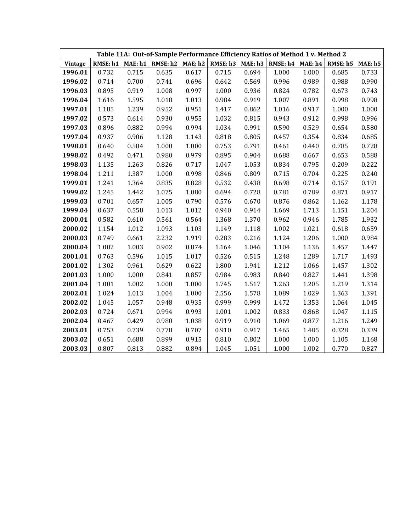|         |                      |       |                  |       | Table 11A: Out-of-Sample Performance Efficiency Ratios of Method 1 v. Method 2 |       |       |       |                  |       |
|---------|----------------------|-------|------------------|-------|--------------------------------------------------------------------------------|-------|-------|-------|------------------|-------|
| Vintage | RMSE: $h1$ MAE: $h1$ |       | RMSE: h2 MAE: h2 |       | RMSE: h3 MAE: h3   RMSE: h4 MAE: h4                                            |       |       |       | RMSE: h5 MAE: h5 |       |
| 1996.01 | 0.732                | 0.715 | 0.635            | 0.617 | 0.715                                                                          | 0.694 | 1.000 | 1.000 | 0.685            | 0.733 |
| 1996.02 | 0.714                | 0.700 | 0.741            | 0.696 | 0.642                                                                          | 0.569 | 0.996 | 0.989 | 0.988            | 0.990 |
| 1996.03 | 0.895                | 0.919 | 1.008            | 0.997 | 1.000                                                                          | 0.936 | 0.824 | 0.782 | 0.673            | 0.743 |
| 1996.04 | 1.616                | 1.595 | 1.018            | 1.013 | 0.984                                                                          | 0.919 | 1.007 | 0.891 | 0.998            | 0.998 |
| 1997.01 | 1.185                | 1.239 | 0.952            | 0.951 | 1.417                                                                          | 0.862 | 1.016 | 0.917 | 1.000            | 1.000 |
| 1997.02 | 0.573                | 0.614 | 0.930            | 0.955 | 1.032                                                                          | 0.815 | 0.943 | 0.912 | 0.998            | 0.996 |
| 1997.03 | 0.896                | 0.882 | 0.994            | 0.994 | 1.034                                                                          | 0.991 | 0.590 | 0.529 | 0.654            | 0.580 |
| 1997.04 | 0.937                | 0.906 | 1.128            | 1.143 | 0.818                                                                          | 0.805 | 0.457 | 0.354 | 0.834            | 0.685 |
| 1998.01 | 0.640                | 0.584 | 1.000            | 1.000 | 0.753                                                                          | 0.791 | 0.461 | 0.440 | 0.785            | 0.728 |
| 1998.02 | 0.492                | 0.471 | 0.980            | 0.979 | 0.895                                                                          | 0.904 | 0.688 | 0.667 | 0.653            | 0.588 |
| 1998.03 | 1.135                | 1.263 | 0.826            | 0.717 | 1.047                                                                          | 1.053 | 0.834 | 0.795 | 0.209            | 0.222 |
| 1998.04 | 1.211                | 1.387 | 1.000            | 0.998 | 0.846                                                                          | 0.809 | 0.715 | 0.704 | 0.225            | 0.240 |
| 1999.01 | 1.241                | 1.364 | 0.835            | 0.828 | 0.532                                                                          | 0.438 | 0.698 | 0.714 | 0.157            | 0.191 |
| 1999.02 | 1.245                | 1.442 | 1.075            | 1.080 | 0.694                                                                          | 0.728 | 0.781 | 0.789 | 0.871            | 0.917 |
| 1999.03 | 0.701                | 0.657 | 1.005            | 0.790 | 0.576                                                                          | 0.670 | 0.876 | 0.862 | 1.162            | 1.178 |
| 1999.04 | 0.637                | 0.558 | 1.013            | 1.012 | 0.940                                                                          | 0.914 | 1.669 | 1.713 | 1.151            | 1.204 |
| 2000.01 | 0.582                | 0.610 | 0.561            | 0.564 | 1.368                                                                          | 1.370 | 0.962 | 0.946 | 1.785            | 1.932 |
| 2000.02 | 1.154                | 1.012 | 1.093            | 1.103 | 1.149                                                                          | 1.118 | 1.002 | 1.021 | 0.618            | 0.659 |
| 2000.03 | 0.749                | 0.661 | 2.232            | 1.919 | 0.283                                                                          | 0.216 | 1.124 | 1.206 | 1.000            | 0.984 |
| 2000.04 | 1.002                | 1.003 | 0.902            | 0.874 | 1.164                                                                          | 1.046 | 1.104 | 1.136 | 1.457            | 1.447 |
| 2001.01 | 0.763                | 0.596 | 1.015            | 1.017 | 0.526                                                                          | 0.515 | 1.248 | 1.289 | 1.717            | 1.493 |
| 2001.02 | 1.302                | 0.961 | 0.629            | 0.622 | 1.800                                                                          | 1.941 | 1.212 | 1.066 | 1.457            | 1.302 |
| 2001.03 | 1.000                | 1.000 | 0.841            | 0.857 | 0.984                                                                          | 0.983 | 0.840 | 0.827 | 1.441            | 1.398 |
| 2001.04 | $1.001\,$            | 1.002 | 1.000            | 1.000 | 1.745                                                                          | 1.517 | 1.263 | 1.205 | 1.219            | 1.314 |
| 2002.01 | 1.024                | 1.013 | 1.004            | 1.000 | 2.556                                                                          | 1.578 | 1.089 | 1.029 | 1.363            | 1.391 |
| 2002.02 | 1.045                | 1.057 | 0.948            | 0.935 | 0.999                                                                          | 0.999 | 1.472 | 1.353 | 1.064            | 1.045 |
| 2002.03 | 0.724                | 0.671 | 0.994            | 0.993 | 1.001                                                                          | 1.002 | 0.833 | 0.868 | 1.047            | 1.115 |
| 2002.04 | 0.467                | 0.429 | 0.980            | 1.038 | 0.919                                                                          | 0.910 | 1.069 | 0.877 | 1.216            | 1.249 |
| 2003.01 | 0.753                | 0.739 | 0.778            | 0.707 | 0.910                                                                          | 0.917 | 1.465 | 1.485 | 0.328            | 0.339 |
| 2003.02 | 0.651                | 0.688 | 0.899            | 0.915 | 0.810                                                                          | 0.802 | 1.000 | 1.000 | 1.105            | 1.168 |
| 2003.03 | 0.807                | 0.813 | 0.882            | 0.894 | 1.045                                                                          | 1.051 | 1.000 | 1.002 | 0.770            | 0.827 |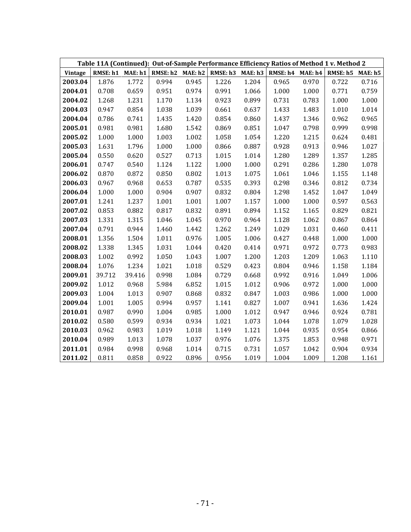|                | Table 11A (Continued): Out-of-Sample Performance Efficiency Ratios of Method 1 v. Method 2 |        |       |       |                                                                |       |       |       |                  |       |  |
|----------------|--------------------------------------------------------------------------------------------|--------|-------|-------|----------------------------------------------------------------|-------|-------|-------|------------------|-------|--|
| <b>Vintage</b> | RMSE: h1 MAE: h1                                                                           |        |       |       | RMSE: $h2$ MAE: $h2$ RMSE: $h3$ MAE: $h3$ RMSE: $h4$ MAE: $h4$ |       |       |       | RMSE: h5 MAE: h5 |       |  |
| 2003.04        | 1.876                                                                                      | 1.772  | 0.994 | 0.945 | 1.226                                                          | 1.204 | 0.965 | 0.970 | 0.722            | 0.716 |  |
| 2004.01        | 0.708                                                                                      | 0.659  | 0.951 | 0.974 | 0.991                                                          | 1.066 | 1.000 | 1.000 | 0.771            | 0.759 |  |
| 2004.02        | 1.268                                                                                      | 1.231  | 1.170 | 1.134 | 0.923                                                          | 0.899 | 0.731 | 0.783 | 1.000            | 1.000 |  |
| 2004.03        | 0.947                                                                                      | 0.854  | 1.038 | 1.039 | 0.661                                                          | 0.637 | 1.433 | 1.483 | 1.010            | 1.014 |  |
| 2004.04        | 0.786                                                                                      | 0.741  | 1.435 | 1.420 | 0.854                                                          | 0.860 | 1.437 | 1.346 | 0.962            | 0.965 |  |
| 2005.01        | 0.981                                                                                      | 0.981  | 1.680 | 1.542 | 0.869                                                          | 0.851 | 1.047 | 0.798 | 0.999            | 0.998 |  |
| 2005.02        | 1.000                                                                                      | 1.000  | 1.003 | 1.002 | 1.058                                                          | 1.054 | 1.220 | 1.215 | 0.624            | 0.481 |  |
| 2005.03        | 1.631                                                                                      | 1.796  | 1.000 | 1.000 | 0.866                                                          | 0.887 | 0.928 | 0.913 | 0.946            | 1.027 |  |
| 2005.04        | 0.550                                                                                      | 0.620  | 0.527 | 0.713 | 1.015                                                          | 1.014 | 1.280 | 1.289 | 1.357            | 1.285 |  |
| 2006.01        | 0.747                                                                                      | 0.540  | 1.124 | 1.122 | 1.000                                                          | 1.000 | 0.291 | 0.286 | 1.280            | 1.078 |  |
| 2006.02        | 0.870                                                                                      | 0.872  | 0.850 | 0.802 | 1.013                                                          | 1.075 | 1.061 | 1.046 | 1.155            | 1.148 |  |
| 2006.03        | 0.967                                                                                      | 0.968  | 0.653 | 0.787 | 0.535                                                          | 0.393 | 0.298 | 0.346 | 0.812            | 0.734 |  |
| 2006.04        | 1.000                                                                                      | 1.000  | 0.904 | 0.907 | 0.832                                                          | 0.804 | 1.298 | 1.452 | 1.047            | 1.049 |  |
| 2007.01        | 1.241                                                                                      | 1.237  | 1.001 | 1.001 | 1.007                                                          | 1.157 | 1.000 | 1.000 | 0.597            | 0.563 |  |
| 2007.02        | 0.853                                                                                      | 0.882  | 0.817 | 0.832 | 0.891                                                          | 0.894 | 1.152 | 1.165 | 0.829            | 0.821 |  |
| 2007.03        | 1.331                                                                                      | 1.315  | 1.046 | 1.045 | 0.970                                                          | 0.964 | 1.128 | 1.062 | 0.867            | 0.864 |  |
| 2007.04        | 0.791                                                                                      | 0.944  | 1.460 | 1.442 | 1.262                                                          | 1.249 | 1.029 | 1.031 | 0.460            | 0.411 |  |
| 2008.01        | 1.356                                                                                      | 1.504  | 1.011 | 0.976 | 1.005                                                          | 1.006 | 0.427 | 0.448 | 1.000            | 1.000 |  |
| 2008.02        | 1.338                                                                                      | 1.345  | 1.031 | 1.044 | 0.420                                                          | 0.414 | 0.971 | 0.972 | 0.773            | 0.983 |  |
| 2008.03        | 1.002                                                                                      | 0.992  | 1.050 | 1.043 | 1.007                                                          | 1.200 | 1.203 | 1.209 | 1.063            | 1.110 |  |
| 2008.04        | 1.076                                                                                      | 1.234  | 1.021 | 1.018 | 0.529                                                          | 0.423 | 0.804 | 0.946 | 1.158            | 1.184 |  |
| 2009.01        | 39.712                                                                                     | 39.416 | 0.998 | 1.084 | 0.729                                                          | 0.668 | 0.992 | 0.916 | 1.049            | 1.006 |  |
| 2009.02        | 1.012                                                                                      | 0.968  | 5.984 | 6.852 | 1.015                                                          | 1.012 | 0.906 | 0.972 | 1.000            | 1.000 |  |
| 2009.03        | 1.004                                                                                      | 1.013  | 0.907 | 0.868 | 0.832                                                          | 0.847 | 1.003 | 0.986 | 1.000            | 1.000 |  |
| 2009.04        | 1.001                                                                                      | 1.005  | 0.994 | 0.957 | 1.141                                                          | 0.827 | 1.007 | 0.941 | 1.636            | 1.424 |  |
| 2010.01        | 0.987                                                                                      | 0.990  | 1.004 | 0.985 | 1.000                                                          | 1.012 | 0.947 | 0.946 | 0.924            | 0.781 |  |
| 2010.02        | 0.580                                                                                      | 0.599  | 0.934 | 0.934 | 1.021                                                          | 1.073 | 1.044 | 1.078 | 1.079            | 1.028 |  |
| 2010.03        | 0.962                                                                                      | 0.983  | 1.019 | 1.018 | 1.149                                                          | 1.121 | 1.044 | 0.935 | 0.954            | 0.866 |  |
| 2010.04        | 0.989                                                                                      | 1.013  | 1.078 | 1.037 | 0.976                                                          | 1.076 | 1.375 | 1.853 | 0.948            | 0.971 |  |
| 2011.01        | 0.984                                                                                      | 0.998  | 0.968 | 1.014 | 0.715                                                          | 0.731 | 1.057 | 1.042 | 0.904            | 0.934 |  |
| 2011.02        | 0.811                                                                                      | 0.858  | 0.922 | 0.896 | 0.956                                                          | 1.019 | 1.004 | 1.009 | 1.208            | 1.161 |  |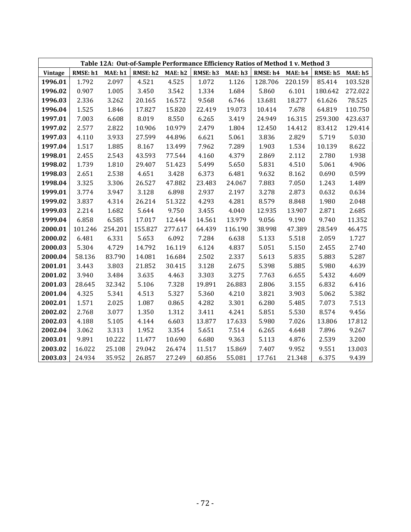| Table 12A: Out-of-Sample Performance Efficiency Ratios of Method 1 v. Method 3 |          |         |                  |         |                  |         |                  |         |          |                |
|--------------------------------------------------------------------------------|----------|---------|------------------|---------|------------------|---------|------------------|---------|----------|----------------|
| Vintage                                                                        | RMSE: h1 | MAE: h1 | RMSE: h2 MAE: h2 |         | RMSE: h3 MAE: h3 |         | RMSE: h4 MAE: h4 |         | RMSE: h5 | <b>MAE: h5</b> |
| 1996.01                                                                        | 1.792    | 2.097   | 4.521            | 4.525   | 1.072            | 1.126   | 128.706          | 220.159 | 85.414   | 103.528        |
| 1996.02                                                                        | 0.907    | 1.005   | 3.450            | 3.542   | 1.334            | 1.684   | 5.860            | 6.101   | 180.642  | 272.022        |
| 1996.03                                                                        | 2.336    | 3.262   | 20.165           | 16.572  | 9.568            | 6.746   | 13.681           | 18.277  | 61.626   | 78.525         |
| 1996.04                                                                        | 1.525    | 1.846   | 17.827           | 15.820  | 22.419           | 19.073  | 10.414           | 7.678   | 64.819   | 110.750        |
| 1997.01                                                                        | 7.003    | 6.608   | 8.019            | 8.550   | 6.265            | 3.419   | 24.949           | 16.315  | 259.300  | 423.637        |
| 1997.02                                                                        | 2.577    | 2.822   | 10.906           | 10.979  | 2.479            | 1.804   | 12.450           | 14.412  | 83.412   | 129.414        |
| 1997.03                                                                        | 4.110    | 3.933   | 27.599           | 44.896  | 6.621            | 5.061   | 3.836            | 2.829   | 5.719    | 5.030          |
| 1997.04                                                                        | 1.517    | 1.885   | 8.167            | 13.499  | 7.962            | 7.289   | 1.903            | 1.534   | 10.139   | 8.622          |
| 1998.01                                                                        | 2.455    | 2.543   | 43.593           | 77.544  | 4.160            | 4.379   | 2.869            | 2.112   | 2.780    | 1.938          |
| 1998.02                                                                        | 1.739    | 1.810   | 29.407           | 51.423  | 5.499            | 5.650   | 5.831            | 4.510   | 5.061    | 4.906          |
| 1998.03                                                                        | 2.651    | 2.538   | 4.651            | 3.428   | 6.373            | 6.481   | 9.632            | 8.162   | 0.690    | 0.599          |
| 1998.04                                                                        | 3.325    | 3.306   | 26.527           | 47.882  | 23.483           | 24.067  | 7.883            | 7.050   | 1.243    | 1.489          |
| 1999.01                                                                        | 3.774    | 3.947   | 3.128            | 6.898   | 2.937            | 2.197   | 3.278            | 2.873   | 0.632    | 0.634          |
| 1999.02                                                                        | 3.837    | 4.314   | 26.214           | 51.322  | 4.293            | 4.281   | 8.579            | 8.848   | 1.980    | 2.048          |
| 1999.03                                                                        | 2.214    | 1.682   | 5.644            | 9.750   | 3.455            | 4.040   | 12.935           | 13.907  | 2.871    | 2.685          |
| 1999.04                                                                        | 6.858    | 6.585   | 17.017           | 12.444  | 14.561           | 13.979  | 9.056            | 9.190   | 9.740    | 11.352         |
| 2000.01                                                                        | 101.246  | 254.201 | 155.827          | 277.617 | 64.439           | 116.190 | 38.998           | 47.389  | 28.549   | 46.475         |
| 2000.02                                                                        | 6.481    | 6.331   | 5.653            | 6.092   | 7.284            | 6.638   | 5.133            | 5.518   | 2.059    | 1.727          |
| 2000.03                                                                        | 5.304    | 4.729   | 14.792           | 16.119  | 6.124            | 4.837   | 5.051            | 5.150   | 2.455    | 2.740          |
| 2000.04                                                                        | 58.136   | 83.790  | 14.081           | 16.684  | 2.502            | 2.337   | 5.613            | 5.835   | 5.883    | 5.287          |
| 2001.01                                                                        | 3.443    | 3.803   | 21.852           | 30.415  | 3.128            | 2.675   | 5.398            | 5.885   | 5.980    | 4.639          |
| 2001.02                                                                        | 3.940    | 3.484   | 3.635            | 4.463   | 3.303            | 3.275   | 7.763            | 6.655   | 5.432    | 4.609          |
| 2001.03                                                                        | 28.645   | 32.342  | 5.106            | 7.328   | 19.891           | 26.883  | 2.806            | 3.155   | 6.832    | 6.416          |
| 2001.04                                                                        | 4.325    | 5.341   | 4.513            | 5.327   | 5.360            | 4.210   | 3.821            | 3.903   | 5.062    | 5.382          |
| 2002.01                                                                        | 1.571    | 2.025   | 1.087            | 0.865   | 4.282            | 3.301   | 6.280            | 5.485   | 7.073    | 7.513          |
| 2002.02                                                                        | 2.768    | 3.077   | 1.350            | 1.312   | 3.411            | 4.241   | 5.851            | 5.530   | 8.574    | 9.456          |
| 2002.03                                                                        | 4.188    | 5.105   | 4.144            | 6.603   | 13.877           | 17.633  | 5.980            | 7.026   | 13.806   | 17.812         |
| 2002.04                                                                        | 3.062    | 3.313   | 1.952            | 3.354   | 5.651            | 7.514   | 6.265            | 4.648   | 7.896    | 9.267          |
| 2003.01                                                                        | 9.891    | 10.222  | 11.477           | 10.690  | 6.680            | 9.363   | 5.113            | 4.876   | 2.539    | 3.200          |
| 2003.02                                                                        | 16.022   | 25.108  | 29.042           | 26.474  | 11.517           | 15.869  | 7.407            | 9.952   | 9.551    | 13.003         |
| 2003.03                                                                        | 24.934   | 35.952  | 26.857           | 27.249  | 60.856           | 55.081  | 17.761           | 21.348  | 6.375    | 9.439          |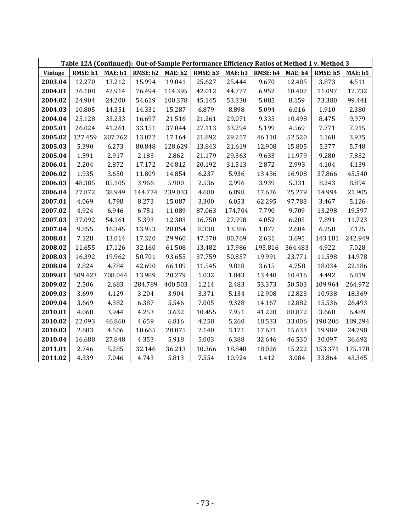| Table 12A (Continued): Out-of-Sample Performance Efficiency Ratios of Method 1 v. Method 3 |          |         |                  |         |          |         |                  |         |          |         |
|--------------------------------------------------------------------------------------------|----------|---------|------------------|---------|----------|---------|------------------|---------|----------|---------|
| Vintage                                                                                    | RMSE: h1 | MAE: h1 | RMSE: h2 MAE: h2 |         | RMSE: h3 | MAE: h3 | RMSE: h4 MAE: h4 |         | RMSE: h5 | MAE: h5 |
| 2003.04                                                                                    | 12.270   | 13.212  | 15.994           | 19.041  | 25.627   | 25.444  | 9.670            | 12.485  | 3.873    | 4.511   |
| 2004.01                                                                                    | 36.108   | 42.914  | 76.494           | 114.395 | 42.012   | 44.777  | 6.952            | 10.407  | 11.097   | 12.732  |
| 2004.02                                                                                    | 24.904   | 24.200  | 54.619           | 100.378 | 45.145   | 53.330  | 5.085            | 8.159   | 73.380   | 99.441  |
| 2004.03                                                                                    | 10.805   | 14.351  | 14.331           | 15.287  | 6.879    | 8.898   | 5.094            | 6.016   | 1.910    | 2.380   |
| 2004.04                                                                                    | 25.128   | 33.233  | 16.697           | 21.516  | 21.261   | 29.071  | 9.335            | 10.498  | 8.475    | 9.979   |
| 2005.01                                                                                    | 26.024   | 41.261  | 33.151           | 37.844  | 27.113   | 33.294  | 5.199            | 4.569   | 7.771    | 7.915   |
| 2005.02                                                                                    | 127.459  | 207.762 | 13.072           | 17.164  | 21.892   | 29.257  | 46.110           | 52.520  | 5.168    | 3.935   |
| 2005.03                                                                                    | 5.390    | 6.273   | 80.848           | 128.629 | 13.843   | 21.619  | 12.908           | 15.805  | 5.377    | 5.748   |
| 2005.04                                                                                    | 1.591    | 2.917   | 2.183            | 2.862   | 21.179   | 29.363  | 9.633            | 11.979  | 9.280    | 7.832   |
| 2006.01                                                                                    | 2.204    | 2.872   | 17.172           | 24.812  | 20.192   | 31.513  | 2.872            | 2.993   | 4.104    | 4.139   |
| 2006.02                                                                                    | 1.935    | 3.650   | 11.809           | 14.854  | 6.237    | 5.936   | 13.436           | 16.908  | 37.866   | 45.540  |
| 2006.03                                                                                    | 48.385   | 85.105  | 3.966            | 5.900   | 2.536    | 2.996   | 3.939            | 5.331   | 8.243    | 8.894   |
| 2006.04                                                                                    | 27.872   | 38.949  | 144.774          | 239.033 | 4.680    | 6.898   | 17.676           | 25.279  | 14.994   | 21.905  |
| 2007.01                                                                                    | 4.069    | 4.798   | 8.273            | 15.087  | 3.300    | 6.053   | 62.295           | 97.783  | 3.467    | 5.126   |
| 2007.02                                                                                    | 4.924    | 6.946   | 6.751            | 11.089  | 87.063   | 174.704 | 7.790            | 9.709   | 13.298   | 19.597  |
| 2007.03                                                                                    | 37.092   | 54.161  | 5.393            | 12.303  | 16.750   | 27.998  | 4.052            | 6.205   | 7.891    | 11.723  |
| 2007.04                                                                                    | 9.855    | 16.345  | 13.953           | 28.854  | 8.338    | 13.386  | 1.877            | 2.604   | 6.258    | 7.125   |
| 2008.01                                                                                    | 7.128    | 13.014  | 17.320           | 29.960  | 47.570   | 80.769  | 2.631            | 3.695   | 143.181  | 242.949 |
| 2008.02                                                                                    | 11.655   | 17.126  | 32.160           | 61.508  | 13.482   | 17.986  | 195.816          | 364.483 | 4.922    | 7.028   |
| 2008.03                                                                                    | 16.392   | 19.962  | 50.701           | 93.655  | 37.759   | 50.857  | 19.991           | 23.771  | 11.598   | 14.978  |
| 2008.04                                                                                    | 2.824    | 4.784   | 42.690           | 66.189  | 11.545   | 9.818   | 3.615            | 4.758   | 18.034   | 22.186  |
| 2009.01                                                                                    | 509.423  | 708.044 | 13.989           | 20.279  | 1.032    | 1.843   | 13.448           | 10.416  | 4.492    | 6.819   |
| 2009.02                                                                                    | 2.506    | 2.683   | 284.789          | 400.503 | 1.214    | 2.483   | 53.373           | 50.503  | 109.964  | 264.972 |
| 2009.03                                                                                    | 3.699    | 4.129   | 3.204            | 3.904   | 3.371    | 5.134   | 12.908           | 12.823  | 10.938   | 18.369  |
| 2009.04                                                                                    | 3.669    | 4.382   | 6.387            | 5.546   | 7.005    | 9.328   | 14.167           | 12.882  | 15.536   | 26.493  |
| 2010.01                                                                                    | 4.068    | 3.944   | 4.253            | 3.632   | 10.455   | 7.951   | 41.220           | 88.872  | 3.668    | 6.489   |
| 2010.02                                                                                    | 22.093   | 46.860  | 4.659            | 6.816   | 4.258    | 5.260   | 18.533           | 33.006  | 190.206  | 189.294 |
| 2010.03                                                                                    | 2.683    | 4.506   | 10.665           | 20.075  | 2.140    | 3.171   | 17.671           | 15.633  | 19.989   | 24.798  |
| 2010.04                                                                                    | 16.688   | 27.848  | 4.353            | 5.918   | 5.003    | 6.388   | 32.646           | 46.530  | 30.097   | 36.692  |
| 2011.01                                                                                    | 2.746    | 5.285   | 32.146           | 36.213  | 10.366   | 18.848  | 18.026           | 15.222  | 153.371  | 175.178 |
| 2011.02                                                                                    | 4.339    | 7.046   | 4.743            | 5.813   | 7.554    | 10.924  | 1.412            | 3.084   | 33.864   | 43.365  |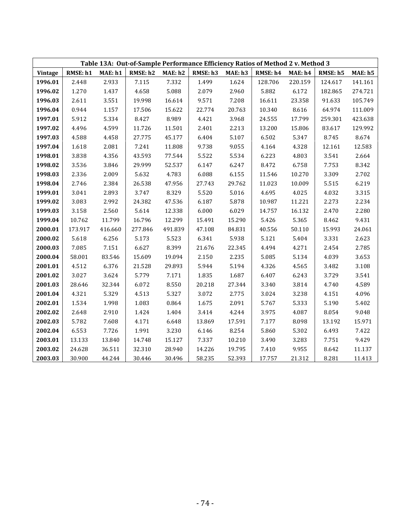| Table 13A: Out-of-Sample Performance Efficiency Ratios of Method 2 v. Method 3 |          |         |          |         |          |         |          |         |          |         |
|--------------------------------------------------------------------------------|----------|---------|----------|---------|----------|---------|----------|---------|----------|---------|
| <b>Vintage</b>                                                                 | RMSE: h1 | MAE: h1 | RMSE: h2 | MAE: h2 | RMSE: h3 | MAE: h3 | RMSE: h4 | MAE: h4 | RMSE: h5 | MAE: h5 |
| 1996.01                                                                        | 2.448    | 2.933   | 7.115    | 7.332   | 1.499    | 1.624   | 128.706  | 220.159 | 124.617  | 141.161 |
| 1996.02                                                                        | 1.270    | 1.437   | 4.658    | 5.088   | 2.079    | 2.960   | 5.882    | 6.172   | 182.865  | 274.721 |
| 1996.03                                                                        | 2.611    | 3.551   | 19.998   | 16.614  | 9.571    | 7.208   | 16.611   | 23.358  | 91.633   | 105.749 |
| 1996.04                                                                        | 0.944    | 1.157   | 17.506   | 15.622  | 22.774   | 20.763  | 10.340   | 8.616   | 64.974   | 111.009 |
| 1997.01                                                                        | 5.912    | 5.334   | 8.427    | 8.989   | 4.421    | 3.968   | 24.555   | 17.799  | 259.301  | 423.638 |
| 1997.02                                                                        | 4.496    | 4.599   | 11.726   | 11.501  | 2.401    | 2.213   | 13.200   | 15.806  | 83.617   | 129.992 |
| 1997.03                                                                        | 4.588    | 4.458   | 27.775   | 45.177  | 6.404    | 5.107   | 6.502    | 5.347   | 8.745    | 8.674   |
| 1997.04                                                                        | 1.618    | 2.081   | 7.241    | 11.808  | 9.738    | 9.055   | 4.164    | 4.328   | 12.161   | 12.583  |
| 1998.01                                                                        | 3.838    | 4.356   | 43.593   | 77.544  | 5.522    | 5.534   | 6.223    | 4.803   | 3.541    | 2.664   |
| 1998.02                                                                        | 3.536    | 3.846   | 29.999   | 52.537  | 6.147    | 6.247   | 8.472    | 6.758   | 7.753    | 8.342   |
| 1998.03                                                                        | 2.336    | 2.009   | 5.632    | 4.783   | 6.088    | 6.155   | 11.546   | 10.270  | 3.309    | 2.702   |
| 1998.04                                                                        | 2.746    | 2.384   | 26.538   | 47.956  | 27.743   | 29.762  | 11.023   | 10.009  | 5.515    | 6.219   |
| 1999.01                                                                        | 3.041    | 2.893   | 3.747    | 8.329   | 5.520    | 5.016   | 4.695    | 4.025   | 4.032    | 3.315   |
| 1999.02                                                                        | 3.083    | 2.992   | 24.382   | 47.536  | 6.187    | 5.878   | 10.987   | 11.221  | 2.273    | 2.234   |
| 1999.03                                                                        | 3.158    | 2.560   | 5.614    | 12.338  | 6.000    | 6.029   | 14.757   | 16.132  | 2.470    | 2.280   |
| 1999.04                                                                        | 10.762   | 11.799  | 16.796   | 12.299  | 15.491   | 15.290  | 5.426    | 5.365   | 8.462    | 9.431   |
| 2000.01                                                                        | 173.917  | 416.660 | 277.846  | 491.839 | 47.108   | 84.831  | 40.556   | 50.110  | 15.993   | 24.061  |
| 2000.02                                                                        | 5.618    | 6.256   | 5.173    | 5.523   | 6.341    | 5.938   | 5.121    | 5.404   | 3.331    | 2.623   |
| 2000.03                                                                        | 7.085    | 7.151   | 6.627    | 8.399   | 21.676   | 22.345  | 4.494    | 4.271   | 2.454    | 2.785   |
| 2000.04                                                                        | 58.001   | 83.546  | 15.609   | 19.094  | 2.150    | 2.235   | 5.085    | 5.134   | 4.039    | 3.653   |
| 2001.01                                                                        | 4.512    | 6.376   | 21.528   | 29.893  | 5.944    | 5.194   | 4.326    | 4.565   | 3.482    | 3.108   |
| 2001.02                                                                        | 3.027    | 3.624   | 5.779    | 7.171   | 1.835    | 1.687   | 6.407    | 6.243   | 3.729    | 3.541   |
| 2001.03                                                                        | 28.646   | 32.344  | 6.072    | 8.550   | 20.218   | 27.344  | 3.340    | 3.814   | 4.740    | 4.589   |
| 2001.04                                                                        | 4.321    | 5.329   | 4.513    | 5.327   | 3.072    | 2.775   | 3.024    | 3.238   | 4.151    | 4.096   |
| 2002.01                                                                        | 1.534    | 1.998   | 1.083    | 0.864   | 1.675    | 2.091   | 5.767    | 5.333   | 5.190    | 5.402   |
| 2002.02                                                                        | 2.648    | 2.910   | 1.424    | 1.404   | 3.414    | 4.244   | 3.975    | 4.087   | 8.054    | 9.048   |
| 2002.03                                                                        | 5.782    | 7.608   | 4.171    | 6.648   | 13.869   | 17.591  | 7.177    | 8.098   | 13.192   | 15.971  |
| 2002.04                                                                        | 6.553    | 7.726   | 1.991    | 3.230   | 6.146    | 8.254   | 5.860    | 5.302   | 6.493    | 7.422   |
| 2003.01                                                                        | 13.133   | 13.840  | 14.748   | 15.127  | 7.337    | 10.210  | 3.490    | 3.283   | 7.751    | 9.429   |
| 2003.02                                                                        | 24.628   | 36.511  | 32.310   | 28.940  | 14.226   | 19.795  | 7.410    | 9.955   | 8.642    | 11.137  |
| 2003.03                                                                        | 30.900   | 44.244  | 30.446   | 30.496  | 58.235   | 52.393  | 17.757   | 21.312  | 8.281    | 11.413  |